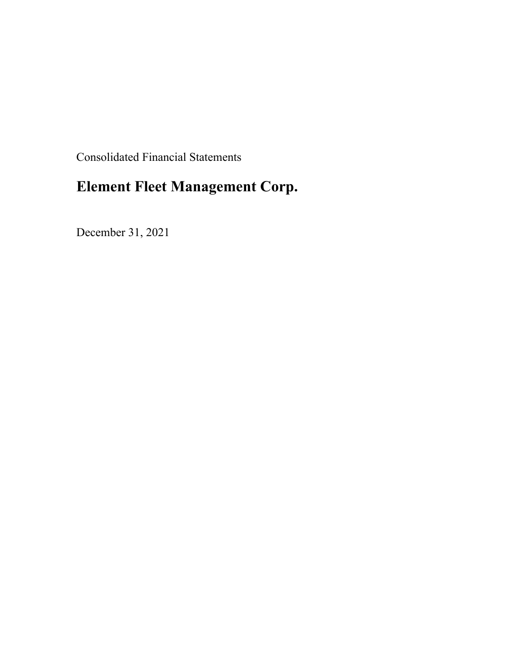Consolidated Financial Statements

# **Element Fleet Management Corp.**

December 31, 2021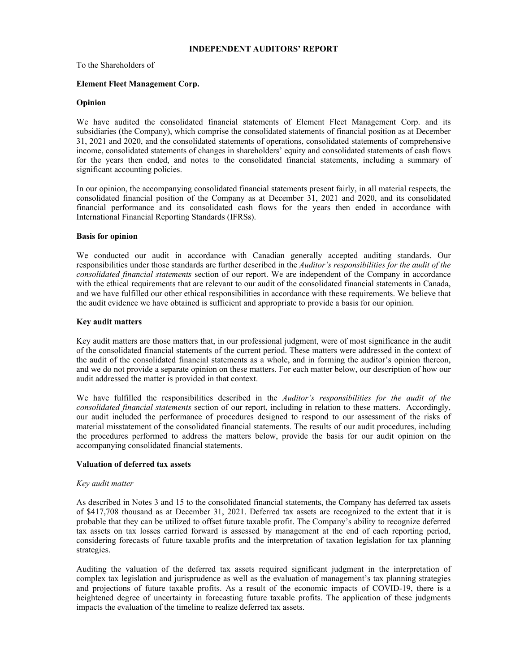#### **INDEPENDENT AUDITORS' REPORT**

To the Shareholders of

#### **Element Fleet Management Corp.**

#### **Opinion**

We have audited the consolidated financial statements of Element Fleet Management Corp. and its subsidiaries (the Company), which comprise the consolidated statements of financial position as at December 31, 2021 and 2020, and the consolidated statements of operations, consolidated statements of comprehensive income, consolidated statements of changes in shareholders' equity and consolidated statements of cash flows for the years then ended, and notes to the consolidated financial statements, including a summary of significant accounting policies.

In our opinion, the accompanying consolidated financial statements present fairly, in all material respects, the consolidated financial position of the Company as at December 31, 2021 and 2020, and its consolidated financial performance and its consolidated cash flows for the years then ended in accordance with International Financial Reporting Standards (IFRSs).

#### **Basis for opinion**

We conducted our audit in accordance with Canadian generally accepted auditing standards. Our responsibilities under those standards are further described in the *Auditor's responsibilities for the audit of the consolidated financial statements* section of our report. We are independent of the Company in accordance with the ethical requirements that are relevant to our audit of the consolidated financial statements in Canada, and we have fulfilled our other ethical responsibilities in accordance with these requirements. We believe that the audit evidence we have obtained is sufficient and appropriate to provide a basis for our opinion.

#### **Key audit matters**

Key audit matters are those matters that, in our professional judgment, were of most significance in the audit of the consolidated financial statements of the current period. These matters were addressed in the context of the audit of the consolidated financial statements as a whole, and in forming the auditor's opinion thereon, and we do not provide a separate opinion on these matters. For each matter below, our description of how our audit addressed the matter is provided in that context.

We have fulfilled the responsibilities described in the *Auditor's responsibilities for the audit of the consolidated financial statements* section of our report, including in relation to these matters. Accordingly, our audit included the performance of procedures designed to respond to our assessment of the risks of material misstatement of the consolidated financial statements. The results of our audit procedures, including the procedures performed to address the matters below, provide the basis for our audit opinion on the accompanying consolidated financial statements.

#### **Valuation of deferred tax assets**

#### *Key audit matter*

As described in Notes 3 and 15 to the consolidated financial statements, the Company has deferred tax assets of \$417,708 thousand as at December 31, 2021. Deferred tax assets are recognized to the extent that it is probable that they can be utilized to offset future taxable profit. The Company's ability to recognize deferred tax assets on tax losses carried forward is assessed by management at the end of each reporting period, considering forecasts of future taxable profits and the interpretation of taxation legislation for tax planning strategies.

Auditing the valuation of the deferred tax assets required significant judgment in the interpretation of complex tax legislation and jurisprudence as well as the evaluation of management's tax planning strategies and projections of future taxable profits. As a result of the economic impacts of COVID-19, there is a heightened degree of uncertainty in forecasting future taxable profits. The application of these judgments impacts the evaluation of the timeline to realize deferred tax assets.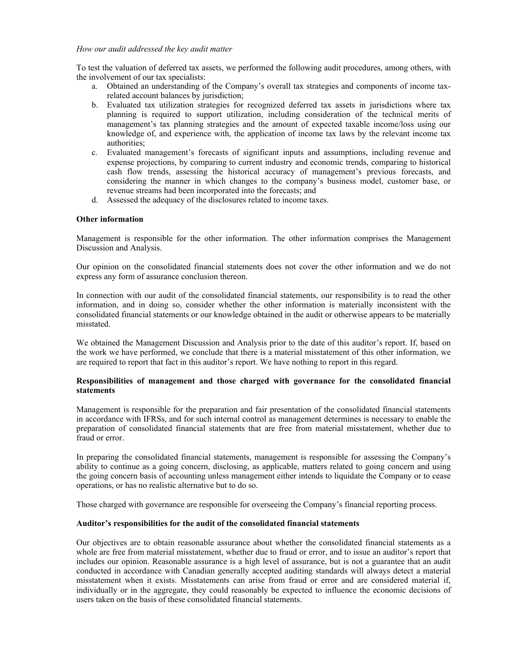#### *How our audit addressed the key audit matter*

To test the valuation of deferred tax assets, we performed the following audit procedures, among others, with the involvement of our tax specialists:

- a. Obtained an understanding of the Company's overall tax strategies and components of income taxrelated account balances by jurisdiction;
- b. Evaluated tax utilization strategies for recognized deferred tax assets in jurisdictions where tax planning is required to support utilization, including consideration of the technical merits of management's tax planning strategies and the amount of expected taxable income/loss using our knowledge of, and experience with, the application of income tax laws by the relevant income tax authorities;
- c. Evaluated management's forecasts of significant inputs and assumptions, including revenue and expense projections, by comparing to current industry and economic trends, comparing to historical cash flow trends, assessing the historical accuracy of management's previous forecasts, and considering the manner in which changes to the company's business model, customer base, or revenue streams had been incorporated into the forecasts; and
- d. Assessed the adequacy of the disclosures related to income taxes.

#### **Other information**

Management is responsible for the other information. The other information comprises the Management Discussion and Analysis.

Our opinion on the consolidated financial statements does not cover the other information and we do not express any form of assurance conclusion thereon.

In connection with our audit of the consolidated financial statements, our responsibility is to read the other information, and in doing so, consider whether the other information is materially inconsistent with the consolidated financial statements or our knowledge obtained in the audit or otherwise appears to be materially misstated.

We obtained the Management Discussion and Analysis prior to the date of this auditor's report. If, based on the work we have performed, we conclude that there is a material misstatement of this other information, we are required to report that fact in this auditor's report. We have nothing to report in this regard.

#### **Responsibilities of management and those charged with governance for the consolidated financial statements**

Management is responsible for the preparation and fair presentation of the consolidated financial statements in accordance with IFRSs, and for such internal control as management determines is necessary to enable the preparation of consolidated financial statements that are free from material misstatement, whether due to fraud or error.

In preparing the consolidated financial statements, management is responsible for assessing the Company's ability to continue as a going concern, disclosing, as applicable, matters related to going concern and using the going concern basis of accounting unless management either intends to liquidate the Company or to cease operations, or has no realistic alternative but to do so.

Those charged with governance are responsible for overseeing the Company's financial reporting process.

#### **Auditor's responsibilities for the audit of the consolidated financial statements**

Our objectives are to obtain reasonable assurance about whether the consolidated financial statements as a whole are free from material misstatement, whether due to fraud or error, and to issue an auditor's report that includes our opinion. Reasonable assurance is a high level of assurance, but is not a guarantee that an audit conducted in accordance with Canadian generally accepted auditing standards will always detect a material misstatement when it exists. Misstatements can arise from fraud or error and are considered material if, individually or in the aggregate, they could reasonably be expected to influence the economic decisions of users taken on the basis of these consolidated financial statements.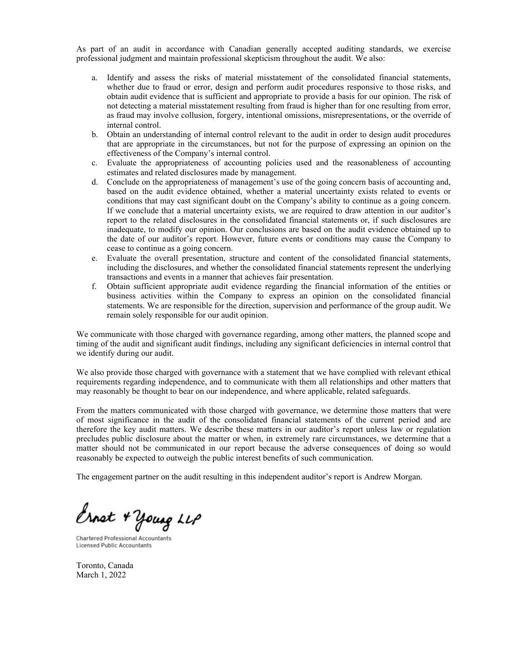As part of an audit in accordance with Canadian generally accepted auditing standards, we exercise professional judgment and maintain professional skepticism throughout the audit. We also:

- a. Identify and assess the risks of material misstatement of the consolidated financial statements, whether due to fraud or error, design and perform audit procedures responsive to those risks, and obtain audit evidence that is sufficient and appropriate to provide a basis for our opinion. The risk of not detecting a material misstatement resulting from fraud is higher than for one resulting from error, as fraud may involve collusion, forgery, intentional omissions, misrepresentations, or the override of internal control.
- b. Obtain an understanding of internal control relevant to the audit in order to design audit procedures that are appropriate in the circumstances, but not for the purpose of expressing an opinion on the effectiveness of the Company's internal control.
- c. Evaluate the appropriateness of accounting policies used and the reasonableness of accounting estimates and related disclosures made by management.
- d. Conclude on the appropriateness of management's use of the going concern basis of accounting and, based on the audit evidence obtained, whether a material uncertainty exists related to events or conditions that may cast significant doubt on the Company's ability to continue as a going concern. If we conclude that a material uncertainty exists, we are required to draw attention in our auditor's report to the related disclosures in the consolidated financial statements or, if such disclosures are inadequate, to modify our opinion. Our conclusions are based on the audit evidence obtained up to the date of our auditor's report. However, future events or conditions may cause the Company to cease to continue as a going concern.
- e. Evaluate the overall presentation, structure and content of the consolidated financial statements, including the disclosures, and whether the consolidated financial statements represent the underlying transactions and events in a manner that achieves fair presentation.
- f. Obtain sufficient appropriate audit evidence regarding the financial information of the entities or business activities within the Company to express an opinion on the consolidated financial statements. We are responsible for the direction, supervision and performance of the group audit. We remain solely responsible for our audit opinion.

We communicate with those charged with governance regarding, among other matters, the planned scope and timing of the audit and significant audit findings, including any significant deficiencies in internal control that we identify during our audit.

We also provide those charged with governance with a statement that we have complied with relevant ethical requirements regarding independence, and to communicate with them all relationships and other matters that may reasonably be thought to bear on our independence, and where applicable, related safeguards.

From the matters communicated with those charged with governance, we determine those matters that were of most significance in the audit of the consolidated financial statements of the current period and are therefore the key audit matters. We describe these matters in our auditor's report unless law or regulation precludes public disclosure about the matter or when, in extremely rare circumstances, we determine that a matter should not be communicated in our report because the adverse consequences of doing so would reasonably be expected to outweigh the public interest benefits of such communication.

The engagement partner on the audit resulting in this independent auditor's report is Andrew Morgan.

Ernet + Young LLP

**Chartered Professional Accountants Licensed Public Accountants** 

Toronto, Canada March 1, 2022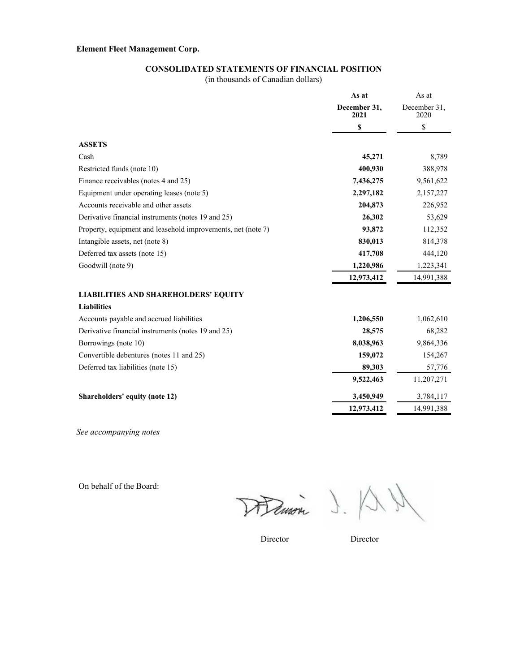### **CONSOLIDATED STATEMENTS OF FINANCIAL POSITION**

(in thousands of Canadian dollars)

|                                                              | As at                | As at                |
|--------------------------------------------------------------|----------------------|----------------------|
|                                                              | December 31,<br>2021 | December 31,<br>2020 |
|                                                              | \$                   | \$                   |
| <b>ASSETS</b>                                                |                      |                      |
| Cash                                                         | 45,271               | 8,789                |
| Restricted funds (note 10)                                   | 400,930              | 388,978              |
| Finance receivables (notes 4 and 25)                         | 7,436,275            | 9,561,622            |
| Equipment under operating leases (note 5)                    | 2,297,182            | 2,157,227            |
| Accounts receivable and other assets                         | 204,873              | 226,952              |
| Derivative financial instruments (notes 19 and 25)           | 26,302               | 53,629               |
| Property, equipment and leasehold improvements, net (note 7) | 93,872               | 112,352              |
| Intangible assets, net (note 8)                              | 830,013              | 814,378              |
| Deferred tax assets (note 15)                                | 417,708              | 444,120              |
| Goodwill (note 9)                                            | 1,220,986            | 1,223,341            |
|                                                              | 12,973,412           | 14,991,388           |
| <b>LIABILITIES AND SHAREHOLDERS' EQUITY</b>                  |                      |                      |
| <b>Liabilities</b>                                           |                      |                      |
| Accounts payable and accrued liabilities                     | 1,206,550            | 1,062,610            |
| Derivative financial instruments (notes 19 and 25)           | 28,575               | 68,282               |
| Borrowings (note 10)                                         | 8,038,963            | 9,864,336            |
| Convertible debentures (notes 11 and 25)                     | 159,072              | 154,267              |
| Deferred tax liabilities (note 15)                           | 89,303               | 57,776               |
|                                                              | 9,522,463            | 11,207,271           |
| <b>Shareholders' equity (note 12)</b>                        | 3,450,949            | 3,784,117            |
|                                                              | 12,973,412           | 14,991,388           |

*See accompanying notes*

On behalf of the Board:

Do Demoin J.

Director Director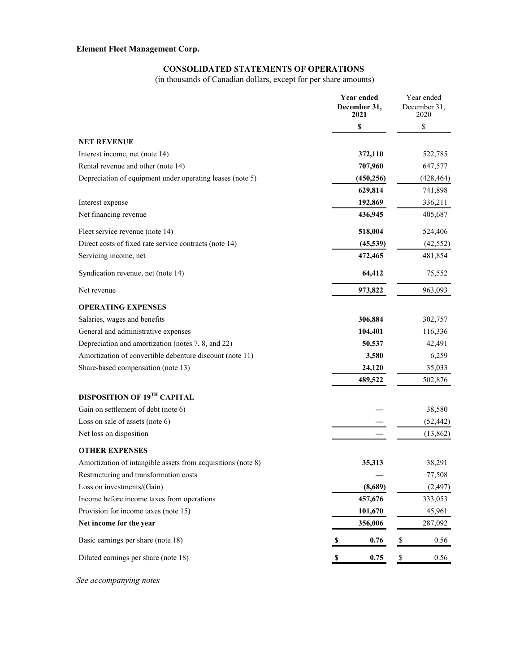## **CONSOLIDATED STATEMENTS OF OPERATIONS**

(in thousands of Canadian dollars, except for per share amounts)

|                                                              | <b>Year ended</b><br>December 31,<br>2021 | Year ended<br>December 31,<br>2020 |
|--------------------------------------------------------------|-------------------------------------------|------------------------------------|
|                                                              | \$                                        | \$                                 |
| <b>NET REVENUE</b>                                           |                                           |                                    |
| Interest income, net (note 14)                               | 372,110                                   | 522,785                            |
| Rental revenue and other (note 14)                           | 707,960                                   | 647,577                            |
| Depreciation of equipment under operating leases (note 5)    | (450, 256)                                | (428, 464)                         |
|                                                              | 629,814                                   | 741,898                            |
| Interest expense                                             | 192,869                                   | 336,211                            |
| Net financing revenue                                        | 436,945                                   | 405,687                            |
| Fleet service revenue (note 14)                              | 518,004                                   | 524,406                            |
| Direct costs of fixed rate service contracts (note 14)       | (45, 539)                                 | (42, 552)                          |
| Servicing income, net                                        | 472,465                                   | 481,854                            |
| Syndication revenue, net (note 14)                           | 64,412                                    | 75,552                             |
| Net revenue                                                  | 973,822                                   | 963,093                            |
| <b>OPERATING EXPENSES</b>                                    |                                           |                                    |
| Salaries, wages and benefits                                 | 306,884                                   | 302,757                            |
| General and administrative expenses                          | 104,401                                   | 116,336                            |
| Depreciation and amortization (notes 7, 8, and 22)           | 50,537                                    | 42,491                             |
| Amortization of convertible debenture discount (note 11)     | 3,580                                     | 6,259                              |
| Share-based compensation (note 13)                           | 24,120                                    | 35,033                             |
|                                                              | 489,522                                   | 502,876                            |
| DISPOSITION OF 19TH CAPITAL                                  |                                           |                                    |
| Gain on settlement of debt (note 6)                          |                                           | 38,580                             |
| Loss on sale of assets (note 6)                              |                                           | (52, 442)                          |
| Net loss on disposition                                      |                                           | (13,862)                           |
| <b>OTHER EXPENSES</b>                                        |                                           |                                    |
| Amortization of intangible assets from acquisitions (note 8) | 35,313                                    | 38,291                             |
| Restructuring and transformation costs                       |                                           | 77,508                             |
| Loss on investments/(Gain)                                   | (8,689)                                   | (2,497)                            |
| Income before income taxes from operations                   | 457,676                                   | 333,053                            |
| Provision for income taxes (note 15)                         | 101,670                                   | 45,961                             |
| Net income for the year                                      | 356,006                                   | 287,092                            |
| Basic earnings per share (note 18)                           | 0.76<br>\$                                | $\boldsymbol{\mathsf{S}}$<br>0.56  |
| Diluted earnings per share (note 18)                         | 0.75<br>$\boldsymbol{\mathsf{s}}$         | $\sqrt{\frac{2}{5}}$<br>0.56       |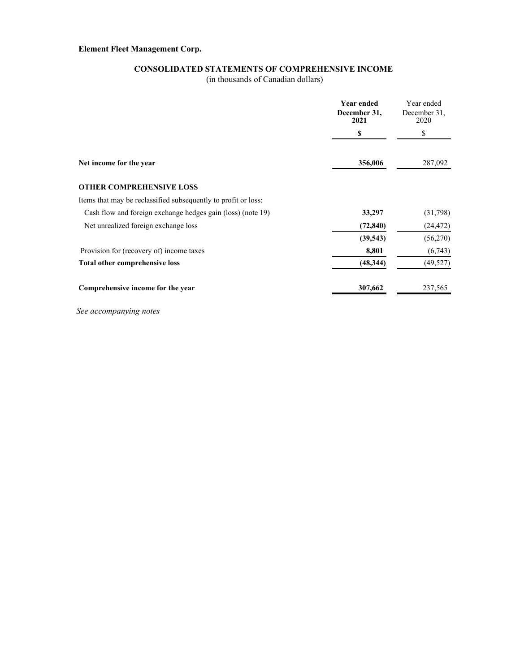### **CONSOLIDATED STATEMENTS OF COMPREHENSIVE INCOME**

(in thousands of Canadian dollars)

|                                                                | Year ended<br>December 31,<br>2021 | Year ended<br>December 31,<br>2020 |  |
|----------------------------------------------------------------|------------------------------------|------------------------------------|--|
|                                                                | \$                                 | \$                                 |  |
| Net income for the year                                        | 356,006                            | 287,092                            |  |
| <b>OTHER COMPREHENSIVE LOSS</b>                                |                                    |                                    |  |
| Items that may be reclassified subsequently to profit or loss: |                                    |                                    |  |
| Cash flow and foreign exchange hedges gain (loss) (note 19)    | 33,297                             | (31,798)                           |  |
| Net unrealized foreign exchange loss                           | (72, 840)                          | (24, 472)                          |  |
|                                                                | (39, 543)                          | (56,270)                           |  |
| Provision for (recovery of) income taxes                       | 8,801                              | (6,743)                            |  |
| Total other comprehensive loss                                 | (48, 344)                          | (49, 527)                          |  |
| Comprehensive income for the year                              | 307,662                            | 237,565                            |  |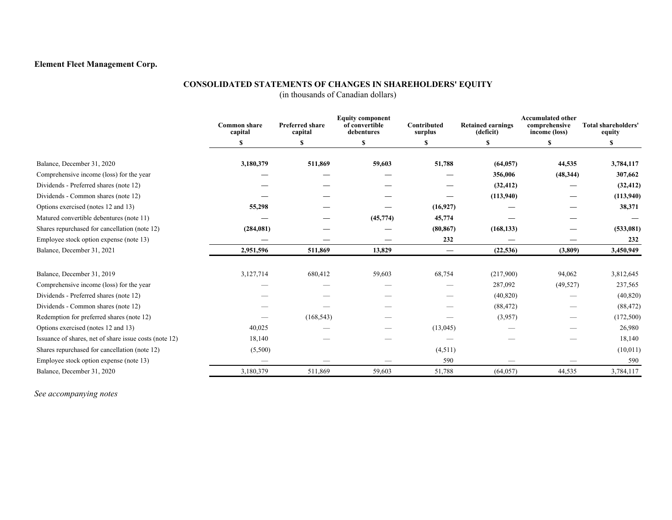### **CONSOLIDATED STATEMENTS OF CHANGES IN SHAREHOLDERS' EQUITY**

(in thousands of Canadian dollars)

|                                                        | <b>Common share</b><br>capital | <b>Preferred share</b><br>capital | <b>Equity component</b><br>of convertible<br>debentures | Contributed<br>surplus | <b>Retained earnings</b><br>(deficit) | <b>Accumulated other</b><br>comprehensive<br>income (loss) | <b>Total shareholders'</b><br>equity |
|--------------------------------------------------------|--------------------------------|-----------------------------------|---------------------------------------------------------|------------------------|---------------------------------------|------------------------------------------------------------|--------------------------------------|
|                                                        | S                              | \$                                | \$                                                      | S                      | S                                     | S                                                          | \$                                   |
| Balance, December 31, 2020                             | 3,180,379                      | 511,869                           | 59,603                                                  | 51,788                 | (64, 057)                             | 44,535                                                     | 3,784,117                            |
| Comprehensive income (loss) for the year               |                                |                                   |                                                         |                        | 356,006                               | (48, 344)                                                  | 307,662                              |
| Dividends - Preferred shares (note 12)                 |                                |                                   |                                                         |                        | (32, 412)                             |                                                            | (32, 412)                            |
| Dividends - Common shares (note 12)                    |                                |                                   |                                                         |                        | (113,940)                             |                                                            | (113,940)                            |
| Options exercised (notes 12 and 13)                    | 55,298                         |                                   |                                                         | (16, 927)              |                                       |                                                            | 38,371                               |
| Matured convertible debentures (note 11)               |                                |                                   | (45, 774)                                               | 45,774                 |                                       |                                                            |                                      |
| Shares repurchased for cancellation (note 12)          | (284, 081)                     |                                   |                                                         | (80, 867)              | (168, 133)                            |                                                            | (533,081)                            |
| Employee stock option expense (note 13)                |                                |                                   |                                                         | 232                    |                                       |                                                            | 232                                  |
| Balance, December 31, 2021                             | 2,951,596                      | 511,869                           | 13,829                                                  |                        | (22, 536)                             | (3,809)                                                    | 3,450,949                            |
| Balance, December 31, 2019                             | 3,127,714                      | 680,412                           | 59,603                                                  | 68,754                 | (217,900)                             | 94,062                                                     | 3,812,645                            |
| Comprehensive income (loss) for the year               |                                |                                   |                                                         |                        | 287,092                               | (49, 527)                                                  | 237,565                              |
| Dividends - Preferred shares (note 12)                 |                                |                                   |                                                         |                        | (40, 820)                             |                                                            | (40, 820)                            |
| Dividends - Common shares (note 12)                    |                                |                                   |                                                         |                        | (88, 472)                             |                                                            | (88, 472)                            |
| Redemption for preferred shares (note 12)              |                                | (168, 543)                        |                                                         |                        | (3,957)                               |                                                            | (172,500)                            |
| Options exercised (notes 12 and 13)                    | 40,025                         |                                   |                                                         | (13,045)               |                                       |                                                            | 26,980                               |
| Issuance of shares, net of share issue costs (note 12) | 18,140                         |                                   |                                                         |                        |                                       |                                                            | 18,140                               |
| Shares repurchased for cancellation (note 12)          | (5,500)                        |                                   |                                                         | (4,511)                |                                       |                                                            | (10, 011)                            |
| Employee stock option expense (note 13)                |                                |                                   |                                                         | 590                    |                                       |                                                            | 590                                  |
| Balance, December 31, 2020                             | 3,180,379                      | 511,869                           | 59,603                                                  | 51,788                 | (64, 057)                             | 44,535                                                     | 3,784,117                            |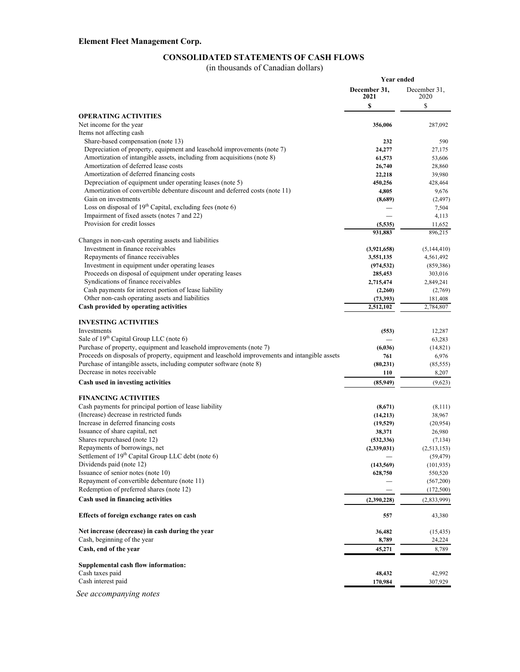## **CONSOLIDATED STATEMENTS OF CASH FLOWS**

(in thousands of Canadian dollars)

|                                                                                                                 | Year ended            |                         |
|-----------------------------------------------------------------------------------------------------------------|-----------------------|-------------------------|
|                                                                                                                 | December 31,<br>2021  | December 31,<br>2020    |
|                                                                                                                 | \$                    | \$                      |
| <b>OPERATING ACTIVITIES</b>                                                                                     |                       |                         |
| Net income for the year                                                                                         | 356,006               | 287,092                 |
| Items not affecting cash                                                                                        |                       |                         |
| Share-based compensation (note 13)                                                                              | 232                   | 590                     |
| Depreciation of property, equipment and leasehold improvements (note 7)                                         | 24,277                | 27,175                  |
| Amortization of intangible assets, including from acquisitions (note 8)<br>Amortization of deferred lease costs | 61,573<br>26,740      | 53,606<br>28,860        |
| Amortization of deferred financing costs                                                                        | 22,218                | 39,980                  |
| Depreciation of equipment under operating leases (note 5)                                                       | 450,256               | 428,464                 |
| Amortization of convertible debenture discount and deferred costs (note 11)                                     | 4,805                 | 9,676                   |
| Gain on investments                                                                                             | (8,689)               | (2, 497)                |
| Loss on disposal of $19th$ Capital, excluding fees (note 6)                                                     |                       | 7,504                   |
| Impairment of fixed assets (notes 7 and 22)                                                                     |                       | 4,113                   |
| Provision for credit losses                                                                                     | (5, 535)              | 11,652                  |
|                                                                                                                 | 931,883               | 896,215                 |
| Changes in non-cash operating assets and liabilities                                                            |                       |                         |
| Investment in finance receivables                                                                               | (3,921,658)           | (5,144,410)             |
| Repayments of finance receivables                                                                               | 3,551,135             | 4,561,492               |
| Investment in equipment under operating leases                                                                  | (974, 532)            | (859, 386)              |
| Proceeds on disposal of equipment under operating leases                                                        | 285,453               | 303,016                 |
| Syndications of finance receivables                                                                             | 2,715,474             | 2,849,241               |
| Cash payments for interest portion of lease liability                                                           | (2,260)               | (2,769)                 |
| Other non-cash operating assets and liabilities                                                                 | (73, 393)             | 181,408                 |
| Cash provided by operating activities                                                                           | 2,512,102             | 2,784,807               |
| <b>INVESTING ACTIVITIES</b>                                                                                     |                       |                         |
| Investments                                                                                                     | (553)                 | 12,287                  |
| Sale of 19 <sup>th</sup> Capital Group LLC (note 6)                                                             |                       | 63,283                  |
| Purchase of property, equipment and leasehold improvements (note 7)                                             | (6,036)               | (14, 821)               |
| Proceeds on disposals of property, equipment and leasehold improvements and intangible assets                   | 761                   | 6,976                   |
| Purchase of intangible assets, including computer software (note 8)                                             | (80, 231)             | (85, 555)               |
| Decrease in notes receivable                                                                                    | 110                   | 8,207                   |
| Cash used in investing activities                                                                               | (85,949)              | (9,623)                 |
|                                                                                                                 |                       |                         |
| <b>FINANCING ACTIVITIES</b>                                                                                     |                       |                         |
| Cash payments for principal portion of lease liability                                                          | (8,671)               | (8,111)                 |
| (Increase) decrease in restricted funds                                                                         | (14,213)              | 38,967                  |
| Increase in deferred financing costs                                                                            | (19, 529)             | (20, 954)               |
| Issuance of share capital, net                                                                                  | 38,371                | 26,980                  |
| Shares repurchased (note 12)                                                                                    | (532, 336)            | (7, 134)                |
| Repayments of borrowings, net<br>Settlement of 19 <sup>th</sup> Capital Group LLC debt (note 6)                 | (2,339,031)           | (2,513,153)             |
| Dividends paid (note 12)                                                                                        |                       | (59, 479)<br>(101, 935) |
| Issuance of senior notes (note 10)                                                                              | (143, 569)<br>628,750 | 550,520                 |
| Repayment of convertible debenture (note 11)                                                                    |                       | (567,200)               |
| Redemption of preferred shares (note 12)                                                                        |                       | (172, 500)              |
| Cash used in financing activities                                                                               | (2,390,228)           | (2,833,999)             |
|                                                                                                                 |                       |                         |
| Effects of foreign exchange rates on cash                                                                       | 557                   | 43,380                  |
| Net increase (decrease) in cash during the year                                                                 | 36,482                | (15, 435)               |
| Cash, beginning of the year                                                                                     | 8,789                 | 24,224                  |
| Cash, end of the year                                                                                           | 45,271                | 8,789                   |
|                                                                                                                 |                       |                         |
| Supplemental cash flow information:                                                                             |                       |                         |
| Cash taxes paid                                                                                                 | 48,432                | 42,992                  |
| Cash interest paid                                                                                              | 170,984               | 307,929                 |
| $\Gamma$ aa aaaamnamiing notas                                                                                  |                       |                         |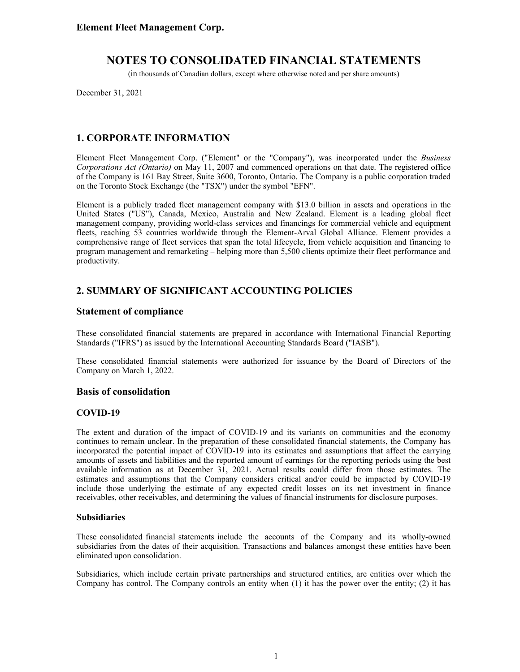(in thousands of Canadian dollars, except where otherwise noted and per share amounts)

December 31, 2021

### **1. CORPORATE INFORMATION**

Element Fleet Management Corp. ("Element" or the "Company"), was incorporated under the *Business Corporations Act (Ontario)* on May 11, 2007 and commenced operations on that date. The registered office of the Company is 161 Bay Street, Suite 3600, Toronto, Ontario. The Company is a public corporation traded on the Toronto Stock Exchange (the "TSX") under the symbol "EFN".

Element is a publicly traded fleet management company with \$13.0 billion in assets and operations in the United States ("US"), Canada, Mexico, Australia and New Zealand. Element is a leading global fleet management company, providing world-class services and financings for commercial vehicle and equipment fleets, reaching 53 countries worldwide through the Element-Arval Global Alliance. Element provides a comprehensive range of fleet services that span the total lifecycle, from vehicle acquisition and financing to program management and remarketing – helping more than 5,500 clients optimize their fleet performance and productivity.

### **2. SUMMARY OF SIGNIFICANT ACCOUNTING POLICIES**

### **Statement of compliance**

These consolidated financial statements are prepared in accordance with International Financial Reporting Standards ("IFRS") as issued by the International Accounting Standards Board ("IASB").

These consolidated financial statements were authorized for issuance by the Board of Directors of the Company on March 1, 2022.

### **Basis of consolidation**

#### **COVID-19**

The extent and duration of the impact of COVID-19 and its variants on communities and the economy continues to remain unclear. In the preparation of these consolidated financial statements, the Company has incorporated the potential impact of COVID-19 into its estimates and assumptions that affect the carrying amounts of assets and liabilities and the reported amount of earnings for the reporting periods using the best available information as at December 31, 2021. Actual results could differ from those estimates. The estimates and assumptions that the Company considers critical and/or could be impacted by COVID-19 include those underlying the estimate of any expected credit losses on its net investment in finance receivables, other receivables, and determining the values of financial instruments for disclosure purposes.

#### **Subsidiaries**

These consolidated financial statements include the accounts of the Company and its wholly-owned subsidiaries from the dates of their acquisition. Transactions and balances amongst these entities have been eliminated upon consolidation.

Subsidiaries, which include certain private partnerships and structured entities, are entities over which the Company has control. The Company controls an entity when (1) it has the power over the entity; (2) it has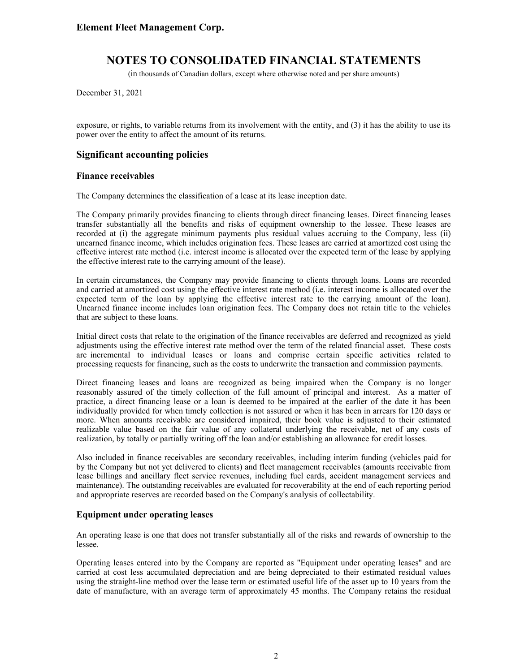(in thousands of Canadian dollars, except where otherwise noted and per share amounts)

December 31, 2021

exposure, or rights, to variable returns from its involvement with the entity, and (3) it has the ability to use its power over the entity to affect the amount of its returns.

### **Significant accounting policies**

#### **Finance receivables**

The Company determines the classification of a lease at its lease inception date.

The Company primarily provides financing to clients through direct financing leases. Direct financing leases transfer substantially all the benefits and risks of equipment ownership to the lessee. These leases are recorded at (i) the aggregate minimum payments plus residual values accruing to the Company, less (ii) unearned finance income, which includes origination fees. These leases are carried at amortized cost using the effective interest rate method (i.e. interest income is allocated over the expected term of the lease by applying the effective interest rate to the carrying amount of the lease).

In certain circumstances, the Company may provide financing to clients through loans. Loans are recorded and carried at amortized cost using the effective interest rate method (i.e. interest income is allocated over the expected term of the loan by applying the effective interest rate to the carrying amount of the loan). Unearned finance income includes loan origination fees. The Company does not retain title to the vehicles that are subject to these loans.

Initial direct costs that relate to the origination of the finance receivables are deferred and recognized as yield adjustments using the effective interest rate method over the term of the related financial asset. These costs are incremental to individual leases or loans and comprise certain specific activities related to processing requests for financing, such as the costs to underwrite the transaction and commission payments.

Direct financing leases and loans are recognized as being impaired when the Company is no longer reasonably assured of the timely collection of the full amount of principal and interest. As a matter of practice, a direct financing lease or a loan is deemed to be impaired at the earlier of the date it has been individually provided for when timely collection is not assured or when it has been in arrears for 120 days or more. When amounts receivable are considered impaired, their book value is adjusted to their estimated realizable value based on the fair value of any collateral underlying the receivable, net of any costs of realization, by totally or partially writing off the loan and/or establishing an allowance for credit losses.

Also included in finance receivables are secondary receivables, including interim funding (vehicles paid for by the Company but not yet delivered to clients) and fleet management receivables (amounts receivable from lease billings and ancillary fleet service revenues, including fuel cards, accident management services and maintenance). The outstanding receivables are evaluated for recoverability at the end of each reporting period and appropriate reserves are recorded based on the Company's analysis of collectability.

#### **Equipment under operating leases**

An operating lease is one that does not transfer substantially all of the risks and rewards of ownership to the lessee.

Operating leases entered into by the Company are reported as "Equipment under operating leases" and are carried at cost less accumulated depreciation and are being depreciated to their estimated residual values using the straight-line method over the lease term or estimated useful life of the asset up to 10 years from the date of manufacture, with an average term of approximately 45 months. The Company retains the residual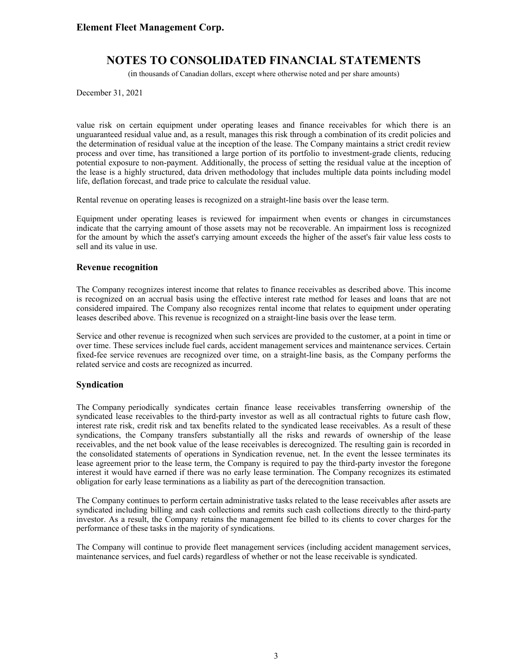(in thousands of Canadian dollars, except where otherwise noted and per share amounts)

December 31, 2021

value risk on certain equipment under operating leases and finance receivables for which there is an unguaranteed residual value and, as a result, manages this risk through a combination of its credit policies and the determination of residual value at the inception of the lease. The Company maintains a strict credit review process and over time, has transitioned a large portion of its portfolio to investment-grade clients, reducing potential exposure to non-payment. Additionally, the process of setting the residual value at the inception of the lease is a highly structured, data driven methodology that includes multiple data points including model life, deflation forecast, and trade price to calculate the residual value.

Rental revenue on operating leases is recognized on a straight-line basis over the lease term.

Equipment under operating leases is reviewed for impairment when events or changes in circumstances indicate that the carrying amount of those assets may not be recoverable. An impairment loss is recognized for the amount by which the asset's carrying amount exceeds the higher of the asset's fair value less costs to sell and its value in use.

#### **Revenue recognition**

The Company recognizes interest income that relates to finance receivables as described above. This income is recognized on an accrual basis using the effective interest rate method for leases and loans that are not considered impaired. The Company also recognizes rental income that relates to equipment under operating leases described above. This revenue is recognized on a straight-line basis over the lease term.

Service and other revenue is recognized when such services are provided to the customer, at a point in time or over time. These services include fuel cards, accident management services and maintenance services. Certain fixed-fee service revenues are recognized over time, on a straight-line basis, as the Company performs the related service and costs are recognized as incurred.

#### **Syndication**

The Company periodically syndicates certain finance lease receivables transferring ownership of the syndicated lease receivables to the third-party investor as well as all contractual rights to future cash flow, interest rate risk, credit risk and tax benefits related to the syndicated lease receivables. As a result of these syndications, the Company transfers substantially all the risks and rewards of ownership of the lease receivables, and the net book value of the lease receivables is derecognized. The resulting gain is recorded in the consolidated statements of operations in Syndication revenue, net. In the event the lessee terminates its lease agreement prior to the lease term, the Company is required to pay the third-party investor the foregone interest it would have earned if there was no early lease termination. The Company recognizes its estimated obligation for early lease terminations as a liability as part of the derecognition transaction.

The Company continues to perform certain administrative tasks related to the lease receivables after assets are syndicated including billing and cash collections and remits such cash collections directly to the third-party investor. As a result, the Company retains the management fee billed to its clients to cover charges for the performance of these tasks in the majority of syndications.

The Company will continue to provide fleet management services (including accident management services, maintenance services, and fuel cards) regardless of whether or not the lease receivable is syndicated.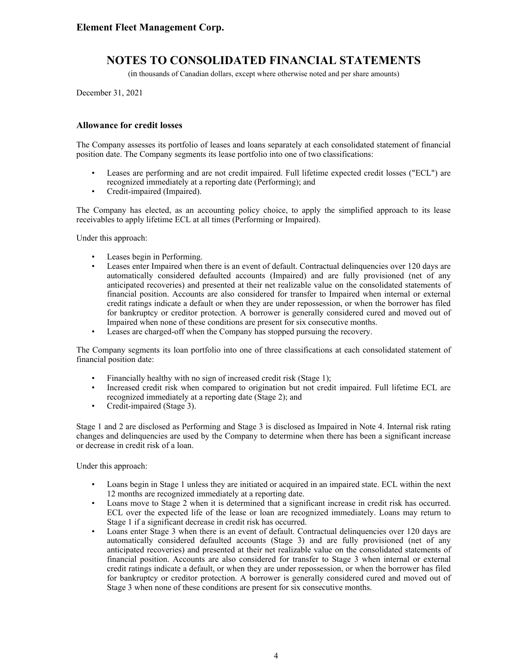(in thousands of Canadian dollars, except where otherwise noted and per share amounts)

December 31, 2021

#### **Allowance for credit losses**

The Company assesses its portfolio of leases and loans separately at each consolidated statement of financial position date. The Company segments its lease portfolio into one of two classifications:

- Leases are performing and are not credit impaired. Full lifetime expected credit losses ("ECL") are recognized immediately at a reporting date (Performing); and
- Credit-impaired (Impaired).

The Company has elected, as an accounting policy choice, to apply the simplified approach to its lease receivables to apply lifetime ECL at all times (Performing or Impaired).

Under this approach:

- Leases begin in Performing.
- Leases enter Impaired when there is an event of default. Contractual delinquencies over 120 days are automatically considered defaulted accounts (Impaired) and are fully provisioned (net of any anticipated recoveries) and presented at their net realizable value on the consolidated statements of financial position. Accounts are also considered for transfer to Impaired when internal or external credit ratings indicate a default or when they are under repossession, or when the borrower has filed for bankruptcy or creditor protection. A borrower is generally considered cured and moved out of Impaired when none of these conditions are present for six consecutive months.
- Leases are charged-off when the Company has stopped pursuing the recovery.

The Company segments its loan portfolio into one of three classifications at each consolidated statement of financial position date:

- Financially healthy with no sign of increased credit risk (Stage 1);
- Increased credit risk when compared to origination but not credit impaired. Full lifetime ECL are recognized immediately at a reporting date (Stage 2); and
- Credit-impaired (Stage 3).

Stage 1 and 2 are disclosed as Performing and Stage 3 is disclosed as Impaired in Note 4. Internal risk rating changes and delinquencies are used by the Company to determine when there has been a significant increase or decrease in credit risk of a loan.

Under this approach:

- Loans begin in Stage 1 unless they are initiated or acquired in an impaired state. ECL within the next 12 months are recognized immediately at a reporting date.
- Loans move to Stage 2 when it is determined that a significant increase in credit risk has occurred. ECL over the expected life of the lease or loan are recognized immediately. Loans may return to Stage 1 if a significant decrease in credit risk has occurred.
- Loans enter Stage 3 when there is an event of default. Contractual delinquencies over 120 days are automatically considered defaulted accounts (Stage 3) and are fully provisioned (net of any anticipated recoveries) and presented at their net realizable value on the consolidated statements of financial position. Accounts are also considered for transfer to Stage 3 when internal or external credit ratings indicate a default, or when they are under repossession, or when the borrower has filed for bankruptcy or creditor protection. A borrower is generally considered cured and moved out of Stage 3 when none of these conditions are present for six consecutive months.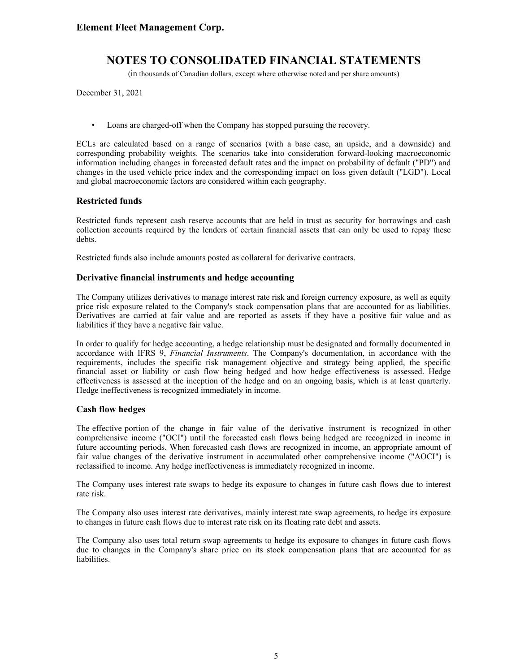(in thousands of Canadian dollars, except where otherwise noted and per share amounts)

December 31, 2021

• Loans are charged-off when the Company has stopped pursuing the recovery.

ECLs are calculated based on a range of scenarios (with a base case, an upside, and a downside) and corresponding probability weights. The scenarios take into consideration forward-looking macroeconomic information including changes in forecasted default rates and the impact on probability of default ("PD") and changes in the used vehicle price index and the corresponding impact on loss given default ("LGD"). Local and global macroeconomic factors are considered within each geography.

### **Restricted funds**

Restricted funds represent cash reserve accounts that are held in trust as security for borrowings and cash collection accounts required by the lenders of certain financial assets that can only be used to repay these debts.

Restricted funds also include amounts posted as collateral for derivative contracts.

### **Derivative financial instruments and hedge accounting**

The Company utilizes derivatives to manage interest rate risk and foreign currency exposure, as well as equity price risk exposure related to the Company's stock compensation plans that are accounted for as liabilities. Derivatives are carried at fair value and are reported as assets if they have a positive fair value and as liabilities if they have a negative fair value.

In order to qualify for hedge accounting, a hedge relationship must be designated and formally documented in accordance with IFRS 9, *Financial Instruments*. The Company's documentation, in accordance with the requirements, includes the specific risk management objective and strategy being applied, the specific financial asset or liability or cash flow being hedged and how hedge effectiveness is assessed. Hedge effectiveness is assessed at the inception of the hedge and on an ongoing basis, which is at least quarterly. Hedge ineffectiveness is recognized immediately in income.

#### **Cash flow hedges**

The effective portion of the change in fair value of the derivative instrument is recognized in other comprehensive income ("OCI") until the forecasted cash flows being hedged are recognized in income in future accounting periods. When forecasted cash flows are recognized in income, an appropriate amount of fair value changes of the derivative instrument in accumulated other comprehensive income ("AOCI") is reclassified to income. Any hedge ineffectiveness is immediately recognized in income.

The Company uses interest rate swaps to hedge its exposure to changes in future cash flows due to interest rate risk.

The Company also uses interest rate derivatives, mainly interest rate swap agreements, to hedge its exposure to changes in future cash flows due to interest rate risk on its floating rate debt and assets.

The Company also uses total return swap agreements to hedge its exposure to changes in future cash flows due to changes in the Company's share price on its stock compensation plans that are accounted for as liabilities.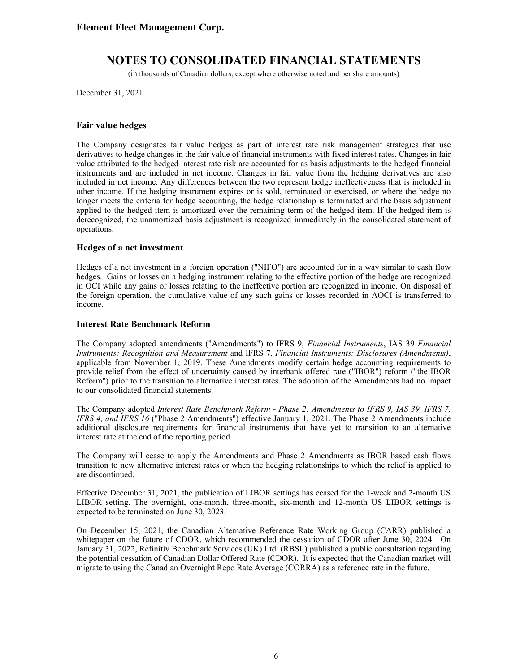(in thousands of Canadian dollars, except where otherwise noted and per share amounts)

December 31, 2021

#### **Fair value hedges**

The Company designates fair value hedges as part of interest rate risk management strategies that use derivatives to hedge changes in the fair value of financial instruments with fixed interest rates. Changes in fair value attributed to the hedged interest rate risk are accounted for as basis adjustments to the hedged financial instruments and are included in net income. Changes in fair value from the hedging derivatives are also included in net income. Any differences between the two represent hedge ineffectiveness that is included in other income. If the hedging instrument expires or is sold, terminated or exercised, or where the hedge no longer meets the criteria for hedge accounting, the hedge relationship is terminated and the basis adjustment applied to the hedged item is amortized over the remaining term of the hedged item. If the hedged item is derecognized, the unamortized basis adjustment is recognized immediately in the consolidated statement of operations.

### **Hedges of a net investment**

Hedges of a net investment in a foreign operation ("NIFO") are accounted for in a way similar to cash flow hedges. Gains or losses on a hedging instrument relating to the effective portion of the hedge are recognized in OCI while any gains or losses relating to the ineffective portion are recognized in income. On disposal of the foreign operation, the cumulative value of any such gains or losses recorded in AOCI is transferred to income.

### **Interest Rate Benchmark Reform**

The Company adopted amendments ("Amendments") to IFRS 9, *Financial Instruments*, IAS 39 *Financial Instruments: Recognition and Measurement* and IFRS 7, *Financial Instruments: Disclosures (Amendments)*, applicable from November 1, 2019. These Amendments modify certain hedge accounting requirements to provide relief from the effect of uncertainty caused by interbank offered rate ("IBOR") reform ("the IBOR Reform") prior to the transition to alternative interest rates. The adoption of the Amendments had no impact to our consolidated financial statements.

The Company adopted *Interest Rate Benchmark Reform - Phase 2: Amendments to IFRS 9, IAS 39, IFRS 7, IFRS 4, and IFRS 16* ("Phase 2 Amendments") effective January 1, 2021. The Phase 2 Amendments include additional disclosure requirements for financial instruments that have yet to transition to an alternative interest rate at the end of the reporting period.

The Company will cease to apply the Amendments and Phase 2 Amendments as IBOR based cash flows transition to new alternative interest rates or when the hedging relationships to which the relief is applied to are discontinued.

Effective December 31, 2021, the publication of LIBOR settings has ceased for the 1-week and 2-month US LIBOR setting. The overnight, one-month, three-month, six-month and 12-month US LIBOR settings is expected to be terminated on June 30, 2023.

On December 15, 2021, the Canadian Alternative Reference Rate Working Group (CARR) published a whitepaper on the future of CDOR, which recommended the cessation of CDOR after June 30, 2024. On January 31, 2022, Refinitiv Benchmark Services (UK) Ltd. (RBSL) published a public consultation regarding the potential cessation of Canadian Dollar Offered Rate (CDOR). It is expected that the Canadian market will migrate to using the Canadian Overnight Repo Rate Average (CORRA) as a reference rate in the future.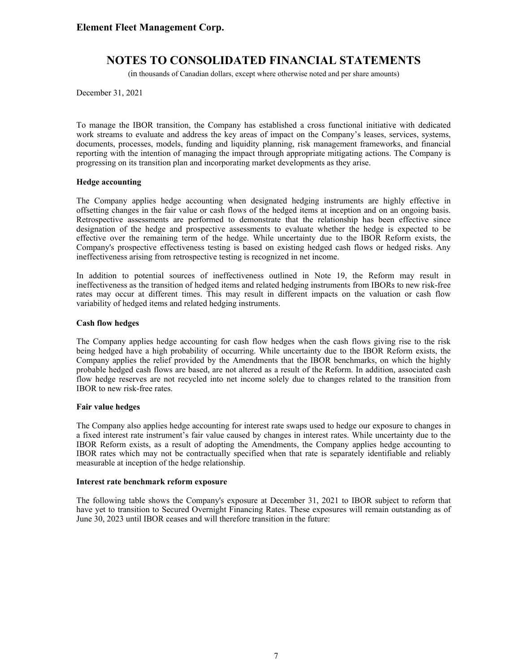(in thousands of Canadian dollars, except where otherwise noted and per share amounts)

December 31, 2021

To manage the IBOR transition, the Company has established a cross functional initiative with dedicated work streams to evaluate and address the key areas of impact on the Company's leases, services, systems, documents, processes, models, funding and liquidity planning, risk management frameworks, and financial reporting with the intention of managing the impact through appropriate mitigating actions. The Company is progressing on its transition plan and incorporating market developments as they arise.

#### **Hedge accounting**

The Company applies hedge accounting when designated hedging instruments are highly effective in offsetting changes in the fair value or cash flows of the hedged items at inception and on an ongoing basis. Retrospective assessments are performed to demonstrate that the relationship has been effective since designation of the hedge and prospective assessments to evaluate whether the hedge is expected to be effective over the remaining term of the hedge. While uncertainty due to the IBOR Reform exists, the Company's prospective effectiveness testing is based on existing hedged cash flows or hedged risks. Any ineffectiveness arising from retrospective testing is recognized in net income.

In addition to potential sources of ineffectiveness outlined in Note 19, the Reform may result in ineffectiveness as the transition of hedged items and related hedging instruments from IBORs to new risk-free rates may occur at different times. This may result in different impacts on the valuation or cash flow variability of hedged items and related hedging instruments.

#### **Cash flow hedges**

The Company applies hedge accounting for cash flow hedges when the cash flows giving rise to the risk being hedged have a high probability of occurring. While uncertainty due to the IBOR Reform exists, the Company applies the relief provided by the Amendments that the IBOR benchmarks, on which the highly probable hedged cash flows are based, are not altered as a result of the Reform. In addition, associated cash flow hedge reserves are not recycled into net income solely due to changes related to the transition from IBOR to new risk-free rates.

#### **Fair value hedges**

The Company also applies hedge accounting for interest rate swaps used to hedge our exposure to changes in a fixed interest rate instrument's fair value caused by changes in interest rates. While uncertainty due to the IBOR Reform exists, as a result of adopting the Amendments, the Company applies hedge accounting to IBOR rates which may not be contractually specified when that rate is separately identifiable and reliably measurable at inception of the hedge relationship.

#### **Interest rate benchmark reform exposure**

The following table shows the Company's exposure at December 31, 2021 to IBOR subject to reform that have yet to transition to Secured Overnight Financing Rates. These exposures will remain outstanding as of June 30, 2023 until IBOR ceases and will therefore transition in the future: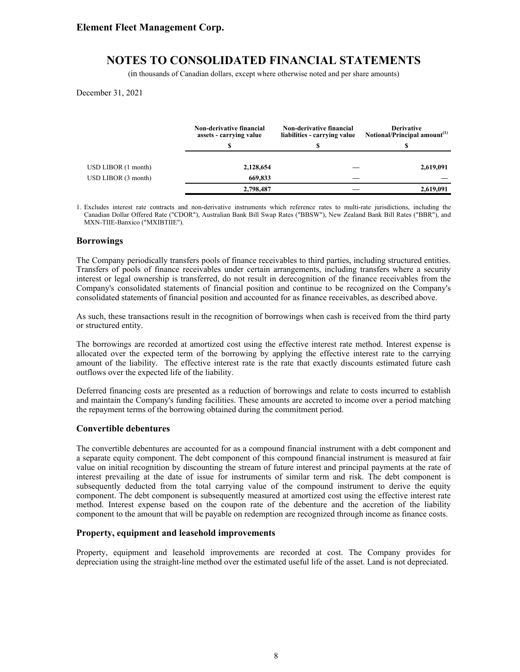(in thousands of Canadian dollars, except where otherwise noted and per share amounts)

December 31, 2021

|                                          | <b>Non-derivative financial</b><br>assets - carrying value | <b>Non-derivative financial</b><br>liabilities - carrying value | <b>Derivative</b><br>Notional/Principal amount <sup>(1)</sup> |
|------------------------------------------|------------------------------------------------------------|-----------------------------------------------------------------|---------------------------------------------------------------|
| USD LIBOR(1 month)<br>USD LIBOR(3 month) | 2,128,654<br>669.833                                       |                                                                 | 2,619,091                                                     |
|                                          | 2,798,487                                                  |                                                                 | 2,619,091                                                     |

1. Excludes interest rate contracts and non-derivative instruments which reference rates to multi-rate jurisdictions, including the Canadian Dollar Offered Rate ("CDOR"), Australian Bank Bill Swap Rates ("BBSW"), New Zealand Bank Bill Rates ("BBR"), and MXN-TIIE-Banxico ("MXIBTIIE").

#### **Borrowings**

The Company periodically transfers pools of finance receivables to third parties, including structured entities. Transfers of pools of finance receivables under certain arrangements, including transfers where a security interest or legal ownership is transferred, do not result in derecognition of the finance receivables from the Company's consolidated statements of financial position and continue to be recognized on the Company's consolidated statements of financial position and accounted for as finance receivables, as described above.

As such, these transactions result in the recognition of borrowings when cash is received from the third party or structured entity.

The borrowings are recorded at amortized cost using the effective interest rate method. Interest expense is allocated over the expected term of the borrowing by applying the effective interest rate to the carrying amount of the liability. The effective interest rate is the rate that exactly discounts estimated future cash outflows over the expected life of the liability.

Deferred financing costs are presented as a reduction of borrowings and relate to costs incurred to establish and maintain the Company's funding facilities. These amounts are accreted to income over a period matching the repayment terms of the borrowing obtained during the commitment period.

#### **Convertible debentures**

The convertible debentures are accounted for as a compound financial instrument with a debt component and a separate equity component. The debt component of this compound financial instrument is measured at fair value on initial recognition by discounting the stream of future interest and principal payments at the rate of interest prevailing at the date of issue for instruments of similar term and risk. The debt component is subsequently deducted from the total carrying value of the compound instrument to derive the equity component. The debt component is subsequently measured at amortized cost using the effective interest rate method. Interest expense based on the coupon rate of the debenture and the accretion of the liability component to the amount that will be payable on redemption are recognized through income as finance costs.

#### **Property, equipment and leasehold improvements**

Property, equipment and leasehold improvements are recorded at cost. The Company provides for depreciation using the straight-line method over the estimated useful life of the asset. Land is not depreciated.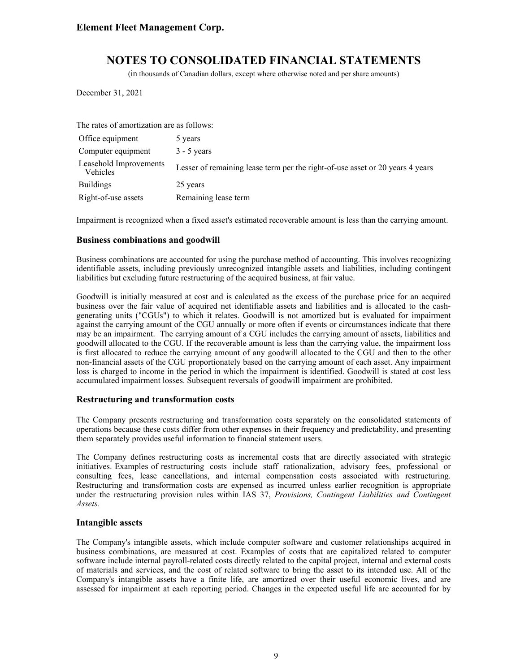(in thousands of Canadian dollars, except where otherwise noted and per share amounts)

December 31, 2021

The rates of amortization are as follows:

| Office equipment                   | 5 years                                                                       |
|------------------------------------|-------------------------------------------------------------------------------|
| Computer equipment                 | $3 - 5$ years                                                                 |
| Leasehold Improvements<br>Vehicles | Lesser of remaining lease term per the right-of-use asset or 20 years 4 years |
| <b>Buildings</b>                   | 25 years                                                                      |
| Right-of-use assets                | Remaining lease term                                                          |

Impairment is recognized when a fixed asset's estimated recoverable amount is less than the carrying amount.

#### **Business combinations and goodwill**

Business combinations are accounted for using the purchase method of accounting. This involves recognizing identifiable assets, including previously unrecognized intangible assets and liabilities, including contingent liabilities but excluding future restructuring of the acquired business, at fair value.

Goodwill is initially measured at cost and is calculated as the excess of the purchase price for an acquired business over the fair value of acquired net identifiable assets and liabilities and is allocated to the cashgenerating units ("CGUs") to which it relates. Goodwill is not amortized but is evaluated for impairment against the carrying amount of the CGU annually or more often if events or circumstances indicate that there may be an impairment. The carrying amount of a CGU includes the carrying amount of assets, liabilities and goodwill allocated to the CGU. If the recoverable amount is less than the carrying value, the impairment loss is first allocated to reduce the carrying amount of any goodwill allocated to the CGU and then to the other non-financial assets of the CGU proportionately based on the carrying amount of each asset. Any impairment loss is charged to income in the period in which the impairment is identified. Goodwill is stated at cost less accumulated impairment losses. Subsequent reversals of goodwill impairment are prohibited.

#### **Restructuring and transformation costs**

The Company presents restructuring and transformation costs separately on the consolidated statements of operations because these costs differ from other expenses in their frequency and predictability, and presenting them separately provides useful information to financial statement users.

The Company defines restructuring costs as incremental costs that are directly associated with strategic initiatives. Examples of restructuring costs include staff rationalization, advisory fees, professional or consulting fees, lease cancellations, and internal compensation costs associated with restructuring. Restructuring and transformation costs are expensed as incurred unless earlier recognition is appropriate under the restructuring provision rules within IAS 37, *Provisions, Contingent Liabilities and Contingent Assets.*

### **Intangible assets**

The Company's intangible assets, which include computer software and customer relationships acquired in business combinations, are measured at cost. Examples of costs that are capitalized related to computer software include internal payroll-related costs directly related to the capital project, internal and external costs of materials and services, and the cost of related software to bring the asset to its intended use. All of the Company's intangible assets have a finite life, are amortized over their useful economic lives, and are assessed for impairment at each reporting period. Changes in the expected useful life are accounted for by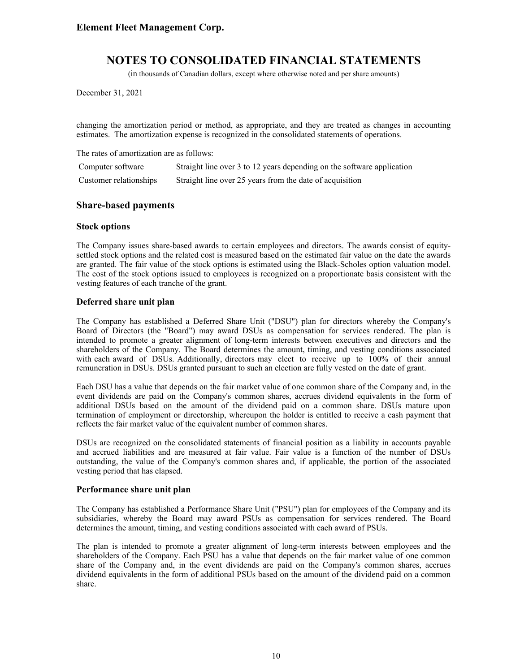(in thousands of Canadian dollars, except where otherwise noted and per share amounts)

December 31, 2021

changing the amortization period or method, as appropriate, and they are treated as changes in accounting estimates. The amortization expense is recognized in the consolidated statements of operations.

The rates of amortization are as follows:

| Computer software      | Straight line over 3 to 12 years depending on the software application |
|------------------------|------------------------------------------------------------------------|
| Customer relationships | Straight line over 25 years from the date of acquisition               |

### **Share-based payments**

#### **Stock options**

The Company issues share-based awards to certain employees and directors. The awards consist of equitysettled stock options and the related cost is measured based on the estimated fair value on the date the awards are granted. The fair value of the stock options is estimated using the Black-Scholes option valuation model. The cost of the stock options issued to employees is recognized on a proportionate basis consistent with the vesting features of each tranche of the grant.

#### **Deferred share unit plan**

The Company has established a Deferred Share Unit ("DSU") plan for directors whereby the Company's Board of Directors (the "Board") may award DSUs as compensation for services rendered. The plan is intended to promote a greater alignment of long-term interests between executives and directors and the shareholders of the Company. The Board determines the amount, timing, and vesting conditions associated with each award of DSUs. Additionally, directors may elect to receive up to 100% of their annual remuneration in DSUs. DSUs granted pursuant to such an election are fully vested on the date of grant.

Each DSU has a value that depends on the fair market value of one common share of the Company and, in the event dividends are paid on the Company's common shares, accrues dividend equivalents in the form of additional DSUs based on the amount of the dividend paid on a common share. DSUs mature upon termination of employment or directorship, whereupon the holder is entitled to receive a cash payment that reflects the fair market value of the equivalent number of common shares.

DSUs are recognized on the consolidated statements of financial position as a liability in accounts payable and accrued liabilities and are measured at fair value. Fair value is a function of the number of DSUs outstanding, the value of the Company's common shares and, if applicable, the portion of the associated vesting period that has elapsed.

#### **Performance share unit plan**

The Company has established a Performance Share Unit ("PSU") plan for employees of the Company and its subsidiaries, whereby the Board may award PSUs as compensation for services rendered. The Board determines the amount, timing, and vesting conditions associated with each award of PSUs.

The plan is intended to promote a greater alignment of long-term interests between employees and the shareholders of the Company. Each PSU has a value that depends on the fair market value of one common share of the Company and, in the event dividends are paid on the Company's common shares, accrues dividend equivalents in the form of additional PSUs based on the amount of the dividend paid on a common share.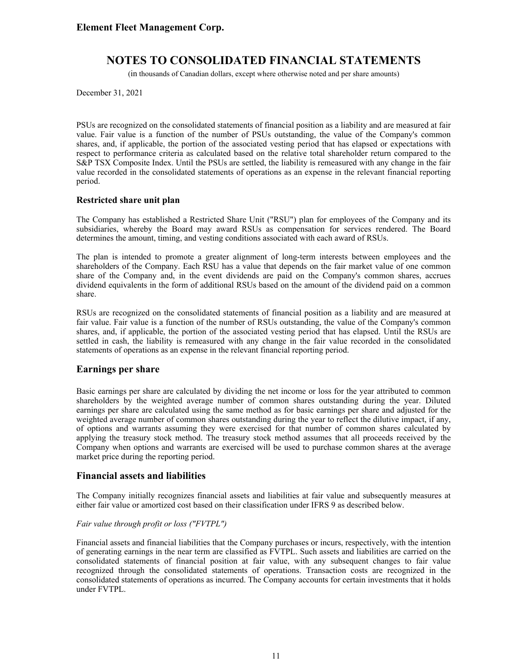(in thousands of Canadian dollars, except where otherwise noted and per share amounts)

December 31, 2021

PSUs are recognized on the consolidated statements of financial position as a liability and are measured at fair value. Fair value is a function of the number of PSUs outstanding, the value of the Company's common shares, and, if applicable, the portion of the associated vesting period that has elapsed or expectations with respect to performance criteria as calculated based on the relative total shareholder return compared to the S&P TSX Composite Index. Until the PSUs are settled, the liability is remeasured with any change in the fair value recorded in the consolidated statements of operations as an expense in the relevant financial reporting period.

#### **Restricted share unit plan**

The Company has established a Restricted Share Unit ("RSU") plan for employees of the Company and its subsidiaries, whereby the Board may award RSUs as compensation for services rendered. The Board determines the amount, timing, and vesting conditions associated with each award of RSUs.

The plan is intended to promote a greater alignment of long-term interests between employees and the shareholders of the Company. Each RSU has a value that depends on the fair market value of one common share of the Company and, in the event dividends are paid on the Company's common shares, accrues dividend equivalents in the form of additional RSUs based on the amount of the dividend paid on a common share.

RSUs are recognized on the consolidated statements of financial position as a liability and are measured at fair value. Fair value is a function of the number of RSUs outstanding, the value of the Company's common shares, and, if applicable, the portion of the associated vesting period that has elapsed. Until the RSUs are settled in cash, the liability is remeasured with any change in the fair value recorded in the consolidated statements of operations as an expense in the relevant financial reporting period.

### **Earnings per share**

Basic earnings per share are calculated by dividing the net income or loss for the year attributed to common shareholders by the weighted average number of common shares outstanding during the year. Diluted earnings per share are calculated using the same method as for basic earnings per share and adjusted for the weighted average number of common shares outstanding during the year to reflect the dilutive impact, if any, of options and warrants assuming they were exercised for that number of common shares calculated by applying the treasury stock method. The treasury stock method assumes that all proceeds received by the Company when options and warrants are exercised will be used to purchase common shares at the average market price during the reporting period.

### **Financial assets and liabilities**

The Company initially recognizes financial assets and liabilities at fair value and subsequently measures at either fair value or amortized cost based on their classification under IFRS 9 as described below.

#### *Fair value through profit or loss ("FVTPL")*

Financial assets and financial liabilities that the Company purchases or incurs, respectively, with the intention of generating earnings in the near term are classified as FVTPL. Such assets and liabilities are carried on the consolidated statements of financial position at fair value, with any subsequent changes to fair value recognized through the consolidated statements of operations. Transaction costs are recognized in the consolidated statements of operations as incurred. The Company accounts for certain investments that it holds under FVTPL.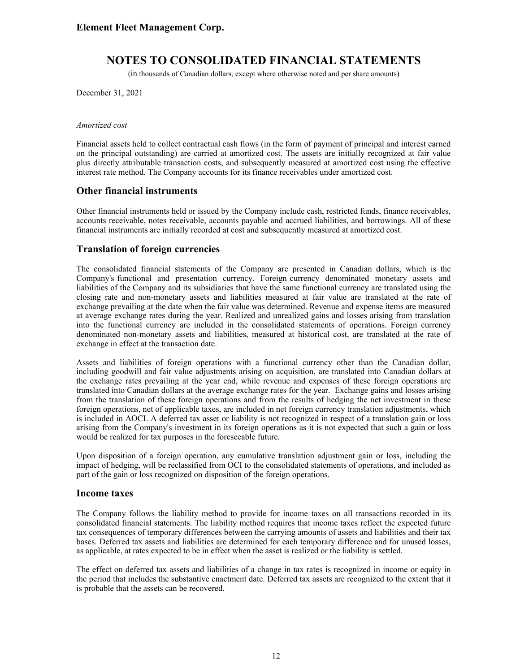(in thousands of Canadian dollars, except where otherwise noted and per share amounts)

December 31, 2021

#### *Amortized cost*

Financial assets held to collect contractual cash flows (in the form of payment of principal and interest earned on the principal outstanding) are carried at amortized cost. The assets are initially recognized at fair value plus directly attributable transaction costs, and subsequently measured at amortized cost using the effective interest rate method. The Company accounts for its finance receivables under amortized cost.

### **Other financial instruments**

Other financial instruments held or issued by the Company include cash, restricted funds, finance receivables, accounts receivable, notes receivable, accounts payable and accrued liabilities, and borrowings. All of these financial instruments are initially recorded at cost and subsequently measured at amortized cost.

### **Translation of foreign currencies**

The consolidated financial statements of the Company are presented in Canadian dollars, which is the Company's functional and presentation currency. Foreign currency denominated monetary assets and liabilities of the Company and its subsidiaries that have the same functional currency are translated using the closing rate and non-monetary assets and liabilities measured at fair value are translated at the rate of exchange prevailing at the date when the fair value was determined. Revenue and expense items are measured at average exchange rates during the year. Realized and unrealized gains and losses arising from translation into the functional currency are included in the consolidated statements of operations. Foreign currency denominated non-monetary assets and liabilities, measured at historical cost, are translated at the rate of exchange in effect at the transaction date.

Assets and liabilities of foreign operations with a functional currency other than the Canadian dollar, including goodwill and fair value adjustments arising on acquisition, are translated into Canadian dollars at the exchange rates prevailing at the year end, while revenue and expenses of these foreign operations are translated into Canadian dollars at the average exchange rates for the year. Exchange gains and losses arising from the translation of these foreign operations and from the results of hedging the net investment in these foreign operations, net of applicable taxes, are included in net foreign currency translation adjustments, which is included in AOCI. A deferred tax asset or liability is not recognized in respect of a translation gain or loss arising from the Company's investment in its foreign operations as it is not expected that such a gain or loss would be realized for tax purposes in the foreseeable future.

Upon disposition of a foreign operation, any cumulative translation adjustment gain or loss, including the impact of hedging, will be reclassified from OCI to the consolidated statements of operations, and included as part of the gain or loss recognized on disposition of the foreign operations.

#### **Income taxes**

The Company follows the liability method to provide for income taxes on all transactions recorded in its consolidated financial statements. The liability method requires that income taxes reflect the expected future tax consequences of temporary differences between the carrying amounts of assets and liabilities and their tax bases. Deferred tax assets and liabilities are determined for each temporary difference and for unused losses, as applicable, at rates expected to be in effect when the asset is realized or the liability is settled.

The effect on deferred tax assets and liabilities of a change in tax rates is recognized in income or equity in the period that includes the substantive enactment date. Deferred tax assets are recognized to the extent that it is probable that the assets can be recovered.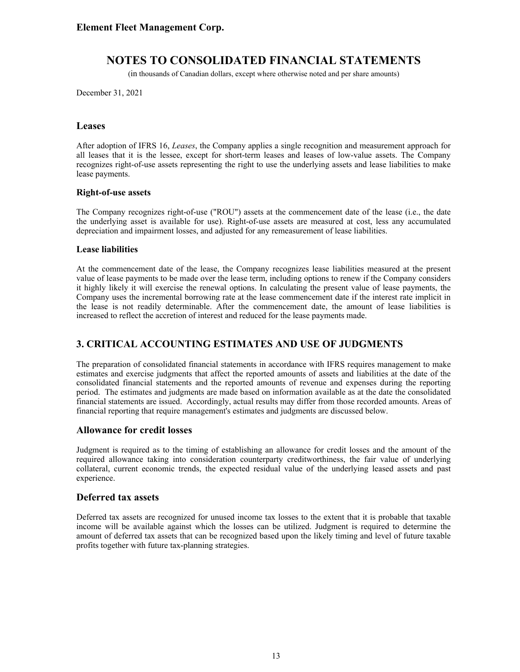(in thousands of Canadian dollars, except where otherwise noted and per share amounts)

December 31, 2021

### **Leases**

After adoption of IFRS 16, *Leases*, the Company applies a single recognition and measurement approach for all leases that it is the lessee, except for short-term leases and leases of low-value assets. The Company recognizes right-of-use assets representing the right to use the underlying assets and lease liabilities to make lease payments.

#### **Right-of-use assets**

The Company recognizes right-of-use ("ROU") assets at the commencement date of the lease (i.e., the date the underlying asset is available for use). Right-of-use assets are measured at cost, less any accumulated depreciation and impairment losses, and adjusted for any remeasurement of lease liabilities.

#### **Lease liabilities**

At the commencement date of the lease, the Company recognizes lease liabilities measured at the present value of lease payments to be made over the lease term, including options to renew if the Company considers it highly likely it will exercise the renewal options. In calculating the present value of lease payments, the Company uses the incremental borrowing rate at the lease commencement date if the interest rate implicit in the lease is not readily determinable. After the commencement date, the amount of lease liabilities is increased to reflect the accretion of interest and reduced for the lease payments made.

### **3. CRITICAL ACCOUNTING ESTIMATES AND USE OF JUDGMENTS**

The preparation of consolidated financial statements in accordance with IFRS requires management to make estimates and exercise judgments that affect the reported amounts of assets and liabilities at the date of the consolidated financial statements and the reported amounts of revenue and expenses during the reporting period. The estimates and judgments are made based on information available as at the date the consolidated financial statements are issued. Accordingly, actual results may differ from those recorded amounts. Areas of financial reporting that require management's estimates and judgments are discussed below.

#### **Allowance for credit losses**

Judgment is required as to the timing of establishing an allowance for credit losses and the amount of the required allowance taking into consideration counterparty creditworthiness, the fair value of underlying collateral, current economic trends, the expected residual value of the underlying leased assets and past experience.

#### **Deferred tax assets**

Deferred tax assets are recognized for unused income tax losses to the extent that it is probable that taxable income will be available against which the losses can be utilized. Judgment is required to determine the amount of deferred tax assets that can be recognized based upon the likely timing and level of future taxable profits together with future tax-planning strategies.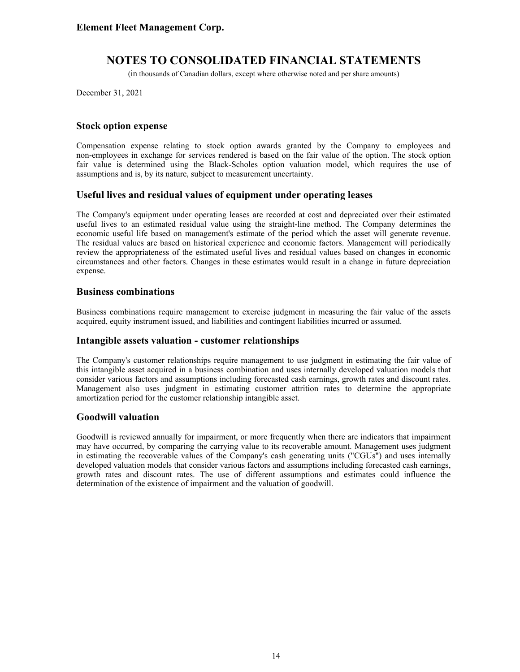(in thousands of Canadian dollars, except where otherwise noted and per share amounts)

December 31, 2021

### **Stock option expense**

Compensation expense relating to stock option awards granted by the Company to employees and non-employees in exchange for services rendered is based on the fair value of the option. The stock option fair value is determined using the Black–Scholes option valuation model, which requires the use of assumptions and is, by its nature, subject to measurement uncertainty.

### **Useful lives and residual values of equipment under operating leases**

The Company's equipment under operating leases are recorded at cost and depreciated over their estimated useful lives to an estimated residual value using the straight-line method. The Company determines the economic useful life based on management's estimate of the period which the asset will generate revenue. The residual values are based on historical experience and economic factors. Management will periodically review the appropriateness of the estimated useful lives and residual values based on changes in economic circumstances and other factors. Changes in these estimates would result in a change in future depreciation expense.

### **Business combinations**

Business combinations require management to exercise judgment in measuring the fair value of the assets acquired, equity instrument issued, and liabilities and contingent liabilities incurred or assumed.

### **Intangible assets valuation - customer relationships**

The Company's customer relationships require management to use judgment in estimating the fair value of this intangible asset acquired in a business combination and uses internally developed valuation models that consider various factors and assumptions including forecasted cash earnings, growth rates and discount rates. Management also uses judgment in estimating customer attrition rates to determine the appropriate amortization period for the customer relationship intangible asset.

### **Goodwill valuation**

Goodwill is reviewed annually for impairment, or more frequently when there are indicators that impairment may have occurred, by comparing the carrying value to its recoverable amount. Management uses judgment in estimating the recoverable values of the Company's cash generating units ("CGUs") and uses internally developed valuation models that consider various factors and assumptions including forecasted cash earnings, growth rates and discount rates. The use of different assumptions and estimates could influence the determination of the existence of impairment and the valuation of goodwill.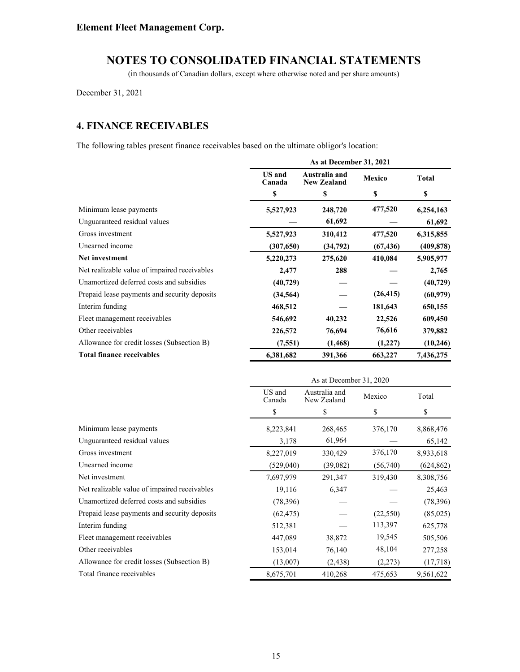(in thousands of Canadian dollars, except where otherwise noted and per share amounts)

December 31, 2021

## **4. FINANCE RECEIVABLES**

The following tables present finance receivables based on the ultimate obligor's location:

|                                              | As at December 31, 2021 |                                     |           |              |  |
|----------------------------------------------|-------------------------|-------------------------------------|-----------|--------------|--|
|                                              | <b>US</b> and<br>Canada | Australia and<br><b>New Zealand</b> | Mexico    | <b>Total</b> |  |
|                                              | \$                      | \$                                  | \$        | \$           |  |
| Minimum lease payments                       | 5,527,923               | 248,720                             | 477,520   | 6,254,163    |  |
| Unguaranteed residual values                 |                         | 61,692                              |           | 61,692       |  |
| Gross investment                             | 5,527,923               | 310,412                             | 477,520   | 6,315,855    |  |
| Unearned income                              | (307, 650)              | (34,792)                            | (67, 436) | (409, 878)   |  |
| Net investment                               | 5,220,273               | 275,620                             | 410,084   | 5,905,977    |  |
| Net realizable value of impaired receivables | 2,477                   | 288                                 |           | 2,765        |  |
| Unamortized deferred costs and subsidies     | (40, 729)               |                                     |           | (40, 729)    |  |
| Prepaid lease payments and security deposits | (34, 564)               |                                     | (26, 415) | (60, 979)    |  |
| Interim funding                              | 468,512                 |                                     | 181,643   | 650,155      |  |
| Fleet management receivables                 | 546,692                 | 40,232                              | 22,526    | 609,450      |  |
| Other receivables                            | 226,572                 | 76,694                              | 76,616    | 379,882      |  |
| Allowance for credit losses (Subsection B)   | (7, 551)                | (1, 468)                            | (1,227)   | (10,246)     |  |
| <b>Total finance receivables</b>             | 6,381,682               | 391,366                             | 663,227   | 7,436,275    |  |

|                                              | As at December 31, 2020 |                              |           |            |  |
|----------------------------------------------|-------------------------|------------------------------|-----------|------------|--|
|                                              | US and<br>Canada        | Australia and<br>New Zealand | Mexico    | Total      |  |
|                                              | \$                      | \$                           | \$        | \$         |  |
| Minimum lease payments                       | 8,223,841               | 268,465                      | 376,170   | 8,868,476  |  |
| Unguaranteed residual values                 | 3,178                   | 61,964                       |           | 65,142     |  |
| Gross investment                             | 8,227,019               | 330,429                      | 376,170   | 8,933,618  |  |
| Unearned income                              | (529,040)               | (39,082)                     | (56,740)  | (624, 862) |  |
| Net investment                               | 7,697,979               | 291,347                      | 319,430   | 8,308,756  |  |
| Net realizable value of impaired receivables | 19,116                  | 6,347                        |           | 25,463     |  |
| Unamortized deferred costs and subsidies     | (78, 396)               |                              |           | (78, 396)  |  |
| Prepaid lease payments and security deposits | (62, 475)               |                              | (22, 550) | (85,025)   |  |
| Interim funding                              | 512,381                 |                              | 113,397   | 625,778    |  |
| Fleet management receivables                 | 447,089                 | 38,872                       | 19,545    | 505,506    |  |
| Other receivables                            | 153,014                 | 76,140                       | 48,104    | 277,258    |  |
| Allowance for credit losses (Subsection B)   | (13,007)                | (2, 438)                     | (2,273)   | (17,718)   |  |
| Total finance receivables                    | 8,675,701               | 410,268                      | 475,653   | 9,561,622  |  |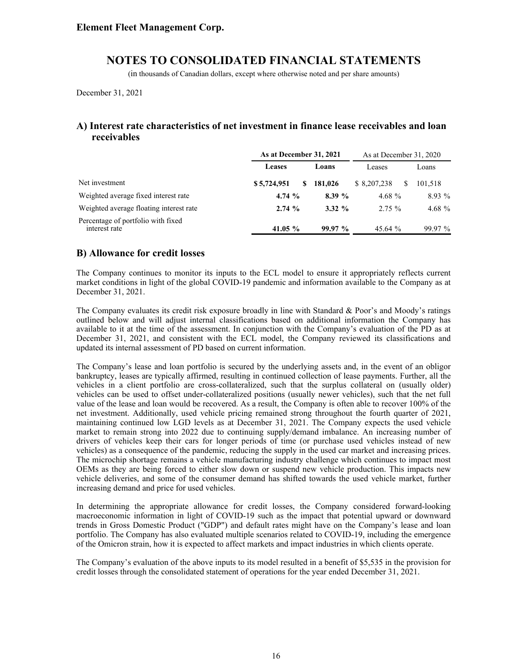(in thousands of Canadian dollars, except where otherwise noted and per share amounts)

December 31, 2021

### **A) Interest rate characteristics of net investment in finance lease receivables and loan receivables**

|                                                     | As at December 31, 2021 |           | As at December 31, 2020 |          |
|-----------------------------------------------------|-------------------------|-----------|-------------------------|----------|
|                                                     | Leases                  | Loans     | Leases                  | Loans    |
| Net investment                                      | \$5,724,951<br>S        | 181,026   | \$ 8.207.238            | 101.518  |
| Weighted average fixed interest rate                | 4.74 $%$                | 8.39%     | 4.68 $%$                | $8.93\%$ |
| Weighted average floating interest rate             | 2.74%                   | $3.32 \%$ | $2.75 \%$               | 4.68 $%$ |
| Percentage of portfolio with fixed<br>interest rate | 41.05 $%$               | 99.97%    | 45.64 $%$               | 99.97 %  |

### **B) Allowance for credit losses**

The Company continues to monitor its inputs to the ECL model to ensure it appropriately reflects current market conditions in light of the global COVID-19 pandemic and information available to the Company as at December 31, 2021.

The Company evaluates its credit risk exposure broadly in line with Standard & Poor's and Moody's ratings outlined below and will adjust internal classifications based on additional information the Company has available to it at the time of the assessment. In conjunction with the Company's evaluation of the PD as at December 31, 2021, and consistent with the ECL model, the Company reviewed its classifications and updated its internal assessment of PD based on current information.

The Company's lease and loan portfolio is secured by the underlying assets and, in the event of an obligor bankruptcy, leases are typically affirmed, resulting in continued collection of lease payments. Further, all the vehicles in a client portfolio are cross-collateralized, such that the surplus collateral on (usually older) vehicles can be used to offset under-collateralized positions (usually newer vehicles), such that the net full value of the lease and loan would be recovered. As a result, the Company is often able to recover 100% of the net investment. Additionally, used vehicle pricing remained strong throughout the fourth quarter of 2021, maintaining continued low LGD levels as at December 31, 2021. The Company expects the used vehicle market to remain strong into 2022 due to continuing supply/demand imbalance. An increasing number of drivers of vehicles keep their cars for longer periods of time (or purchase used vehicles instead of new vehicles) as a consequence of the pandemic, reducing the supply in the used car market and increasing prices. The microchip shortage remains a vehicle manufacturing industry challenge which continues to impact most OEMs as they are being forced to either slow down or suspend new vehicle production. This impacts new vehicle deliveries, and some of the consumer demand has shifted towards the used vehicle market, further increasing demand and price for used vehicles.

In determining the appropriate allowance for credit losses, the Company considered forward-looking macroeconomic information in light of COVID-19 such as the impact that potential upward or downward trends in Gross Domestic Product ("GDP") and default rates might have on the Company's lease and loan portfolio. The Company has also evaluated multiple scenarios related to COVID-19, including the emergence of the Omicron strain, how it is expected to affect markets and impact industries in which clients operate.

The Company's evaluation of the above inputs to its model resulted in a benefit of \$5,535 in the provision for credit losses through the consolidated statement of operations for the year ended December 31, 2021.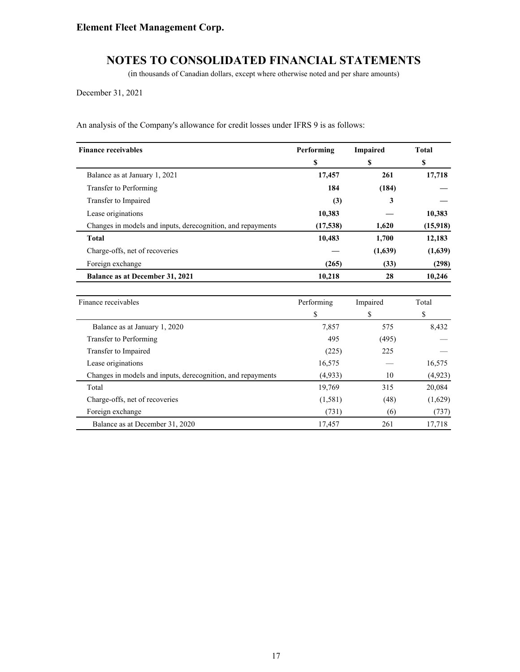(in thousands of Canadian dollars, except where otherwise noted and per share amounts)

December 31, 2021

An analysis of the Company's allowance for credit losses under IFRS 9 is as follows:

| <b>Finance receivables</b>                                  | Performing | <b>Impaired</b> | <b>Total</b> |
|-------------------------------------------------------------|------------|-----------------|--------------|
|                                                             | S          | S               | \$           |
| Balance as at January 1, 2021                               | 17,457     | 261             | 17,718       |
| Transfer to Performing                                      | 184        | (184)           |              |
| Transfer to Impaired                                        | (3)        | 3               |              |
| Lease originations                                          | 10,383     |                 | 10,383       |
| Changes in models and inputs, derecognition, and repayments | (17,538)   | 1,620           | (15,918)     |
| <b>Total</b>                                                | 10,483     | 1,700           | 12,183       |
| Charge-offs, net of recoveries                              |            | (1,639)         | (1,639)      |
| Foreign exchange                                            | (265)      | (33)            | (298)        |
| <b>Balance as at December 31, 2021</b>                      | 10,218     | 28              | 10,246       |
|                                                             |            |                 |              |

| Finance receivables                                         | Performing | Impaired | Total    |  |
|-------------------------------------------------------------|------------|----------|----------|--|
|                                                             | \$         | \$       | \$       |  |
| Balance as at January 1, 2020                               | 7,857      | 575      | 8,432    |  |
| Transfer to Performing                                      | 495        | (495)    |          |  |
| Transfer to Impaired                                        | (225)      | 225      |          |  |
| Lease originations                                          | 16,575     |          | 16,575   |  |
| Changes in models and inputs, derecognition, and repayments | (4,933)    | 10       | (4, 923) |  |
| Total                                                       | 19,769     | 315      | 20,084   |  |
| Charge-offs, net of recoveries                              | (1,581)    | (48)     | (1,629)  |  |
| Foreign exchange                                            | (731)      | (6)      | (737)    |  |
| Balance as at December 31, 2020                             | 17,457     | 261      | 17,718   |  |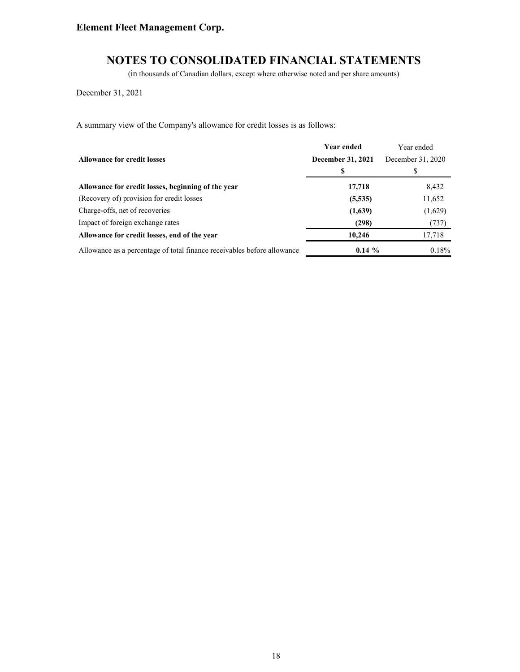## **NOTES TO CONSOLIDATED FINANCIAL STATEMENTS**

(in thousands of Canadian dollars, except where otherwise noted and per share amounts)

December 31, 2021

A summary view of the Company's allowance for credit losses is as follows:

|                                                                         | <b>Year ended</b> | Year ended        |
|-------------------------------------------------------------------------|-------------------|-------------------|
| <b>Allowance for credit losses</b>                                      | December 31, 2021 | December 31, 2020 |
|                                                                         | S                 | S                 |
| Allowance for credit losses, beginning of the year                      | 17,718            | 8,432             |
| (Recovery of) provision for credit losses                               | (5,535)           | 11,652            |
| Charge-offs, net of recoveries                                          | (1,639)           | (1,629)           |
| Impact of foreign exchange rates                                        | (298)             | (737)             |
| Allowance for credit losses, end of the year                            | 10,246            | 17,718            |
| Allowance as a percentage of total finance receivables before allowance | $0.14 \%$         | 0.18%             |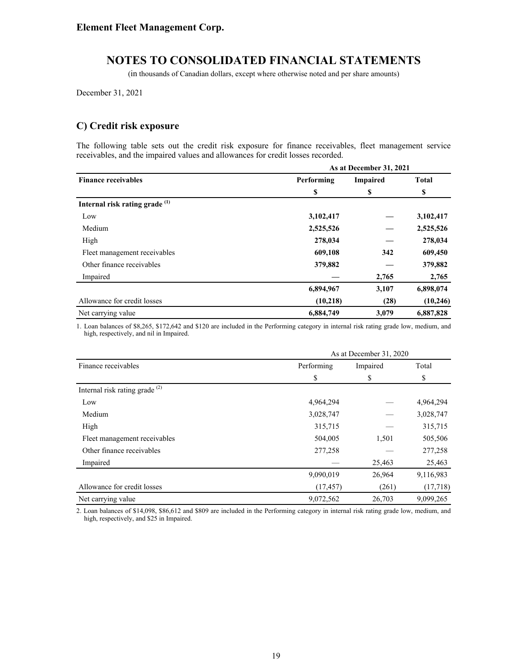(in thousands of Canadian dollars, except where otherwise noted and per share amounts)

December 31, 2021

### **C) Credit risk exposure**

The following table sets out the credit risk exposure for finance receivables, fleet management service receivables, and the impaired values and allowances for credit losses recorded.

|                                           | As at December 31, 2021 |                 |              |  |  |
|-------------------------------------------|-------------------------|-----------------|--------------|--|--|
| <b>Finance receivables</b>                | Performing              | <b>Impaired</b> | <b>Total</b> |  |  |
|                                           | \$                      | \$              | \$           |  |  |
| Internal risk rating grade <sup>(1)</sup> |                         |                 |              |  |  |
| Low                                       | 3,102,417               |                 | 3,102,417    |  |  |
| Medium                                    | 2,525,526               |                 | 2,525,526    |  |  |
| High                                      | 278,034                 |                 | 278,034      |  |  |
| Fleet management receivables              | 609,108                 | 342             | 609,450      |  |  |
| Other finance receivables                 | 379,882                 |                 | 379,882      |  |  |
| Impaired                                  |                         | 2,765           | 2,765        |  |  |
|                                           | 6,894,967               | 3,107           | 6,898,074    |  |  |
| Allowance for credit losses               | (10,218)                | (28)            | (10, 246)    |  |  |
| Net carrying value                        | 6,884,749               | 3,079           | 6,887,828    |  |  |

1. Loan balances of \$8,265, \$172,642 and \$120 are included in the Performing category in internal risk rating grade low, medium, and high, respectively, and nil in Impaired.

|                                           | As at December 31, 2020 |          |             |  |  |  |
|-------------------------------------------|-------------------------|----------|-------------|--|--|--|
| Finance receivables                       | Performing              | Impaired | Total<br>\$ |  |  |  |
|                                           | \$                      | \$       |             |  |  |  |
| Internal risk rating grade <sup>(2)</sup> |                         |          |             |  |  |  |
| Low                                       | 4,964,294               |          | 4,964,294   |  |  |  |
| Medium                                    | 3,028,747               |          | 3,028,747   |  |  |  |
| High                                      | 315,715                 |          | 315,715     |  |  |  |
| Fleet management receivables              | 504,005                 | 1,501    | 505,506     |  |  |  |
| Other finance receivables                 | 277,258                 |          | 277,258     |  |  |  |
| Impaired                                  |                         | 25,463   | 25,463      |  |  |  |
|                                           | 9,090,019               | 26,964   | 9,116,983   |  |  |  |
| Allowance for credit losses               | (17, 457)               | (261)    | (17,718)    |  |  |  |
| Net carrying value                        | 9,072,562               | 26,703   | 9,099,265   |  |  |  |

2. Loan balances of \$14,098, \$86,612 and \$809 are included in the Performing category in internal risk rating grade low, medium, and high, respectively, and \$25 in Impaired.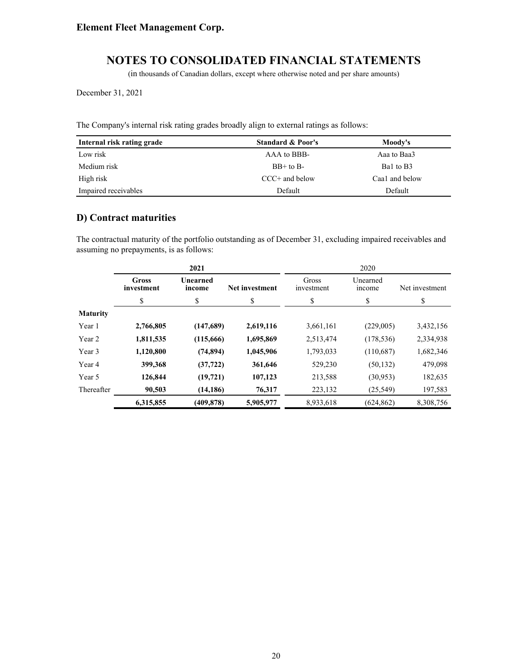(in thousands of Canadian dollars, except where otherwise noted and per share amounts)

December 31, 2021

The Company's internal risk rating grades broadly align to external ratings as follows:

| Internal risk rating grade | <b>Standard &amp; Poor's</b> | Moody's        |
|----------------------------|------------------------------|----------------|
| Low risk                   | AAA to BBB-                  | Aaa to Baa3    |
| Medium risk                | $BB+$ to $B-$                | Bal to B3      |
| High risk                  | $CCC+$ and below             | Caa1 and below |
| Impaired receivables       | Default                      | Default        |

## **D) Contract maturities**

The contractual maturity of the portfolio outstanding as of December 31, excluding impaired receivables and assuming no prepayments, is as follows:

|                 |                     | 2021               |                |                     | 2020               |                |
|-----------------|---------------------|--------------------|----------------|---------------------|--------------------|----------------|
|                 | Gross<br>investment | Unearned<br>income | Net investment | Gross<br>investment | Unearned<br>income | Net investment |
|                 | \$                  | \$                 | \$             | \$                  | \$                 | \$             |
| <b>Maturity</b> |                     |                    |                |                     |                    |                |
| Year 1          | 2,766,805           | (147,689)          | 2,619,116      | 3,661,161           | (229,005)          | 3,432,156      |
| Year 2          | 1,811,535           | (115,666)          | 1,695,869      | 2,513,474           | (178, 536)         | 2,334,938      |
| Year 3          | 1,120,800           | (74, 894)          | 1,045,906      | 1,793,033           | (110,687)          | 1,682,346      |
| Year 4          | 399,368             | (37, 722)          | 361,646        | 529,230             | (50, 132)          | 479,098        |
| Year 5          | 126,844             | (19,721)           | 107,123        | 213,588             | (30, 953)          | 182,635        |
| Thereafter      | 90,503              | (14, 186)          | 76,317         | 223,132             | (25, 549)          | 197,583        |
|                 | 6,315,855           | (409, 878)         | 5,905,977      | 8,933,618           | (624, 862)         | 8,308,756      |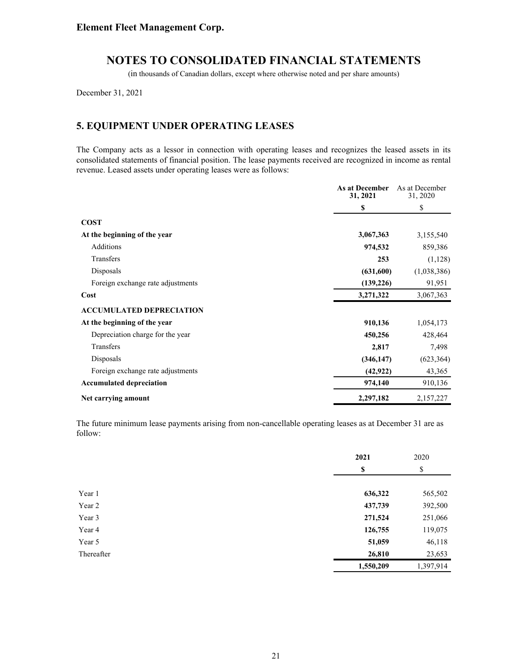(in thousands of Canadian dollars, except where otherwise noted and per share amounts)

December 31, 2021

## **5. EQUIPMENT UNDER OPERATING LEASES**

The Company acts as a lessor in connection with operating leases and recognizes the leased assets in its consolidated statements of financial position. The lease payments received are recognized in income as rental revenue. Leased assets under operating leases were as follows:

|                                   | <b>As at December</b><br>31, 2021 | As at December<br>31, 2020 |
|-----------------------------------|-----------------------------------|----------------------------|
|                                   | S                                 | \$                         |
| <b>COST</b>                       |                                   |                            |
| At the beginning of the year      | 3,067,363                         | 3,155,540                  |
| <b>Additions</b>                  | 974,532                           | 859,386                    |
| Transfers                         | 253                               | (1,128)                    |
| Disposals                         | (631,600)                         | (1,038,386)                |
| Foreign exchange rate adjustments | (139, 226)                        | 91,951                     |
| Cost                              | 3,271,322                         | 3,067,363                  |
| <b>ACCUMULATED DEPRECIATION</b>   |                                   |                            |
| At the beginning of the year      | 910,136                           | 1,054,173                  |
| Depreciation charge for the year  | 450,256                           | 428,464                    |
| Transfers                         | 2,817                             | 7,498                      |
| Disposals                         | (346, 147)                        | (623, 364)                 |
| Foreign exchange rate adjustments | (42, 922)                         | 43,365                     |
| <b>Accumulated depreciation</b>   | 974,140                           | 910,136                    |
| Net carrying amount               | 2,297,182                         | 2,157,227                  |

The future minimum lease payments arising from non-cancellable operating leases as at December 31 are as follow:

|            | 2021      | 2020<br>\$ |  |
|------------|-----------|------------|--|
|            | \$        |            |  |
|            |           |            |  |
| Year 1     | 636,322   | 565,502    |  |
| Year 2     | 437,739   | 392,500    |  |
| Year 3     | 271,524   | 251,066    |  |
| Year 4     | 126,755   | 119,075    |  |
| Year 5     | 51,059    | 46,118     |  |
| Thereafter | 26,810    | 23,653     |  |
|            | 1,550,209 | 1,397,914  |  |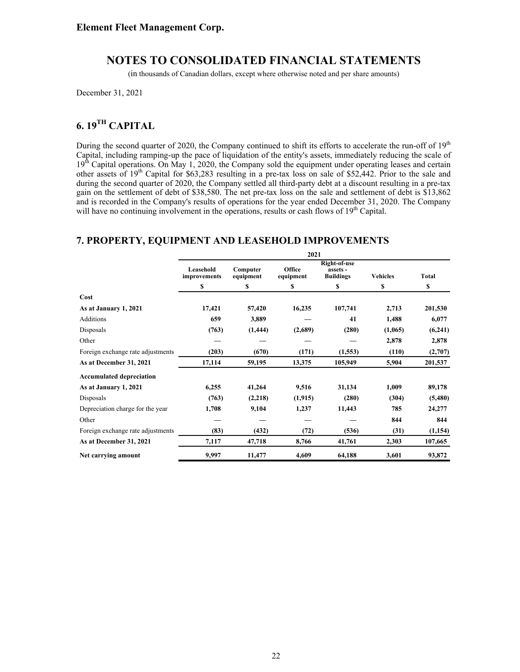(in thousands of Canadian dollars, except where otherwise noted and per share amounts)

December 31, 2021

## **6. 19TH CAPITAL**

During the second quarter of 2020, the Company continued to shift its efforts to accelerate the run-off of  $19<sup>th</sup>$ Capital, including ramping-up the pace of liquidation of the entity's assets, immediately reducing the scale of  $19<sup>th</sup>$  Capital operations. On May 1, 2020, the Company sold the equipment under operating leases and certain other assets of 19th Capital for \$63,283 resulting in a pre-tax loss on sale of \$52,442. Prior to the sale and during the second quarter of 2020, the Company settled all third-party debt at a discount resulting in a pre-tax gain on the settlement of debt of \$38,580. The net pre-tax loss on the sale and settlement of debt is \$13,862 and is recorded in the Company's results of operations for the year ended December 31, 2020. The Company will have no continuing involvement in the operations, results or cash flows of  $19<sup>th</sup>$  Capital.

### **7. PROPERTY, EQUIPMENT AND LEASEHOLD IMPROVEMENTS**

|                                   |                           |                       | 2021                |                                                     |                 |              |
|-----------------------------------|---------------------------|-----------------------|---------------------|-----------------------------------------------------|-----------------|--------------|
|                                   | Leasehold<br>improvements | Computer<br>equipment | Office<br>equipment | <b>Right-of-use</b><br>assets -<br><b>Buildings</b> | <b>Vehicles</b> | <b>Total</b> |
|                                   | \$                        | \$                    | \$                  | S                                                   | \$              | \$           |
| Cost                              |                           |                       |                     |                                                     |                 |              |
| As at January 1, 2021             | 17,421                    | 57,420                | 16,235              | 107,741                                             | 2,713           | 201,530      |
| <b>Additions</b>                  | 659                       | 3,889                 |                     | 41                                                  | 1,488           | 6,077        |
| Disposals                         | (763)                     | (1, 444)              | (2,689)             | (280)                                               | (1,065)         | (6,241)      |
| Other                             |                           |                       |                     |                                                     | 2,878           | 2,878        |
| Foreign exchange rate adjustments | (203)                     | (670)                 | (171)               | (1,553)                                             | (110)           | (2,707)      |
| As at December 31, 2021           | 17,114                    | 59,195                | 13,375              | 105,949                                             | 5,904           | 201,537      |
| <b>Accumulated depreciation</b>   |                           |                       |                     |                                                     |                 |              |
| As at January 1, 2021             | 6,255                     | 41,264                | 9,516               | 31,134                                              | 1,009           | 89,178       |
| Disposals                         | (763)                     | (2,218)               | (1,915)             | (280)                                               | (304)           | (5,480)      |
| Depreciation charge for the year  | 1,708                     | 9,104                 | 1,237               | 11,443                                              | 785             | 24,277       |
| Other                             |                           |                       |                     |                                                     | 844             | 844          |
| Foreign exchange rate adjustments | (83)                      | (432)                 | (72)                | (536)                                               | (31)            | (1, 154)     |
| As at December 31, 2021           | 7,117                     | 47,718                | 8,766               | 41,761                                              | 2,303           | 107,665      |
| Net carrying amount               | 9,997                     | 11,477                | 4,609               | 64,188                                              | 3,601           | 93,872       |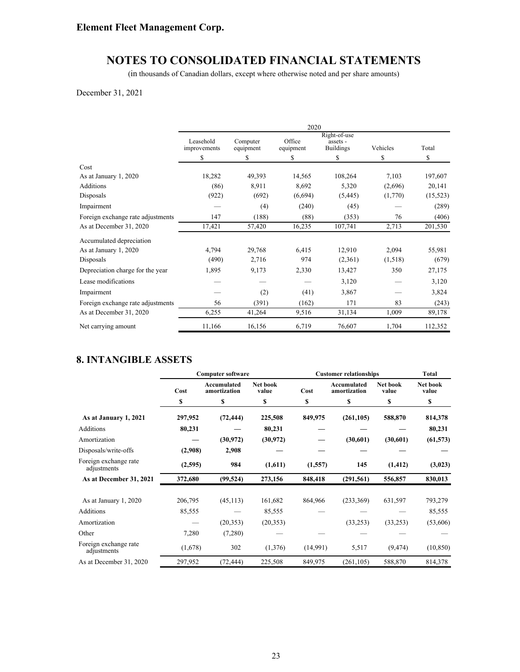(in thousands of Canadian dollars, except where otherwise noted and per share amounts)

December 31, 2021

|                                   | 2020                      |          |         |          |         |           |  |  |
|-----------------------------------|---------------------------|----------|---------|----------|---------|-----------|--|--|
|                                   | Leasehold<br>improvements | Vehicles | Total   |          |         |           |  |  |
|                                   | \$                        | \$       | \$      | \$       | \$      | \$        |  |  |
| Cost                              |                           |          |         |          |         |           |  |  |
| As at January 1, 2020             | 18,282                    | 49,393   | 14,565  | 108,264  | 7,103   | 197,607   |  |  |
| Additions                         | (86)                      | 8,911    | 8,692   | 5,320    | (2,696) | 20,141    |  |  |
| Disposals                         | (922)                     | (692)    | (6,694) | (5, 445) | (1,770) | (15, 523) |  |  |
| Impairment                        |                           | (4)      | (240)   | (45)     |         | (289)     |  |  |
| Foreign exchange rate adjustments | 147                       | (188)    | (88)    | (353)    | 76      | (406)     |  |  |
| As at December 31, 2020           | 17,421                    | 57,420   | 16,235  | 107,741  | 2,713   | 201,530   |  |  |
| Accumulated depreciation          |                           |          |         |          |         |           |  |  |
| As at January 1, 2020             | 4,794                     | 29,768   | 6,415   | 12,910   | 2,094   | 55,981    |  |  |
| Disposals                         | (490)                     | 2,716    | 974     | (2,361)  | (1,518) | (679)     |  |  |
| Depreciation charge for the year  | 1,895                     | 9,173    | 2,330   | 13,427   | 350     | 27,175    |  |  |
| Lease modifications               |                           |          |         | 3,120    |         | 3,120     |  |  |
| Impairment                        |                           | (2)      | (41)    | 3,867    |         | 3,824     |  |  |
| Foreign exchange rate adjustments | 56                        | (391)    | (162)   | 171      | 83      | (243)     |  |  |
| As at December 31, 2020           | 6,255                     | 41,264   | 9,516   | 31,134   | 1,009   | 89,178    |  |  |
| Net carrying amount               | 11,166                    | 16,156   | 6,719   | 76,607   | 1,704   | 112,352   |  |  |

## **8. INTANGIBLE ASSETS**

|                                      | <b>Computer software</b> |                                    |                   | <b>Customer relationships</b> |                                    |                   | Total             |
|--------------------------------------|--------------------------|------------------------------------|-------------------|-------------------------------|------------------------------------|-------------------|-------------------|
|                                      | Cost                     | <b>Accumulated</b><br>amortization | Net book<br>value | Cost                          | <b>Accumulated</b><br>amortization | Net book<br>value | Net book<br>value |
|                                      | \$                       | \$                                 | \$                | \$                            | \$                                 | \$                | \$                |
| As at January 1, 2021                | 297,952                  | (72, 444)                          | 225,508           | 849,975                       | (261, 105)                         | 588,870           | 814,378           |
| <b>Additions</b>                     | 80,231                   |                                    | 80,231            |                               |                                    |                   | 80,231            |
| Amortization                         |                          | (30,972)                           | (30, 972)         |                               | (30,601)                           | (30,601)          | (61, 573)         |
| Disposals/write-offs                 | (2,908)                  | 2,908                              |                   |                               |                                    |                   |                   |
| Foreign exchange rate<br>adjustments | (2,595)                  | 984                                | (1,611)           | (1,557)                       | 145                                | (1, 412)          | (3,023)           |
| As at December 31, 2021              | 372,680                  | (99, 524)                          | 273,156           | 848,418                       | (291, 561)                         | 556,857           | 830,013           |
| As at January 1, 2020                | 206,795                  | (45, 113)                          | 161,682           | 864,966                       | (233,369)                          | 631,597           | 793,279           |
| <b>Additions</b>                     | 85,555                   |                                    | 85,555            |                               |                                    |                   | 85,555            |
| Amortization                         |                          | (20, 353)                          | (20, 353)         |                               | (33, 253)                          | (33,253)          | (53,606)          |
| Other                                | 7,280                    | (7,280)                            |                   |                               |                                    |                   |                   |
| Foreign exchange rate<br>adjustments | (1,678)                  | 302                                | (1,376)           | (14,991)                      | 5,517                              | (9, 474)          | (10, 850)         |
| As at December 31, 2020              | 297,952                  | (72, 444)                          | 225,508           | 849,975                       | (261, 105)                         | 588,870           | 814,378           |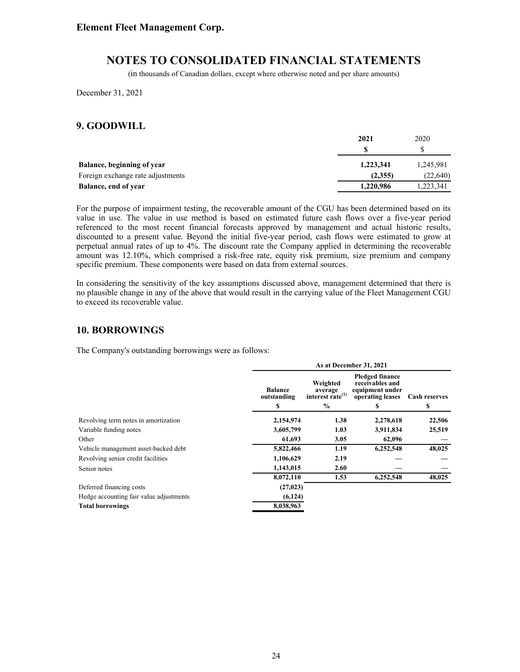(in thousands of Canadian dollars, except where otherwise noted and per share amounts)

December 31, 2021

### **9. GOODWILL**

|                                   | 2021      | 2020      |
|-----------------------------------|-----------|-----------|
|                                   | -S        |           |
| Balance, beginning of year        | 1,223,341 | 1,245,981 |
| Foreign exchange rate adjustments | (2,355)   | (22,640)  |
| Balance, end of year              | 1,220,986 | ,223,341  |

For the purpose of impairment testing, the recoverable amount of the CGU has been determined based on its value in use. The value in use method is based on estimated future cash flows over a five-year period referenced to the most recent financial forecasts approved by management and actual historic results, discounted to a present value. Beyond the initial five-year period, cash flows were estimated to grow at perpetual annual rates of up to 4%. The discount rate the Company applied in determining the recoverable amount was 12.10%, which comprised a risk-free rate, equity risk premium, size premium and company specific premium. These components were based on data from external sources.

In considering the sensitivity of the key assumptions discussed above, management determined that there is no plausible change in any of the above that would result in the carrying value of the Fleet Management CGU to exceed its recoverable value.

### **10. BORROWINGS**

The Company's outstanding borrowings were as follows:

|                                         |                                     | As at December 31, 2021                                              |                                                                                       |                            |  |  |
|-----------------------------------------|-------------------------------------|----------------------------------------------------------------------|---------------------------------------------------------------------------------------|----------------------------|--|--|
|                                         | <b>Balance</b><br>outstanding<br>\$ | Weighted<br>average<br>interest rate <sup>(1)</sup><br>$\frac{6}{6}$ | <b>Pledged finance</b><br>receivables and<br>equipment under<br>operating leases<br>S | <b>Cash reserves</b><br>\$ |  |  |
| Revolving term notes in amortization    | 2,154,974                           | 1.38                                                                 | 2,278,618                                                                             | 22,506                     |  |  |
| Variable funding notes                  | 3,605,799                           | 1.03                                                                 | 3,911,834                                                                             | 25,519                     |  |  |
| Other                                   | 61,693                              | 3.05                                                                 | 62,096                                                                                |                            |  |  |
| Vehicle management asset-backed debt    | 5,822,466                           | 1.19                                                                 | 6,252,548                                                                             | 48,025                     |  |  |
| Revolving senior credit facilities      | 1,106,629                           | 2.19                                                                 |                                                                                       |                            |  |  |
| Senior notes                            | 1,143,015                           | 2.60                                                                 |                                                                                       |                            |  |  |
|                                         | 8,072,110                           | 1.53                                                                 | 6,252,548                                                                             | 48,025                     |  |  |
| Deferred financing costs                | (27, 023)                           |                                                                      |                                                                                       |                            |  |  |
| Hedge accounting fair value adjustments | (6, 124)                            |                                                                      |                                                                                       |                            |  |  |
| <b>Total borrowings</b>                 | 8,038,963                           |                                                                      |                                                                                       |                            |  |  |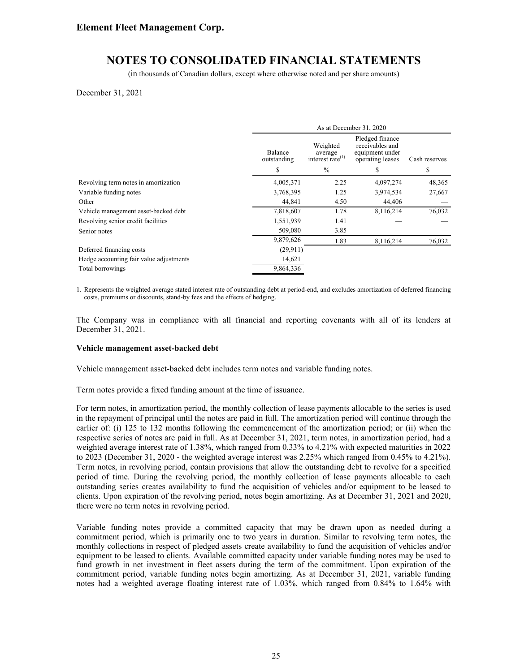(in thousands of Canadian dollars, except where otherwise noted and per share amounts)

December 31, 2021

|                                         | As at December 31, 2020 |                                                     |                                                                           |               |  |
|-----------------------------------------|-------------------------|-----------------------------------------------------|---------------------------------------------------------------------------|---------------|--|
|                                         | Balance<br>outstanding  | Weighted<br>average<br>interest rate <sup>(1)</sup> | Pledged finance<br>receivables and<br>equipment under<br>operating leases | Cash reserves |  |
|                                         | \$                      | $\frac{0}{0}$                                       | S                                                                         | \$            |  |
| Revolving term notes in amortization    | 4,005,371               | 2.25                                                | 4,097,274                                                                 | 48,365        |  |
| Variable funding notes                  | 3,768,395               | 1.25                                                | 3,974,534                                                                 | 27,667        |  |
| Other                                   | 44,841                  | 4.50                                                | 44,406                                                                    |               |  |
| Vehicle management asset-backed debt    | 7,818,607               | 1.78                                                | 8,116,214                                                                 | 76,032        |  |
| Revolving senior credit facilities      | 1,551,939               | 1.41                                                |                                                                           |               |  |
| Senior notes                            | 509,080                 | 3.85                                                |                                                                           |               |  |
|                                         | 9,879,626               | 1.83                                                | 8,116,214                                                                 | 76,032        |  |
| Deferred financing costs                | (29, 911)               |                                                     |                                                                           |               |  |
| Hedge accounting fair value adjustments | 14,621                  |                                                     |                                                                           |               |  |
| Total borrowings                        | 9,864,336               |                                                     |                                                                           |               |  |

1. Represents the weighted average stated interest rate of outstanding debt at period-end, and excludes amortization of deferred financing costs, premiums or discounts, stand-by fees and the effects of hedging.

The Company was in compliance with all financial and reporting covenants with all of its lenders at December 31, 2021.

#### **Vehicle management asset-backed debt**

Vehicle management asset-backed debt includes term notes and variable funding notes.

Term notes provide a fixed funding amount at the time of issuance.

For term notes, in amortization period, the monthly collection of lease payments allocable to the series is used in the repayment of principal until the notes are paid in full. The amortization period will continue through the earlier of: (i) 125 to 132 months following the commencement of the amortization period; or (ii) when the respective series of notes are paid in full. As at December 31, 2021, term notes, in amortization period, had a weighted average interest rate of 1.38%, which ranged from 0.33% to 4.21% with expected maturities in 2022 to 2023 (December 31, 2020 - the weighted average interest was 2.25% which ranged from 0.45% to 4.21%). Term notes, in revolving period, contain provisions that allow the outstanding debt to revolve for a specified period of time. During the revolving period, the monthly collection of lease payments allocable to each outstanding series creates availability to fund the acquisition of vehicles and/or equipment to be leased to clients. Upon expiration of the revolving period, notes begin amortizing. As at December 31, 2021 and 2020, there were no term notes in revolving period.

Variable funding notes provide a committed capacity that may be drawn upon as needed during a commitment period, which is primarily one to two years in duration. Similar to revolving term notes, the monthly collections in respect of pledged assets create availability to fund the acquisition of vehicles and/or equipment to be leased to clients. Available committed capacity under variable funding notes may be used to fund growth in net investment in fleet assets during the term of the commitment. Upon expiration of the commitment period, variable funding notes begin amortizing. As at December 31, 2021, variable funding notes had a weighted average floating interest rate of 1.03%, which ranged from 0.84% to 1.64% with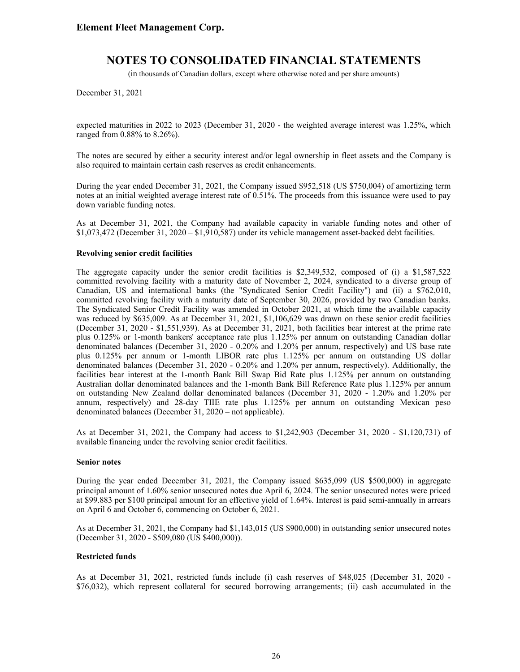(in thousands of Canadian dollars, except where otherwise noted and per share amounts)

December 31, 2021

expected maturities in 2022 to 2023 (December 31, 2020 - the weighted average interest was 1.25%, which ranged from 0.88% to 8.26%).

The notes are secured by either a security interest and/or legal ownership in fleet assets and the Company is also required to maintain certain cash reserves as credit enhancements.

During the year ended December 31, 2021, the Company issued \$952,518 (US \$750,004) of amortizing term notes at an initial weighted average interest rate of 0.51%. The proceeds from this issuance were used to pay down variable funding notes.

As at December 31, 2021, the Company had available capacity in variable funding notes and other of \$1,073,472 (December 31, 2020 – \$1,910,587) under its vehicle management asset-backed debt facilities.

#### **Revolving senior credit facilities**

The aggregate capacity under the senior credit facilities is \$2,349,532, composed of (i) a \$1,587,522 committed revolving facility with a maturity date of November 2, 2024, syndicated to a diverse group of Canadian, US and international banks (the "Syndicated Senior Credit Facility") and (ii) a \$762,010, committed revolving facility with a maturity date of September 30, 2026, provided by two Canadian banks. The Syndicated Senior Credit Facility was amended in October 2021, at which time the available capacity was reduced by \$635,009. As at December 31, 2021, \$1,106,629 was drawn on these senior credit facilities (December 31, 2020 - \$1,551,939). As at December 31, 2021, both facilities bear interest at the prime rate plus 0.125% or 1-month bankers' acceptance rate plus 1.125% per annum on outstanding Canadian dollar denominated balances (December 31, 2020 - 0.20% and 1.20% per annum, respectively) and US base rate plus 0.125% per annum or 1-month LIBOR rate plus 1.125% per annum on outstanding US dollar denominated balances (December 31, 2020 - 0.20% and 1.20% per annum, respectively). Additionally, the facilities bear interest at the 1-month Bank Bill Swap Bid Rate plus 1.125% per annum on outstanding Australian dollar denominated balances and the 1-month Bank Bill Reference Rate plus 1.125% per annum on outstanding New Zealand dollar denominated balances (December 31, 2020 - 1.20% and 1.20% per annum, respectively) and 28-day TIIE rate plus 1.125% per annum on outstanding Mexican peso denominated balances (December 31, 2020 – not applicable).

As at December 31, 2021, the Company had access to \$1,242,903 (December 31, 2020 - \$1,120,731) of available financing under the revolving senior credit facilities.

#### **Senior notes**

During the year ended December 31, 2021, the Company issued \$635,099 (US \$500,000) in aggregate principal amount of 1.60% senior unsecured notes due April 6, 2024. The senior unsecured notes were priced at \$99.883 per \$100 principal amount for an effective yield of 1.64%. Interest is paid semi-annually in arrears on April 6 and October 6, commencing on October 6, 2021.

As at December 31, 2021, the Company had \$1,143,015 (US \$900,000) in outstanding senior unsecured notes (December 31, 2020 - \$509,080 (US \$400,000)).

#### **Restricted funds**

As at December 31, 2021, restricted funds include (i) cash reserves of \$48,025 (December 31, 2020 - \$76,032), which represent collateral for secured borrowing arrangements; (ii) cash accumulated in the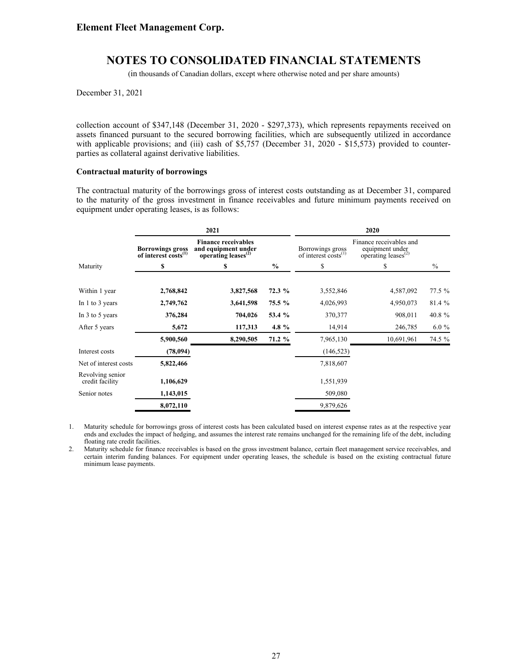(in thousands of Canadian dollars, except where otherwise noted and per share amounts)

December 31, 2021

collection account of \$347,148 (December 31, 2020 - \$297,373), which represents repayments received on assets financed pursuant to the secured borrowing facilities, which are subsequently utilized in accordance with applicable provisions; and (iii) cash of \$5,757 (December 31, 2020 - \$15,573) provided to counterparties as collateral against derivative liabilities.

#### **Contractual maturity of borrowings**

The contractual maturity of the borrowings gross of interest costs outstanding as at December 31, compared to the maturity of the gross investment in finance receivables and future minimum payments received on equipment under operating leases, is as follows:

|                                     |                                                             | 2021                                                                                 |               |                                                      | 2020                                                                    |               |
|-------------------------------------|-------------------------------------------------------------|--------------------------------------------------------------------------------------|---------------|------------------------------------------------------|-------------------------------------------------------------------------|---------------|
|                                     | <b>Borrowings gross</b><br>of interest costs <sup>(1)</sup> | <b>Finance receivables</b><br>and equipment under<br>operating leases <sup>(2)</sup> |               | Borrowings gross<br>of interest costs <sup>(1)</sup> | Finance receivables and<br>equipment under<br>operating leases $^{(2)}$ |               |
| Maturity                            | \$                                                          | S                                                                                    | $\frac{0}{0}$ | \$                                                   | S                                                                       | $\frac{0}{0}$ |
| Within 1 year                       | 2,768,842                                                   | 3,827,568                                                                            | $72.3\%$      | 3,552,846                                            | 4,587,092                                                               | 77.5 %        |
| In $1$ to $3$ years                 | 2,749,762                                                   | 3,641,598                                                                            | 75.5 %        | 4,026,993                                            | 4,950,073                                                               | 81.4 %        |
| In 3 to 5 years                     | 376,284                                                     | 704,026                                                                              | 53.4 %        | 370,377                                              | 908,011                                                                 | 40.8 %        |
| After 5 years                       | 5,672                                                       | 117,313                                                                              | 4.8 %         | 14,914                                               | 246,785                                                                 | $6.0 \%$      |
|                                     | 5,900,560                                                   | 8,290,505                                                                            | 71.2 %        | 7,965,130                                            | 10,691,961                                                              | 74.5 %        |
| Interest costs                      | (78,094)                                                    |                                                                                      |               | (146, 523)                                           |                                                                         |               |
| Net of interest costs               | 5,822,466                                                   |                                                                                      |               | 7,818,607                                            |                                                                         |               |
| Revolving senior<br>credit facility | 1,106,629                                                   |                                                                                      |               | 1,551,939                                            |                                                                         |               |
| Senior notes                        | 1,143,015                                                   |                                                                                      |               | 509,080                                              |                                                                         |               |
|                                     | 8,072,110                                                   |                                                                                      |               | 9,879,626                                            |                                                                         |               |

1. Maturity schedule for borrowings gross of interest costs has been calculated based on interest expense rates as at the respective year ends and excludes the impact of hedging, and assumes the interest rate remains unchanged for the remaining life of the debt, including floating rate credit facilities.

2. Maturity schedule for finance receivables is based on the gross investment balance, certain fleet management service receivables, and certain interim funding balances. For equipment under operating leases, the schedule is based on the existing contractual future minimum lease payments.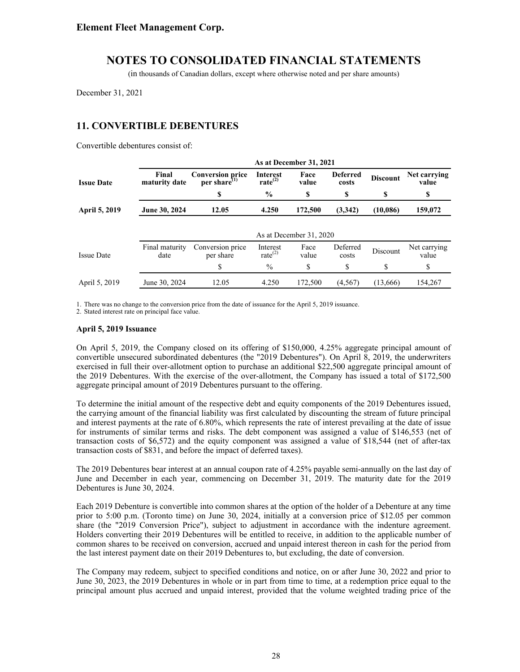(in thousands of Canadian dollars, except where otherwise noted and per share amounts)

December 31, 2021

## **11. CONVERTIBLE DEBENTURES**

Convertible debentures consist of:

|                   |                        | As at December 31, 2021                       |                                        |                         |                          |                 |                       |
|-------------------|------------------------|-----------------------------------------------|----------------------------------------|-------------------------|--------------------------|-----------------|-----------------------|
| <b>Issue Date</b> | Final<br>maturity date | <b>Conversion price</b><br>per share $^{(1)}$ | <b>Interest</b><br>rate <sup>(2)</sup> | Face<br>value           | <b>Deferred</b><br>costs | <b>Discount</b> | Net carrying<br>value |
|                   |                        | S                                             | $\frac{6}{9}$                          | \$                      | S                        | S               | \$                    |
| April 5, 2019     | June 30, 2024          | 12.05                                         | 4.250                                  | 172,500                 | (3,342)                  | (10,086)        | 159,072               |
|                   |                        |                                               |                                        |                         |                          |                 |                       |
|                   |                        |                                               |                                        | As at December 31, 2020 |                          |                 |                       |
| <b>Issue Date</b> | Final maturity<br>date | Conversion price<br>per share                 | Interest<br>rate $^{(2)}$              | Face<br>value           | Deferred<br>costs        | Discount        | Net carrying<br>value |
|                   |                        | \$                                            | $\frac{0}{0}$                          | \$                      | \$                       | \$              | \$                    |
| April 5, 2019     | June 30, 2024          | 12.05                                         | 4.250                                  | 172,500                 | (4, 567)                 | (13,666)        | 154,267               |

1. There was no change to the conversion price from the date of issuance for the April 5, 2019 issuance.

2. Stated interest rate on principal face value.

#### **April 5, 2019 Issuance**

On April 5, 2019, the Company closed on its offering of \$150,000, 4.25% aggregate principal amount of convertible unsecured subordinated debentures (the "2019 Debentures"). On April 8, 2019, the underwriters exercised in full their over-allotment option to purchase an additional \$22,500 aggregate principal amount of the 2019 Debentures. With the exercise of the over-allotment, the Company has issued a total of \$172,500 aggregate principal amount of 2019 Debentures pursuant to the offering.

To determine the initial amount of the respective debt and equity components of the 2019 Debentures issued, the carrying amount of the financial liability was first calculated by discounting the stream of future principal and interest payments at the rate of 6.80%, which represents the rate of interest prevailing at the date of issue for instruments of similar terms and risks. The debt component was assigned a value of \$146,553 (net of transaction costs of \$6,572) and the equity component was assigned a value of \$18,544 (net of after-tax transaction costs of \$831, and before the impact of deferred taxes).

The 2019 Debentures bear interest at an annual coupon rate of 4.25% payable semi-annually on the last day of June and December in each year, commencing on December 31, 2019. The maturity date for the 2019 Debentures is June 30, 2024.

Each 2019 Debenture is convertible into common shares at the option of the holder of a Debenture at any time prior to 5:00 p.m. (Toronto time) on June 30, 2024, initially at a conversion price of \$12.05 per common share (the "2019 Conversion Price"), subject to adjustment in accordance with the indenture agreement. Holders converting their 2019 Debentures will be entitled to receive, in addition to the applicable number of common shares to be received on conversion, accrued and unpaid interest thereon in cash for the period from the last interest payment date on their 2019 Debentures to, but excluding, the date of conversion.

The Company may redeem, subject to specified conditions and notice, on or after June 30, 2022 and prior to June 30, 2023, the 2019 Debentures in whole or in part from time to time, at a redemption price equal to the principal amount plus accrued and unpaid interest, provided that the volume weighted trading price of the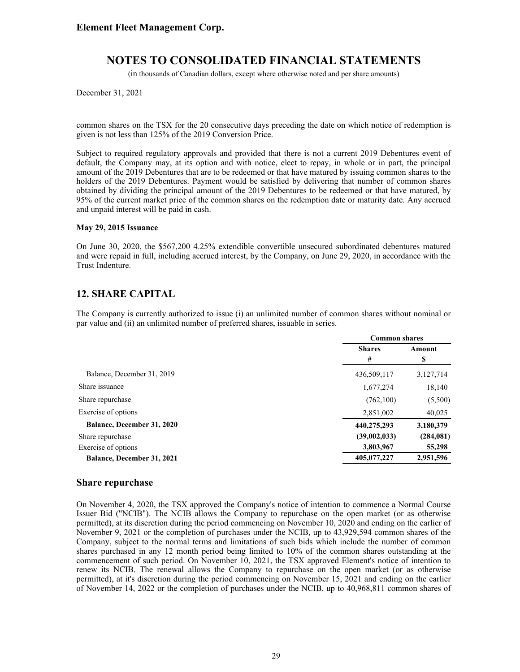(in thousands of Canadian dollars, except where otherwise noted and per share amounts)

December 31, 2021

common shares on the TSX for the 20 consecutive days preceding the date on which notice of redemption is given is not less than 125% of the 2019 Conversion Price.

Subject to required regulatory approvals and provided that there is not a current 2019 Debentures event of default, the Company may, at its option and with notice, elect to repay, in whole or in part, the principal amount of the 2019 Debentures that are to be redeemed or that have matured by issuing common shares to the holders of the 2019 Debentures. Payment would be satisfied by delivering that number of common shares obtained by dividing the principal amount of the 2019 Debentures to be redeemed or that have matured, by 95% of the current market price of the common shares on the redemption date or maturity date. Any accrued and unpaid interest will be paid in cash.

#### **May 29, 2015 Issuance**

On June 30, 2020, the \$567,200 4.25% extendible convertible unsecured subordinated debentures matured and were repaid in full, including accrued interest, by the Company, on June 29, 2020, in accordance with the Trust Indenture.

### **12. SHARE CAPITAL**

The Company is currently authorized to issue (i) an unlimited number of common shares without nominal or par value and (ii) an unlimited number of preferred shares, issuable in series.

|                                   | <b>Common shares</b> |             |  |
|-----------------------------------|----------------------|-------------|--|
|                                   | <b>Shares</b><br>#   | Amount<br>S |  |
| Balance, December 31, 2019        | 436,509,117          | 3,127,714   |  |
| Share issuance                    | 1,677,274            | 18,140      |  |
| Share repurchase                  | (762, 100)           | (5,500)     |  |
| Exercise of options               | 2,851,002            | 40,025      |  |
| Balance, December 31, 2020        | 440,275,293          | 3,180,379   |  |
| Share repurchase                  | (39,002,033)         | (284, 081)  |  |
| Exercise of options               | 3,803,967            | 55,298      |  |
| <b>Balance, December 31, 2021</b> | 405,077,227          | 2,951,596   |  |

#### **Share repurchase**

On November 4, 2020, the TSX approved the Company's notice of intention to commence a Normal Course Issuer Bid ("NCIB"). The NCIB allows the Company to repurchase on the open market (or as otherwise permitted), at its discretion during the period commencing on November 10, 2020 and ending on the earlier of November 9, 2021 or the completion of purchases under the NCIB, up to 43,929,594 common shares of the Company, subject to the normal terms and limitations of such bids which include the number of common shares purchased in any 12 month period being limited to 10% of the common shares outstanding at the commencement of such period. On November 10, 2021, the TSX approved Element's notice of intention to renew its NCIB. The renewal allows the Company to repurchase on the open market (or as otherwise permitted), at it's discretion during the period commencing on November 15, 2021 and ending on the earlier of November 14, 2022 or the completion of purchases under the NCIB, up to 40,968,811 common shares of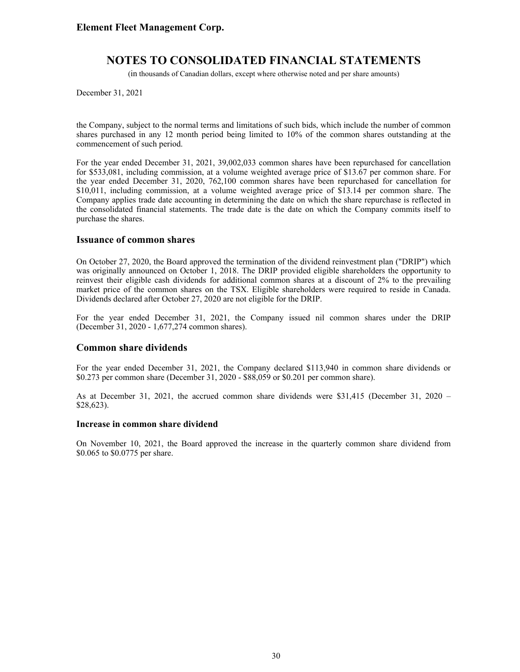(in thousands of Canadian dollars, except where otherwise noted and per share amounts)

December 31, 2021

the Company, subject to the normal terms and limitations of such bids, which include the number of common shares purchased in any 12 month period being limited to 10% of the common shares outstanding at the commencement of such period.

For the year ended December 31, 2021, 39,002,033 common shares have been repurchased for cancellation for \$533,081, including commission, at a volume weighted average price of \$13.67 per common share. For the year ended December 31, 2020, 762,100 common shares have been repurchased for cancellation for \$10,011, including commission, at a volume weighted average price of \$13.14 per common share. The Company applies trade date accounting in determining the date on which the share repurchase is reflected in the consolidated financial statements. The trade date is the date on which the Company commits itself to purchase the shares.

### **Issuance of common shares**

On October 27, 2020, the Board approved the termination of the dividend reinvestment plan ("DRIP") which was originally announced on October 1, 2018. The DRIP provided eligible shareholders the opportunity to reinvest their eligible cash dividends for additional common shares at a discount of 2% to the prevailing market price of the common shares on the TSX. Eligible shareholders were required to reside in Canada. Dividends declared after October 27, 2020 are not eligible for the DRIP.

For the year ended December 31, 2021, the Company issued nil common shares under the DRIP (December 31, 2020 - 1,677,274 common shares).

### **Common share dividends**

For the year ended December 31, 2021, the Company declared \$113,940 in common share dividends or \$0.273 per common share (December 31, 2020 - \$88,059 or \$0.201 per common share).

As at December 31, 2021, the accrued common share dividends were \$31,415 (December 31, 2020 – \$28,623).

#### **Increase in common share dividend**

On November 10, 2021, the Board approved the increase in the quarterly common share dividend from \$0.065 to \$0.0775 per share.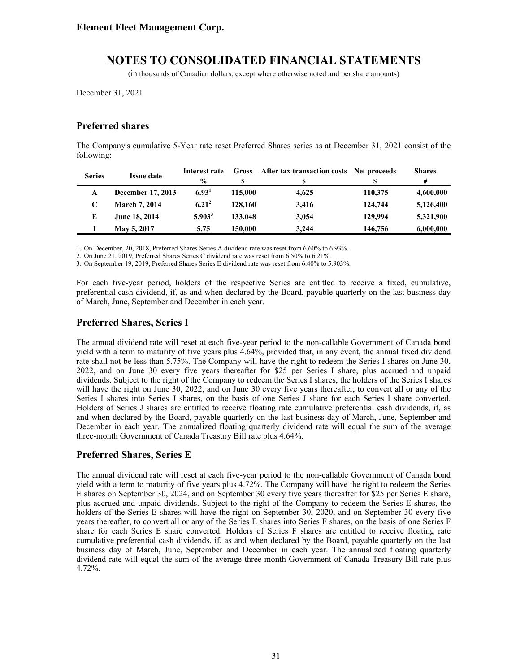(in thousands of Canadian dollars, except where otherwise noted and per share amounts)

December 31, 2021

### **Preferred shares**

The Company's cumulative 5-Year rate reset Preferred Shares series as at December 31, 2021 consist of the following:

| <b>Series</b> | <b>Issue date</b>    | Interest rate<br>$\frac{0}{0}$ | Gross   | After tax transaction costs Net proceeds<br>\$ |         | <b>Shares</b><br># |
|---------------|----------------------|--------------------------------|---------|------------------------------------------------|---------|--------------------|
| A             | December 17, 2013    | 6.93 <sup>1</sup>              | 115,000 | 4.625                                          | 110,375 | 4,600,000          |
|               | <b>March 7, 2014</b> | $6.21^{2}$                     | 128,160 | 3.416                                          | 124,744 | 5,126,400          |
| E             | June 18, 2014        | $5.903^3$                      | 133,048 | 3,054                                          | 129,994 | 5,321,900          |
|               | May 5, 2017          | 5.75                           | 150.000 | 3.244                                          | 146,756 | 6,000,000          |

1. On December, 20, 2018, Preferred Shares Series A dividend rate was reset from 6.60% to 6.93%.

2. On June 21, 2019, Preferred Shares Series C dividend rate was reset from 6.50% to 6.21%.

3. On September 19, 2019, Preferred Shares Series E dividend rate was reset from 6.40% to 5.903%.

For each five-year period, holders of the respective Series are entitled to receive a fixed, cumulative, preferential cash dividend, if, as and when declared by the Board, payable quarterly on the last business day of March, June, September and December in each year.

### **Preferred Shares, Series I**

The annual dividend rate will reset at each five-year period to the non-callable Government of Canada bond yield with a term to maturity of five years plus 4.64%, provided that, in any event, the annual fixed dividend rate shall not be less than 5.75%. The Company will have the right to redeem the Series I shares on June 30, 2022, and on June 30 every five years thereafter for \$25 per Series I share, plus accrued and unpaid dividends. Subject to the right of the Company to redeem the Series I shares, the holders of the Series I shares will have the right on June 30, 2022, and on June 30 every five years thereafter, to convert all or any of the Series I shares into Series J shares, on the basis of one Series J share for each Series I share converted. Holders of Series J shares are entitled to receive floating rate cumulative preferential cash dividends, if, as and when declared by the Board, payable quarterly on the last business day of March, June, September and December in each year. The annualized floating quarterly dividend rate will equal the sum of the average three-month Government of Canada Treasury Bill rate plus 4.64%.

### **Preferred Shares, Series E**

The annual dividend rate will reset at each five-year period to the non-callable Government of Canada bond yield with a term to maturity of five years plus 4.72%. The Company will have the right to redeem the Series E shares on September 30, 2024, and on September 30 every five years thereafter for \$25 per Series E share, plus accrued and unpaid dividends. Subject to the right of the Company to redeem the Series E shares, the holders of the Series E shares will have the right on September 30, 2020, and on September 30 every five years thereafter, to convert all or any of the Series E shares into Series F shares, on the basis of one Series F share for each Series E share converted. Holders of Series F shares are entitled to receive floating rate cumulative preferential cash dividends, if, as and when declared by the Board, payable quarterly on the last business day of March, June, September and December in each year. The annualized floating quarterly dividend rate will equal the sum of the average three-month Government of Canada Treasury Bill rate plus 4.72%.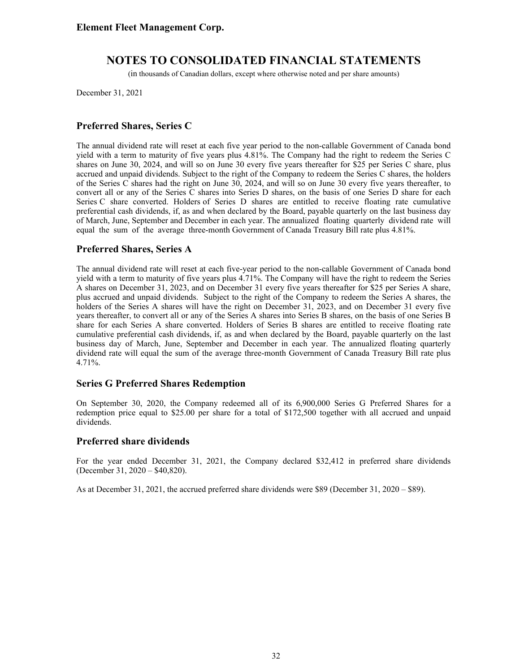(in thousands of Canadian dollars, except where otherwise noted and per share amounts)

December 31, 2021

### **Preferred Shares, Series C**

The annual dividend rate will reset at each five year period to the non-callable Government of Canada bond yield with a term to maturity of five years plus 4.81%. The Company had the right to redeem the Series C shares on June 30, 2024, and will so on June 30 every five years thereafter for \$25 per Series C share, plus accrued and unpaid dividends. Subject to the right of the Company to redeem the Series C shares, the holders of the Series C shares had the right on June 30, 2024, and will so on June 30 every five years thereafter, to convert all or any of the Series C shares into Series D shares, on the basis of one Series D share for each Series C share converted. Holders of Series D shares are entitled to receive floating rate cumulative preferential cash dividends, if, as and when declared by the Board, payable quarterly on the last business day of March, June, September and December in each year. The annualized floating quarterly dividend rate will equal the sum of the average three-month Government of Canada Treasury Bill rate plus 4.81%.

### **Preferred Shares, Series A**

The annual dividend rate will reset at each five-year period to the non-callable Government of Canada bond yield with a term to maturity of five years plus 4.71%. The Company will have the right to redeem the Series A shares on December 31, 2023, and on December 31 every five years thereafter for \$25 per Series A share, plus accrued and unpaid dividends. Subject to the right of the Company to redeem the Series A shares, the holders of the Series A shares will have the right on December 31, 2023, and on December 31 every five years thereafter, to convert all or any of the Series A shares into Series B shares, on the basis of one Series B share for each Series A share converted. Holders of Series B shares are entitled to receive floating rate cumulative preferential cash dividends, if, as and when declared by the Board, payable quarterly on the last business day of March, June, September and December in each year. The annualized floating quarterly dividend rate will equal the sum of the average three-month Government of Canada Treasury Bill rate plus 4.71%.

### **Series G Preferred Shares Redemption**

On September 30, 2020, the Company redeemed all of its 6,900,000 Series G Preferred Shares for a redemption price equal to \$25.00 per share for a total of \$172,500 together with all accrued and unpaid dividends.

### **Preferred share dividends**

For the year ended December 31, 2021, the Company declared \$32,412 in preferred share dividends (December 31, 2020 – \$40,820).

As at December 31, 2021, the accrued preferred share dividends were \$89 (December 31, 2020 – \$89).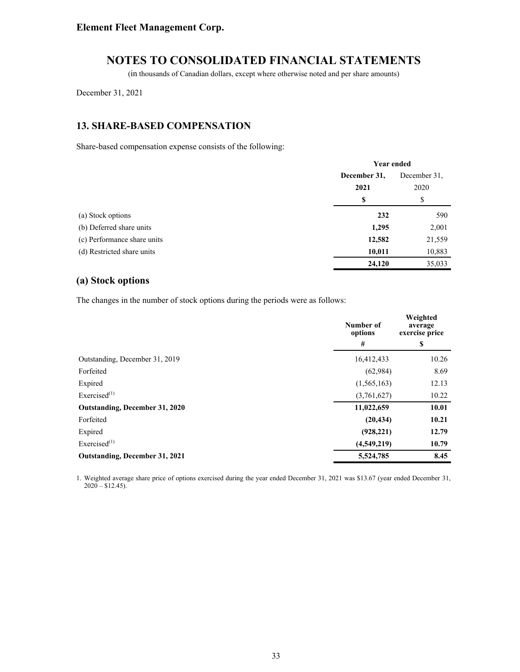(in thousands of Canadian dollars, except where otherwise noted and per share amounts)

December 31, 2021

### **13. SHARE-BASED COMPENSATION**

Share-based compensation expense consists of the following:

|                             |              | Year ended           |  |  |
|-----------------------------|--------------|----------------------|--|--|
|                             | December 31, | December 31.<br>2020 |  |  |
|                             | 2021         |                      |  |  |
|                             | \$           | \$                   |  |  |
| (a) Stock options           | 232          | 590                  |  |  |
| (b) Deferred share units    | 1,295        | 2,001                |  |  |
| (c) Performance share units | 12,582       | 21,559               |  |  |
| (d) Restricted share units  | 10,011       | 10,883               |  |  |
|                             | 24,120       | 35,033               |  |  |

### **(a) Stock options**

The changes in the number of stock options during the periods were as follows:

|                                       | Number of<br>options | Weighted<br>average<br>exercise price |  |
|---------------------------------------|----------------------|---------------------------------------|--|
|                                       | #                    | \$                                    |  |
| Outstanding, December 31, 2019        | 16,412,433           | 10.26                                 |  |
| Forfeited                             | (62,984)             | 8.69                                  |  |
| Expired                               | (1, 565, 163)        | 12.13                                 |  |
| Exercised <sup>(1)</sup>              | (3,761,627)          | 10.22                                 |  |
| <b>Outstanding, December 31, 2020</b> | 11,022,659           | 10.01                                 |  |
| Forfeited                             | (20, 434)            | 10.21                                 |  |
| Expired                               | (928, 221)           | 12.79                                 |  |
| Exercised $^{(1)}$                    | (4,549,219)          | 10.79                                 |  |
| <b>Outstanding, December 31, 2021</b> | 5,524,785            | 8.45                                  |  |

1. Weighted average share price of options exercised during the year ended December 31, 2021 was \$13.67 (year ended December 31,  $2020 - $12.45$ ).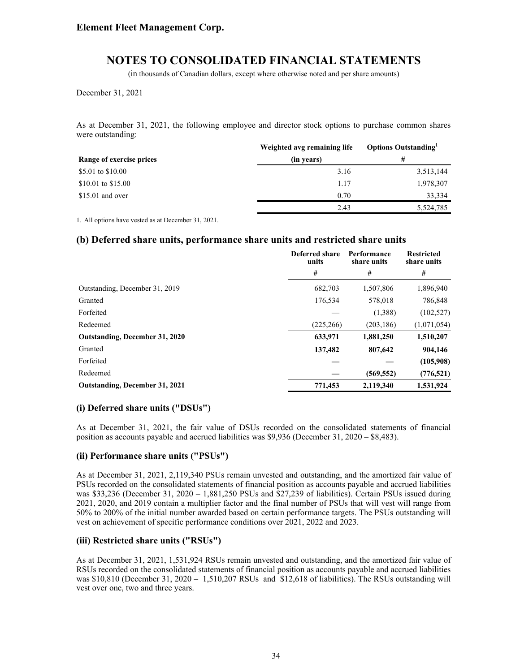(in thousands of Canadian dollars, except where otherwise noted and per share amounts)

December 31, 2021

As at December 31, 2021, the following employee and director stock options to purchase common shares were outstanding:

|                          | Weighted avg remaining life | <b>Options Outstanding</b> |
|--------------------------|-----------------------------|----------------------------|
| Range of exercise prices | (in years)                  | #                          |
| \$5.01 to \$10.00        | 3.16                        | 3,513,144                  |
| \$10.01 to \$15.00       | 1.17                        | 1,978,307                  |
| $$15.01$ and over        | 0.70                        | 33,334                     |
|                          | 2.43                        | 5,524,785                  |

1. All options have vested as at December 31, 2021.

### **(b) Deferred share units, performance share units and restricted share units**

|                                       | Deferred share<br>units | Performance<br>share units | <b>Restricted</b><br>share units |
|---------------------------------------|-------------------------|----------------------------|----------------------------------|
|                                       | #                       | #                          | #                                |
| Outstanding, December 31, 2019        | 682,703                 | 1,507,806                  | 1,896,940                        |
| Granted                               | 176,534                 | 578,018                    | 786,848                          |
| Forfeited                             |                         | (1,388)                    | (102, 527)                       |
| Redeemed                              | (225, 266)              | (203, 186)                 | (1,071,054)                      |
| <b>Outstanding, December 31, 2020</b> | 633,971                 | 1,881,250                  | 1,510,207                        |
| Granted                               | 137,482                 | 807,642                    | 904,146                          |
| Forfeited                             |                         |                            | (105,908)                        |
| Redeemed                              |                         | (569, 552)                 | (776, 521)                       |
| <b>Outstanding, December 31, 2021</b> | 771,453                 | 2.119.340                  | 1.531.924                        |

#### **(i) Deferred share units ("DSUs")**

As at December 31, 2021, the fair value of DSUs recorded on the consolidated statements of financial position as accounts payable and accrued liabilities was \$9,936 (December 31, 2020 – \$8,483).

#### **(ii) Performance share units ("PSUs")**

As at December 31, 2021, 2,119,340 PSUs remain unvested and outstanding, and the amortized fair value of PSUs recorded on the consolidated statements of financial position as accounts payable and accrued liabilities was \$33,236 (December 31, 2020 – 1,881,250 PSUs and \$27,239 of liabilities). Certain PSUs issued during 2021, 2020, and 2019 contain a multiplier factor and the final number of PSUs that will vest will range from 50% to 200% of the initial number awarded based on certain performance targets. The PSUs outstanding will vest on achievement of specific performance conditions over 2021, 2022 and 2023.

#### **(iii) Restricted share units ("RSUs")**

As at December 31, 2021, 1,531,924 RSUs remain unvested and outstanding, and the amortized fair value of RSUs recorded on the consolidated statements of financial position as accounts payable and accrued liabilities was \$10,810 (December 31, 2020 – 1,510,207 RSUs and \$12,618 of liabilities). The RSUs outstanding will vest over one, two and three years.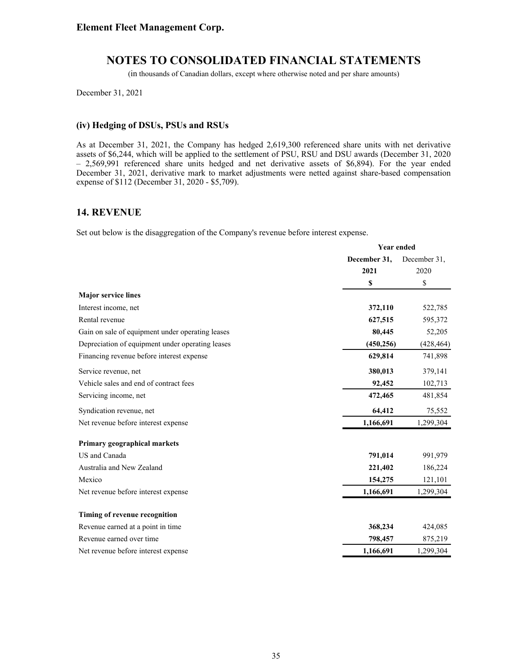(in thousands of Canadian dollars, except where otherwise noted and per share amounts)

December 31, 2021

### **(iv) Hedging of DSUs, PSUs and RSUs**

As at December 31, 2021, the Company has hedged 2,619,300 referenced share units with net derivative assets of \$6,244, which will be applied to the settlement of PSU, RSU and DSU awards (December 31, 2020 – 2,569,991 referenced share units hedged and net derivative assets of \$6,894). For the year ended December 31, 2021, derivative mark to market adjustments were netted against share-based compensation expense of \$112 (December 31, 2020 - \$5,709).

### **14. REVENUE**

Set out below is the disaggregation of the Company's revenue before interest expense.

|                                                  | <b>Year ended</b> |              |  |
|--------------------------------------------------|-------------------|--------------|--|
|                                                  | December 31,      | December 31, |  |
|                                                  | 2021              | 2020         |  |
|                                                  | \$                | \$           |  |
| <b>Major service lines</b>                       |                   |              |  |
| Interest income, net                             | 372,110           | 522,785      |  |
| Rental revenue                                   | 627,515           | 595,372      |  |
| Gain on sale of equipment under operating leases | 80,445            | 52,205       |  |
| Depreciation of equipment under operating leases | (450, 256)        | (428, 464)   |  |
| Financing revenue before interest expense        | 629,814           | 741,898      |  |
| Service revenue, net                             | 380,013           | 379,141      |  |
| Vehicle sales and end of contract fees           | 92,452            | 102,713      |  |
| Servicing income, net                            | 472,465           | 481,854      |  |
| Syndication revenue, net                         | 64,412            | 75,552       |  |
| Net revenue before interest expense              | 1,166,691         | 1,299,304    |  |
| Primary geographical markets                     |                   |              |  |
| US and Canada                                    | 791,014           | 991,979      |  |
| Australia and New Zealand                        | 221,402           | 186,224      |  |
| Mexico                                           | 154,275           | 121,101      |  |
| Net revenue before interest expense              | 1,166,691         | 1,299,304    |  |
| Timing of revenue recognition                    |                   |              |  |
| Revenue earned at a point in time                | 368,234           | 424,085      |  |
| Revenue earned over time                         | 798,457           | 875,219      |  |
| Net revenue before interest expense              | 1,166,691         | 1,299,304    |  |
|                                                  |                   |              |  |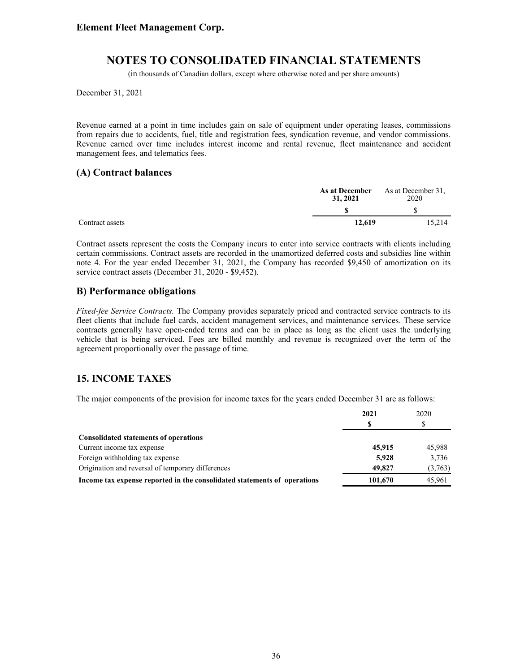(in thousands of Canadian dollars, except where otherwise noted and per share amounts)

December 31, 2021

Revenue earned at a point in time includes gain on sale of equipment under operating leases, commissions from repairs due to accidents, fuel, title and registration fees, syndication revenue, and vendor commissions. Revenue earned over time includes interest income and rental revenue, fleet maintenance and accident management fees, and telematics fees.

### **(A) Contract balances**

|                 | As at December<br>31, 2021 | As at December 31,<br>2020 |  |
|-----------------|----------------------------|----------------------------|--|
|                 |                            |                            |  |
| Contract assets | 12.619                     | 15.214                     |  |

Contract assets represent the costs the Company incurs to enter into service contracts with clients including certain commissions. Contract assets are recorded in the unamortized deferred costs and subsidies line within note 4. For the year ended December 31, 2021, the Company has recorded \$9,450 of amortization on its service contract assets (December 31, 2020 - \$9,452).

### **B) Performance obligations**

*Fixed-fee Service Contracts.* The Company provides separately priced and contracted service contracts to its fleet clients that include fuel cards, accident management services, and maintenance services. These service contracts generally have open-ended terms and can be in place as long as the client uses the underlying vehicle that is being serviced. Fees are billed monthly and revenue is recognized over the term of the agreement proportionally over the passage of time.

## **15. INCOME TAXES**

The major components of the provision for income taxes for the years ended December 31 are as follows:

|                                                                          | 2021    | 2020    |
|--------------------------------------------------------------------------|---------|---------|
|                                                                          | S       |         |
| <b>Consolidated statements of operations</b>                             |         |         |
| Current income tax expense                                               | 45,915  | 45,988  |
| Foreign withholding tax expense                                          | 5,928   | 3,736   |
| Origination and reversal of temporary differences                        | 49,827  | (3,763) |
| Income tax expense reported in the consolidated statements of operations | 101,670 | 45,961  |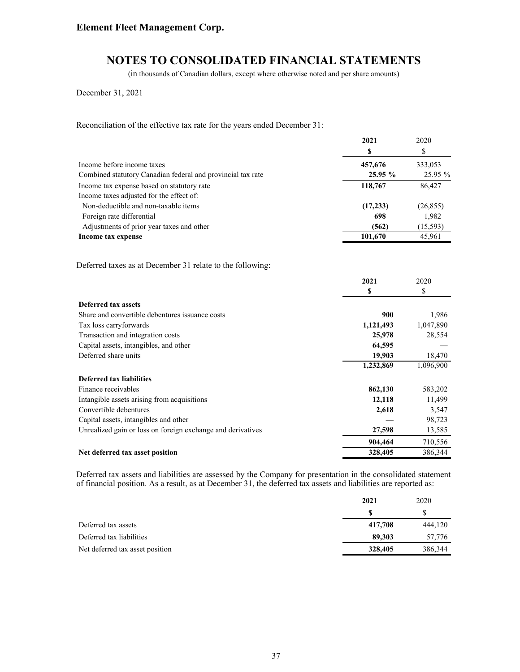## **NOTES TO CONSOLIDATED FINANCIAL STATEMENTS**

(in thousands of Canadian dollars, except where otherwise noted and per share amounts)

December 31, 2021

Reconciliation of the effective tax rate for the years ended December 31:

|                                                             | 2021      | 2020      |
|-------------------------------------------------------------|-----------|-----------|
|                                                             | \$        | \$        |
| Income before income taxes                                  | 457,676   | 333,053   |
| Combined statutory Canadian federal and provincial tax rate | 25.95 %   | 25.95 %   |
| Income tax expense based on statutory rate                  | 118,767   | 86,427    |
| Income taxes adjusted for the effect of:                    |           |           |
| Non-deductible and non-taxable items                        | (17, 233) | (26, 855) |
| Foreign rate differential                                   | 698       | 1,982     |
| Adjustments of prior year taxes and other                   | (562)     | (15, 593) |
| Income tax expense                                          | 101,670   | 45,961    |
| Deferred taxes as at December 31 relate to the following:   |           |           |
|                                                             | 2021      | 2020      |
|                                                             | \$        | \$        |
| Deferred tax assets                                         |           |           |
| Share and convertible debentures issuance costs             | 900       | 1,986     |
| Tax loss carryforwards                                      | 1,121,493 | 1,047,890 |
| Transaction and integration costs                           | 25,978    | 28,554    |
| Capital assets, intangibles, and other                      | 64,595    |           |
| Deferred share units                                        | 19,903    | 18,470    |
|                                                             | 1,232,869 | 1,096,900 |
| Deferred tax liabilities                                    |           |           |
| Finance receivables                                         | 862,130   | 583,202   |
| Intangible assets arising from acquisitions                 | 12,118    | 11,499    |
| Convertible debentures                                      | 2,618     | 3,547     |
| Capital assets, intangibles and other                       |           | 98,723    |
| Unrealized gain or loss on foreign exchange and derivatives | 27,598    | 13,585    |
|                                                             | 904,464   | 710,556   |
| Net deferred tax asset position                             | 328,405   | 386,344   |

Deferred tax assets and liabilities are assessed by the Company for presentation in the consolidated statement of financial position. As a result, as at December 31, the deferred tax assets and liabilities are reported as:

|                                 | 2021    | 2020    |
|---------------------------------|---------|---------|
|                                 | S       |         |
| Deferred tax assets             | 417,708 | 444.120 |
| Deferred tax liabilities        | 89,303  | 57,776  |
| Net deferred tax asset position | 328,405 | 386,344 |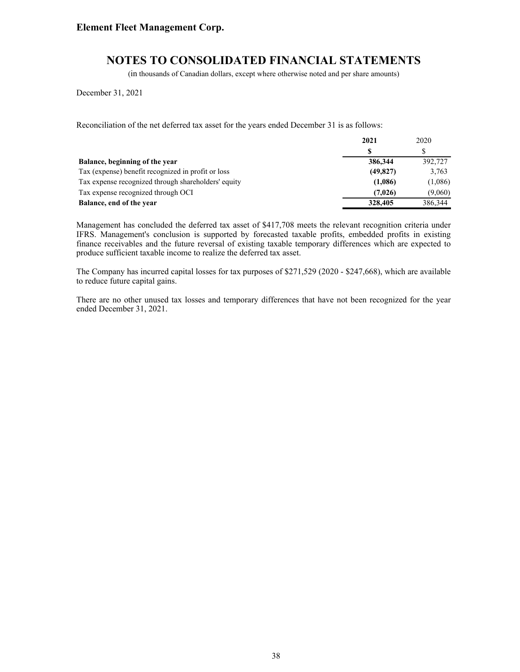(in thousands of Canadian dollars, except where otherwise noted and per share amounts)

December 31, 2021

Reconciliation of the net deferred tax asset for the years ended December 31 is as follows:

|                                                     | 2021      | 2020    |  |
|-----------------------------------------------------|-----------|---------|--|
|                                                     | \$        |         |  |
| Balance, beginning of the year                      | 386,344   | 392,727 |  |
| Tax (expense) benefit recognized in profit or loss  | (49, 827) | 3,763   |  |
| Tax expense recognized through shareholders' equity | (1,086)   | (1,086) |  |
| Tax expense recognized through OCI                  | (7,026)   | (9,060) |  |
| Balance, end of the year                            | 328,405   | 386.344 |  |

Management has concluded the deferred tax asset of \$417,708 meets the relevant recognition criteria under IFRS. Management's conclusion is supported by forecasted taxable profits, embedded profits in existing finance receivables and the future reversal of existing taxable temporary differences which are expected to produce sufficient taxable income to realize the deferred tax asset.

The Company has incurred capital losses for tax purposes of \$271,529 (2020 - \$247,668), which are available to reduce future capital gains.

There are no other unused tax losses and temporary differences that have not been recognized for the year ended December 31, 2021.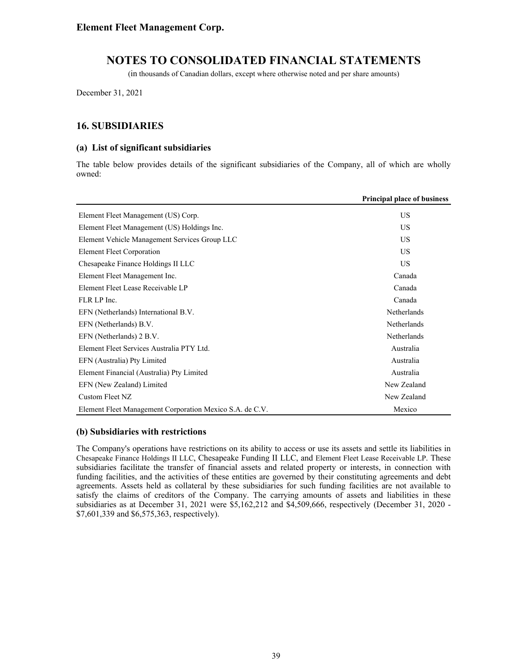(in thousands of Canadian dollars, except where otherwise noted and per share amounts)

December 31, 2021

### **16. SUBSIDIARIES**

### **(a) List of significant subsidiaries**

The table below provides details of the significant subsidiaries of the Company, all of which are wholly owned:

|                                                          | <b>Principal place of business</b> |
|----------------------------------------------------------|------------------------------------|
| Element Fleet Management (US) Corp.                      | <b>US</b>                          |
| Element Fleet Management (US) Holdings Inc.              | US                                 |
| Element Vehicle Management Services Group LLC            | <b>US</b>                          |
| <b>Element Fleet Corporation</b>                         | US                                 |
| Chesapeake Finance Holdings II LLC                       | <b>US</b>                          |
| Element Fleet Management Inc.                            | Canada                             |
| Element Fleet Lease Receivable LP                        | Canada                             |
| FLR LP Inc.                                              | Canada                             |
| EFN (Netherlands) International B.V.                     | Netherlands                        |
| EFN (Netherlands) B.V.                                   | Netherlands                        |
| EFN (Netherlands) 2 B.V.                                 | <b>Netherlands</b>                 |
| Element Fleet Services Australia PTY Ltd.                | Australia                          |
| EFN (Australia) Pty Limited                              | Australia                          |
| Element Financial (Australia) Pty Limited                | Australia                          |
| EFN (New Zealand) Limited                                | New Zealand                        |
| Custom Fleet NZ                                          | New Zealand                        |
| Element Fleet Management Corporation Mexico S.A. de C.V. | Mexico                             |

#### **(b) Subsidiaries with restrictions**

The Company's operations have restrictions on its ability to access or use its assets and settle its liabilities in Chesapeake Finance Holdings II LLC, Chesapeake Funding II LLC, and Element Fleet Lease Receivable LP. These subsidiaries facilitate the transfer of financial assets and related property or interests, in connection with funding facilities, and the activities of these entities are governed by their constituting agreements and debt agreements. Assets held as collateral by these subsidiaries for such funding facilities are not available to satisfy the claims of creditors of the Company. The carrying amounts of assets and liabilities in these subsidiaries as at December 31, 2021 were \$5,162,212 and \$4,509,666, respectively (December 31, 2020 - \$7,601,339 and \$6,575,363, respectively).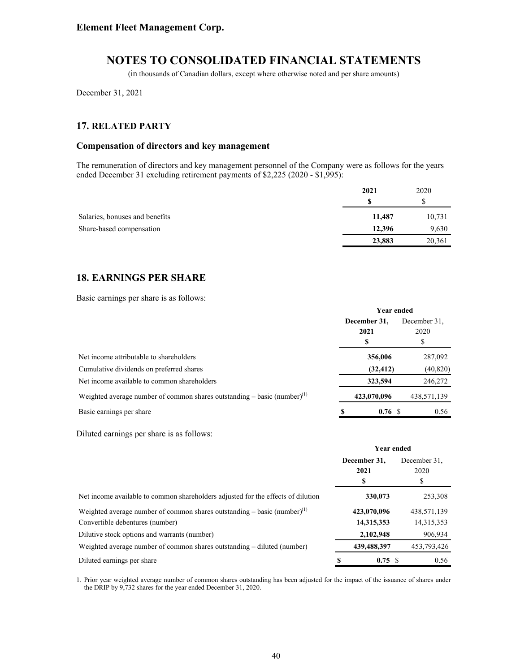(in thousands of Canadian dollars, except where otherwise noted and per share amounts)

December 31, 2021

### **17. RELATED PARTY**

#### **Compensation of directors and key management**

The remuneration of directors and key management personnel of the Company were as follows for the years ended December 31 excluding retirement payments of \$2,225 (2020 - \$1,995):

|                                | 2021   | 2020   |
|--------------------------------|--------|--------|
|                                | S      | \$     |
| Salaries, bonuses and benefits | 11,487 | 10,731 |
| Share-based compensation       | 12,396 | 9,630  |
|                                | 23,883 | 20,361 |

### **18. EARNINGS PER SHARE**

Basic earnings per share is as follows:

|                                                                                      | Year ended                |             |                      |
|--------------------------------------------------------------------------------------|---------------------------|-------------|----------------------|
|                                                                                      | December 31.<br>2021<br>S |             | December 31.<br>2020 |
| Net income attributable to shareholders                                              |                           | 356,006     | 287,092              |
| Cumulative dividends on preferred shares                                             |                           | (32, 412)   | (40, 820)            |
| Net income available to common shareholders                                          |                           | 323,594     | 246,272              |
| Weighted average number of common shares outstanding – basic (number) <sup>(1)</sup> |                           | 423,070,096 | 438,571,139          |
| Basic earnings per share                                                             |                           | 0.76 S      | 0.56                 |

Diluted earnings per share is as follows:

|                                                                                      | <b>Year ended</b>         |             |  |                           |
|--------------------------------------------------------------------------------------|---------------------------|-------------|--|---------------------------|
|                                                                                      | December 31.<br>2021<br>S |             |  | December 31.<br>2020<br>S |
| Net income available to common shareholders adjusted for the effects of dilution     |                           | 330,073     |  | 253,308                   |
| Weighted average number of common shares outstanding – basic (number) <sup>(1)</sup> |                           | 423,070,096 |  | 438,571,139               |
| Convertible debentures (number)                                                      |                           | 14,315,353  |  | 14,315,353                |
| Dilutive stock options and warrants (number)                                         |                           | 2,102,948   |  | 906,934                   |
| Weighted average number of common shares outstanding – diluted (number)              |                           | 439,488,397 |  | 453,793,426               |
| Diluted earnings per share                                                           | S                         | 0.75 S      |  | 0.56                      |

1. Prior year weighted average number of common shares outstanding has been adjusted for the impact of the issuance of shares under the DRIP by 9,732 shares for the year ended December 31, 2020.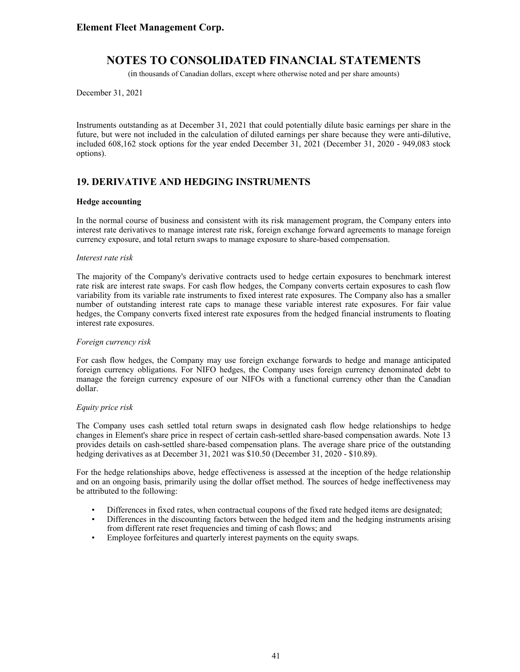(in thousands of Canadian dollars, except where otherwise noted and per share amounts)

December 31, 2021

Instruments outstanding as at December 31, 2021 that could potentially dilute basic earnings per share in the future, but were not included in the calculation of diluted earnings per share because they were anti-dilutive, included 608,162 stock options for the year ended December 31, 2021 (December 31, 2020 - 949,083 stock options).

### **19. DERIVATIVE AND HEDGING INSTRUMENTS**

#### **Hedge accounting**

In the normal course of business and consistent with its risk management program, the Company enters into interest rate derivatives to manage interest rate risk, foreign exchange forward agreements to manage foreign currency exposure, and total return swaps to manage exposure to share-based compensation.

#### *Interest rate risk*

The majority of the Company's derivative contracts used to hedge certain exposures to benchmark interest rate risk are interest rate swaps. For cash flow hedges, the Company converts certain exposures to cash flow variability from its variable rate instruments to fixed interest rate exposures. The Company also has a smaller number of outstanding interest rate caps to manage these variable interest rate exposures. For fair value hedges, the Company converts fixed interest rate exposures from the hedged financial instruments to floating interest rate exposures.

#### *Foreign currency risk*

For cash flow hedges, the Company may use foreign exchange forwards to hedge and manage anticipated foreign currency obligations. For NIFO hedges, the Company uses foreign currency denominated debt to manage the foreign currency exposure of our NIFOs with a functional currency other than the Canadian dollar.

#### *Equity price risk*

The Company uses cash settled total return swaps in designated cash flow hedge relationships to hedge changes in Element's share price in respect of certain cash-settled share-based compensation awards. Note 13 provides details on cash-settled share-based compensation plans. The average share price of the outstanding hedging derivatives as at December 31, 2021 was \$10.50 (December 31, 2020 - \$10.89).

For the hedge relationships above, hedge effectiveness is assessed at the inception of the hedge relationship and on an ongoing basis, primarily using the dollar offset method. The sources of hedge ineffectiveness may be attributed to the following:

- Differences in fixed rates, when contractual coupons of the fixed rate hedged items are designated;
- Differences in the discounting factors between the hedged item and the hedging instruments arising from different rate reset frequencies and timing of cash flows; and
- Employee forfeitures and quarterly interest payments on the equity swaps.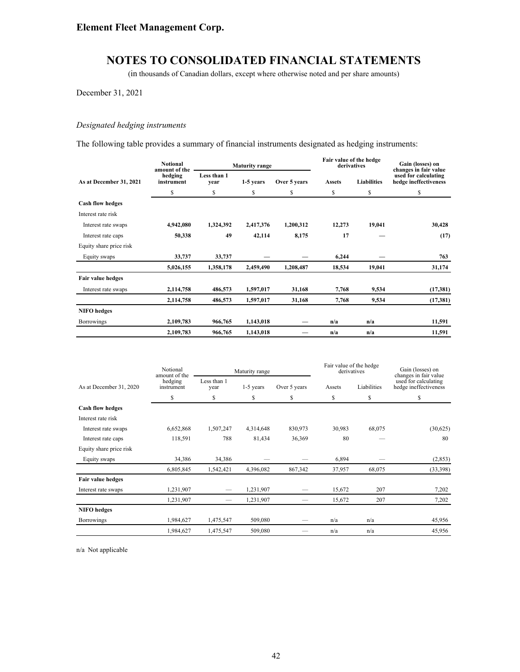(in thousands of Canadian dollars, except where otherwise noted and per share amounts)

December 31, 2021

#### *Designated hedging instruments*

The following table provides a summary of financial instruments designated as hedging instruments:

|                          | <b>Notional</b><br>amount of the | <b>Maturity range</b> |           | Fair value of the hedge<br>derivatives |               | Gain (losses) on<br>changes in fair value |                                               |
|--------------------------|----------------------------------|-----------------------|-----------|----------------------------------------|---------------|-------------------------------------------|-----------------------------------------------|
| As at December 31, 2021  | hedging<br>instrument            | Less than 1<br>vear   | 1-5 years | Over 5 years                           | <b>Assets</b> | <b>Liabilities</b>                        | used for calculating<br>hedge ineffectiveness |
|                          | \$                               | \$                    | \$        | \$                                     | \$            | \$                                        | \$                                            |
| <b>Cash flow hedges</b>  |                                  |                       |           |                                        |               |                                           |                                               |
| Interest rate risk       |                                  |                       |           |                                        |               |                                           |                                               |
| Interest rate swaps      | 4,942,080                        | 1,324,392             | 2,417,376 | 1,200,312                              | 12,273        | 19,041                                    | 30,428                                        |
| Interest rate caps       | 50,338                           | 49                    | 42,114    | 8,175                                  | 17            |                                           | (17)                                          |
| Equity share price risk  |                                  |                       |           |                                        |               |                                           |                                               |
| Equity swaps             | 33,737                           | 33,737                |           |                                        | 6,244         |                                           | 763                                           |
|                          | 5,026,155                        | 1,358,178             | 2,459,490 | 1,208,487                              | 18,534        | 19,041                                    | 31,174                                        |
| <b>Fair value hedges</b> |                                  |                       |           |                                        |               |                                           |                                               |
| Interest rate swaps      | 2,114,758                        | 486,573               | 1,597,017 | 31,168                                 | 7,768         | 9,534                                     | (17, 381)                                     |
|                          | 2,114,758                        | 486,573               | 1,597,017 | 31,168                                 | 7,768         | 9,534                                     | (17,381)                                      |
| <b>NIFO</b> hedges       |                                  |                       |           |                                        |               |                                           |                                               |
| <b>Borrowings</b>        | 2,109,783                        | 966,765               | 1,143,018 |                                        | n/a           | n/a                                       | 11,591                                        |
|                          | 2,109,783                        | 966,765               | 1,143,018 |                                        | n/a           | n/a                                       | 11,591                                        |

|                          | Notional<br>amount of the | Maturity range      |           | Fair value of the hedge<br>derivatives |        | Gain (losses) on<br>changes in fair value |                                               |
|--------------------------|---------------------------|---------------------|-----------|----------------------------------------|--------|-------------------------------------------|-----------------------------------------------|
| As at December 31, 2020  | hedging<br>instrument     | Less than 1<br>year | 1-5 years | Over 5 years                           | Assets | Liabilities                               | used for calculating<br>hedge ineffectiveness |
|                          | \$                        | \$                  | \$        | \$                                     | \$     | \$                                        | \$                                            |
| <b>Cash flow hedges</b>  |                           |                     |           |                                        |        |                                           |                                               |
| Interest rate risk       |                           |                     |           |                                        |        |                                           |                                               |
| Interest rate swaps      | 6,652,868                 | 1,507,247           | 4,314,648 | 830,973                                | 30,983 | 68,075                                    | (30,625)                                      |
| Interest rate caps       | 118,591                   | 788                 | 81,434    | 36,369                                 | 80     |                                           | 80                                            |
| Equity share price risk  |                           |                     |           |                                        |        |                                           |                                               |
| Equity swaps             | 34,386                    | 34,386              |           |                                        | 6,894  |                                           | (2, 853)                                      |
|                          | 6,805,845                 | 1,542,421           | 4,396,082 | 867,342                                | 37,957 | 68,075                                    | (33, 398)                                     |
| <b>Fair value hedges</b> |                           |                     |           |                                        |        |                                           |                                               |
| Interest rate swaps      | 1,231,907                 |                     | 1,231,907 |                                        | 15,672 | 207                                       | 7,202                                         |
|                          | 1,231,907                 |                     | 1,231,907 |                                        | 15,672 | 207                                       | 7,202                                         |
| <b>NIFO</b> hedges       |                           |                     |           |                                        |        |                                           |                                               |
| <b>Borrowings</b>        | 1,984,627                 | 1,475,547           | 509,080   |                                        | n/a    | n/a                                       | 45,956                                        |
|                          | 1,984,627                 | 1,475,547           | 509,080   |                                        | n/a    | n/a                                       | 45,956                                        |

n/a Not applicable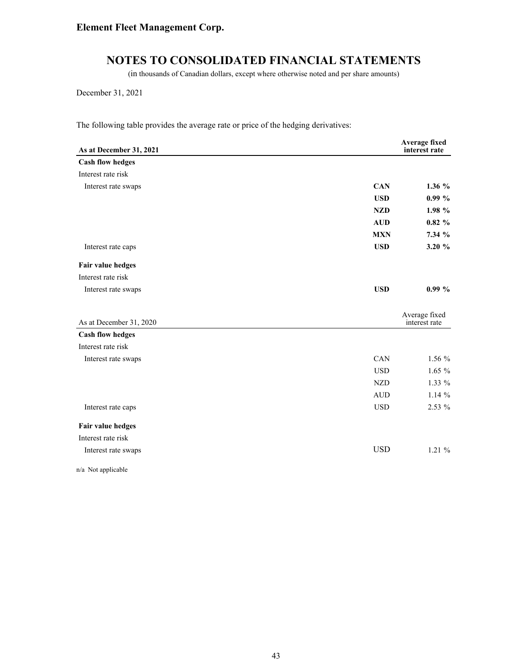## **NOTES TO CONSOLIDATED FINANCIAL STATEMENTS**

(in thousands of Canadian dollars, except where otherwise noted and per share amounts)

December 31, 2021

The following table provides the average rate or price of the hedging derivatives:

| As at December 31, 2021 |            | Average fixed<br>interest rate |
|-------------------------|------------|--------------------------------|
| <b>Cash flow hedges</b> |            |                                |
| Interest rate risk      |            |                                |
| Interest rate swaps     | <b>CAN</b> | 1.36 %                         |
|                         | <b>USD</b> | $0.99\%$                       |
|                         | <b>NZD</b> | 1.98 %                         |
|                         | <b>AUD</b> | $0.82 \%$                      |
|                         | <b>MXN</b> | 7.34 %                         |
| Interest rate caps      | <b>USD</b> | 3.20 %                         |
| Fair value hedges       |            |                                |
| Interest rate risk      |            |                                |
| Interest rate swaps     | <b>USD</b> | $0.99\%$                       |
| As at December 31, 2020 |            | Average fixed<br>interest rate |
| <b>Cash flow hedges</b> |            |                                |
| Interest rate risk      |            |                                |
| Interest rate swaps     | CAN        | $1.56\%$                       |
|                         | <b>USD</b> | $1.65 \%$                      |
|                         | <b>NZD</b> | 1.33 %                         |
|                         |            |                                |
|                         | <b>AUD</b> | 1.14%                          |
| Interest rate caps      | <b>USD</b> | $2.53\%$                       |
| Fair value hedges       |            |                                |
| Interest rate risk      |            |                                |

n/a Not applicable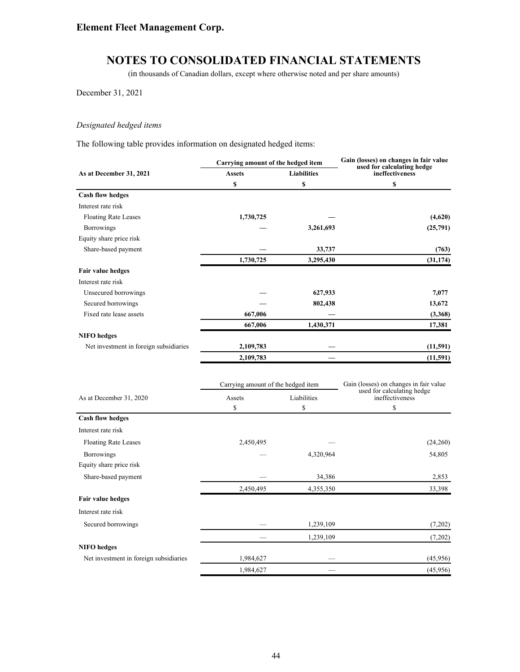(in thousands of Canadian dollars, except where otherwise noted and per share amounts)

December 31, 2021

### *Designated hedged items*

The following table provides information on designated hedged items:

|                                        | Carrying amount of the hedged item |                    | Gain (losses) on changes in fair value<br>used for calculating hedge |  |
|----------------------------------------|------------------------------------|--------------------|----------------------------------------------------------------------|--|
| As at December 31, 2021                | <b>Assets</b>                      | <b>Liabilities</b> | ineffectiveness                                                      |  |
|                                        | \$                                 | \$                 | \$                                                                   |  |
| <b>Cash flow hedges</b>                |                                    |                    |                                                                      |  |
| Interest rate risk                     |                                    |                    |                                                                      |  |
| <b>Floating Rate Leases</b>            | 1,730,725                          |                    | (4,620)                                                              |  |
| Borrowings                             |                                    | 3,261,693          | (25,791)                                                             |  |
| Equity share price risk                |                                    |                    |                                                                      |  |
| Share-based payment                    |                                    | 33,737             | (763)                                                                |  |
|                                        | 1,730,725                          | 3,295,430          | (31, 174)                                                            |  |
| Fair value hedges                      |                                    |                    |                                                                      |  |
| Interest rate risk                     |                                    |                    |                                                                      |  |
| Unsecured borrowings                   |                                    | 627,933            | 7,077                                                                |  |
| Secured borrowings                     |                                    | 802,438            | 13,672                                                               |  |
| Fixed rate lease assets                | 667,006                            |                    | (3,368)                                                              |  |
|                                        | 667,006                            | 1,430,371          | 17,381                                                               |  |
| <b>NIFO</b> hedges                     |                                    |                    |                                                                      |  |
| Net investment in foreign subsidiaries | 2,109,783                          |                    | (11,591)                                                             |  |
|                                        | 2,109,783                          |                    | (11,591)                                                             |  |
|                                        |                                    |                    |                                                                      |  |
|                                        | Carrying amount of the hedged item |                    | Gain (losses) on changes in fair value                               |  |
| As at December 31, 2020                | Assets                             | Liabilities        | used for calculating hedge<br>ineffectiveness                        |  |
|                                        | $\mathbf S$                        | \$                 | \$                                                                   |  |
| <b>Cash flow hedges</b>                |                                    |                    |                                                                      |  |
| Interest rate risk                     |                                    |                    |                                                                      |  |
| <b>Floating Rate Leases</b>            | 2,450,495                          |                    | (24,260)                                                             |  |
| <b>Borrowings</b>                      |                                    | 4,320,964          | 54,805                                                               |  |
| Equity share price risk                |                                    |                    |                                                                      |  |
| Share-based payment                    |                                    | 34,386             | 2,853                                                                |  |
|                                        |                                    |                    |                                                                      |  |
| Fair value hedges                      | 2,450,495                          | 4,355,350          | 33,398                                                               |  |
|                                        |                                    |                    |                                                                      |  |
| Interest rate risk                     |                                    |                    |                                                                      |  |
| Secured borrowings                     |                                    | 1,239,109          | (7,202)                                                              |  |
|                                        |                                    | 1,239,109          | (7,202)                                                              |  |
| <b>NIFO</b> hedges                     |                                    |                    |                                                                      |  |
| Net investment in foreign subsidiaries | 1,984,627                          |                    | (45,956)                                                             |  |
|                                        | 1,984,627                          |                    | (45,956)                                                             |  |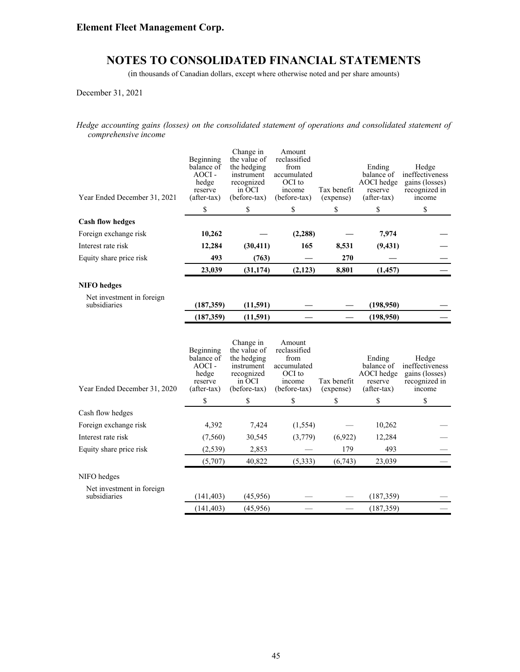(in thousands of Canadian dollars, except where otherwise noted and per share amounts)

December 31, 2021

*Hedge accounting gains (losses) on the consolidated statement of operations and consolidated statement of comprehensive income*

| Year Ended December 31, 2021              | Beginning<br>balance of<br>$AOCI -$<br>hedge<br>reserve<br>(after-tax) | Change in<br>the value of<br>the hedging<br>instrument<br>recognized<br>in OCI<br>(before-tax) | Amount<br>reclassified<br>from<br>accumulated<br>OCI to<br>income<br>(before-tax) | Tax benefit<br>(expense) | Ending<br>balance of<br>AOCI hedge<br>reserve<br>$(after-tax)$ | Hedge<br>ineffectiveness<br>gains (losses)<br>recognized in<br>income |
|-------------------------------------------|------------------------------------------------------------------------|------------------------------------------------------------------------------------------------|-----------------------------------------------------------------------------------|--------------------------|----------------------------------------------------------------|-----------------------------------------------------------------------|
|                                           | \$                                                                     | \$                                                                                             | \$                                                                                | \$                       | \$                                                             | \$                                                                    |
| <b>Cash flow hedges</b>                   |                                                                        |                                                                                                |                                                                                   |                          |                                                                |                                                                       |
| Foreign exchange risk                     | 10,262                                                                 |                                                                                                | (2, 288)                                                                          |                          | 7,974                                                          |                                                                       |
| Interest rate risk                        | 12,284                                                                 | (30, 411)                                                                                      | 165                                                                               | 8,531                    | (9, 431)                                                       |                                                                       |
| Equity share price risk                   | 493                                                                    | (763)                                                                                          |                                                                                   | 270                      |                                                                |                                                                       |
|                                           | 23,039                                                                 | (31, 174)                                                                                      | (2, 123)                                                                          | 8,801                    | (1, 457)                                                       |                                                                       |
| <b>NIFO</b> hedges                        |                                                                        |                                                                                                |                                                                                   |                          |                                                                |                                                                       |
| Net investment in foreign<br>subsidiaries | (187, 359)                                                             | (11, 591)                                                                                      |                                                                                   |                          | (198,950)                                                      |                                                                       |
|                                           | (187, 359)                                                             | (11,591)                                                                                       |                                                                                   |                          | (198,950)                                                      |                                                                       |
| Year Ended December 31, 2020              | Beginning<br>balance of<br>$AOCI -$<br>hedge<br>reserve<br>(after-tax) | Change in<br>the value of<br>the hedging<br>instrument<br>recognized<br>in OCI<br>(before-tax) | Amount<br>reclassified<br>from<br>accumulated<br>OCI to<br>income<br>(before-tax) | Tax benefit<br>(expense) | Ending<br>balance of<br>AOCI hedge<br>reserve<br>$(after-tax)$ | Hedge<br>ineffectiveness<br>gains (losses)<br>recognized in<br>income |
|                                           | \$                                                                     | \$                                                                                             | \$                                                                                | \$                       | \$                                                             | \$                                                                    |
| Cash flow hedges                          |                                                                        |                                                                                                |                                                                                   |                          |                                                                |                                                                       |
| Foreign exchange risk                     | 4,392                                                                  | 7,424                                                                                          | (1, 554)                                                                          |                          | 10,262                                                         |                                                                       |
| Interest rate risk                        | (7, 560)                                                               | 30,545                                                                                         | (3,779)                                                                           | (6,922)                  | 12,284                                                         |                                                                       |
| Equity share price risk                   | (2, 539)                                                               | 2,853                                                                                          |                                                                                   | 179                      | 493                                                            |                                                                       |
|                                           | (5,707)                                                                | 40,822                                                                                         | (5,333)                                                                           | (6,743)                  | 23,039                                                         |                                                                       |
| NIFO hedges                               |                                                                        |                                                                                                |                                                                                   |                          |                                                                |                                                                       |
| Net investment in foreign<br>subsidiaries | (141, 403)                                                             | (45,956)                                                                                       |                                                                                   |                          | (187, 359)                                                     |                                                                       |
|                                           | (141, 403)                                                             | (45,956)                                                                                       |                                                                                   |                          | (187, 359)                                                     |                                                                       |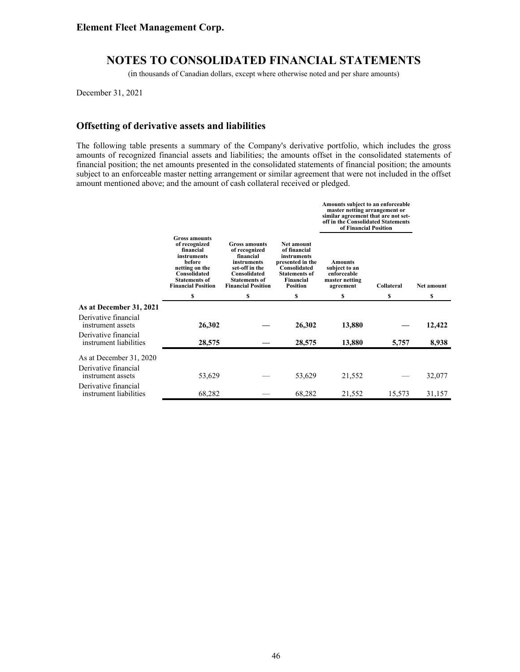(in thousands of Canadian dollars, except where otherwise noted and per share amounts)

December 31, 2021

### **Offsetting of derivative assets and liabilities**

The following table presents a summary of the Company's derivative portfolio, which includes the gross amounts of recognized financial assets and liabilities; the amounts offset in the consolidated statements of financial position; the net amounts presented in the consolidated statements of financial position; the amounts subject to an enforceable master netting arrangement or similar agreement that were not included in the offset amount mentioned above; and the amount of cash collateral received or pledged.

|                                                |                                                                                                                                                                    |                                                                                                                                                          |                                                                                                                                              | Amounts subject to an enforceable<br>master netting arrangement or<br>similar agreement that are not set-<br>off in the Consolidated Statements<br>of Financial Position |            |            |
|------------------------------------------------|--------------------------------------------------------------------------------------------------------------------------------------------------------------------|----------------------------------------------------------------------------------------------------------------------------------------------------------|----------------------------------------------------------------------------------------------------------------------------------------------|--------------------------------------------------------------------------------------------------------------------------------------------------------------------------|------------|------------|
|                                                | <b>Gross amounts</b><br>of recognized<br>financial<br>instruments<br>before<br>netting on the<br>Consolidated<br><b>Statements of</b><br><b>Financial Position</b> | <b>Gross amounts</b><br>of recognized<br>financial<br>instruments<br>set-off in the<br>Consolidated<br><b>Statements of</b><br><b>Financial Position</b> | Net amount<br>of financial<br>instruments<br>presented in the<br>Consolidated<br><b>Statements of</b><br><b>Financial</b><br><b>Position</b> | <b>Amounts</b><br>subject to an<br>enforceable<br>master netting<br>agreement                                                                                            | Collateral | Net amount |
|                                                | \$                                                                                                                                                                 | \$                                                                                                                                                       | \$                                                                                                                                           | \$                                                                                                                                                                       | \$         | \$         |
| As at December 31, 2021                        |                                                                                                                                                                    |                                                                                                                                                          |                                                                                                                                              |                                                                                                                                                                          |            |            |
| Derivative financial<br>instrument assets      | 26,302                                                                                                                                                             |                                                                                                                                                          | 26,302                                                                                                                                       | 13,880                                                                                                                                                                   |            | 12,422     |
| Derivative financial<br>instrument liabilities | 28,575                                                                                                                                                             |                                                                                                                                                          | 28,575                                                                                                                                       | 13,880                                                                                                                                                                   | 5,757      | 8,938      |
| As at December 31, 2020                        |                                                                                                                                                                    |                                                                                                                                                          |                                                                                                                                              |                                                                                                                                                                          |            |            |
| Derivative financial<br>instrument assets      | 53,629                                                                                                                                                             |                                                                                                                                                          | 53,629                                                                                                                                       | 21,552                                                                                                                                                                   |            | 32,077     |
| Derivative financial<br>instrument liabilities | 68,282                                                                                                                                                             |                                                                                                                                                          | 68,282                                                                                                                                       | 21,552                                                                                                                                                                   | 15,573     | 31,157     |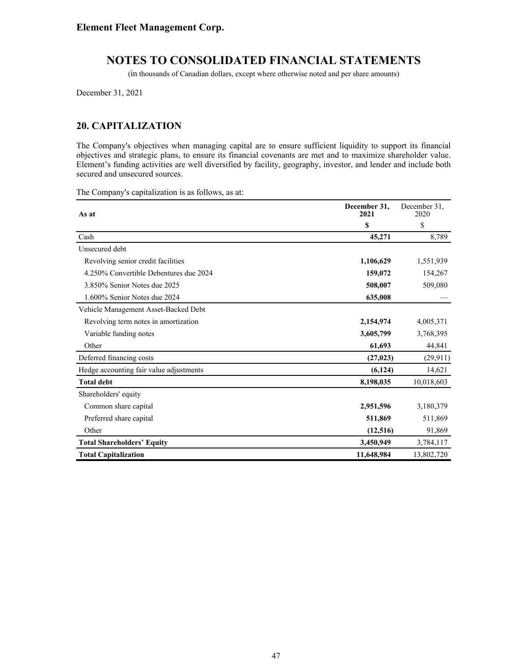(in thousands of Canadian dollars, except where otherwise noted and per share amounts)

December 31, 2021

### **20. CAPITALIZATION**

The Company's objectives when managing capital are to ensure sufficient liquidity to support its financial objectives and strategic plans, to ensure its financial covenants are met and to maximize shareholder value. Element's funding activities are well diversified by facility, geography, investor, and lender and include both secured and unsecured sources.

The Company's capitalization is as follows, as at:

| As at                                   | December 31.<br>2021 | December 31.<br>2020 |
|-----------------------------------------|----------------------|----------------------|
|                                         | \$                   | \$                   |
| Cash                                    | 45,271               | 8,789                |
| Unsecured debt                          |                      |                      |
| Revolving senior credit facilities      | 1,106,629            | 1,551,939            |
| 4.250% Convertible Debentures due 2024  | 159,072              | 154,267              |
| 3.850% Senior Notes due 2025            | 508,007              | 509,080              |
| 1.600% Senior Notes due 2024            | 635,008              |                      |
| Vehicle Management Asset-Backed Debt    |                      |                      |
| Revolving term notes in amortization    | 2,154,974            | 4,005,371            |
| Variable funding notes                  | 3,605,799            | 3,768,395            |
| Other                                   | 61,693               | 44,841               |
| Deferred financing costs                | (27, 023)            | (29, 911)            |
| Hedge accounting fair value adjustments | (6, 124)             | 14,621               |
| <b>Total debt</b>                       | 8,198,035            | 10,018,603           |
| Shareholders' equity                    |                      |                      |
| Common share capital                    | 2,951,596            | 3,180,379            |
| Preferred share capital                 | 511,869              | 511,869              |
| Other                                   | (12, 516)            | 91,869               |
| <b>Total Shareholders' Equity</b>       | 3,450,949            | 3,784,117            |
| <b>Total Capitalization</b>             | 11,648,984           | 13,802,720           |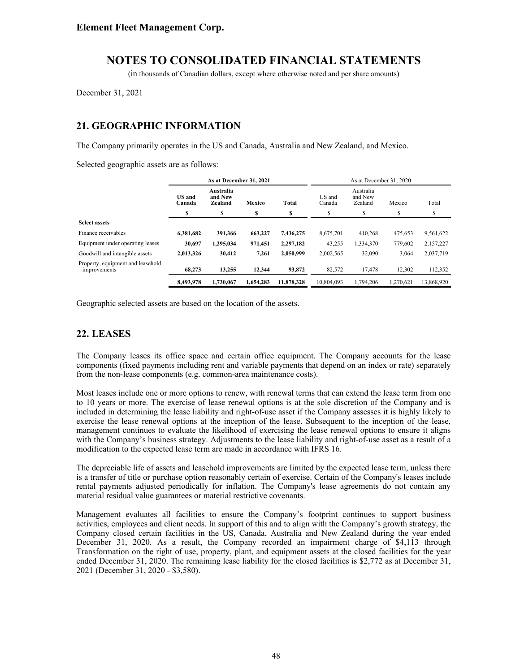(in thousands of Canadian dollars, except where otherwise noted and per share amounts)

December 31, 2021

## **21. GEOGRAPHIC INFORMATION**

The Company primarily operates in the US and Canada, Australia and New Zealand, and Mexico.

Selected geographic assets are as follows:

|                                                   | As at December 31, 2021                                    |           |                        |            | As at December 31, 2020 |                                 |           |            |
|---------------------------------------------------|------------------------------------------------------------|-----------|------------------------|------------|-------------------------|---------------------------------|-----------|------------|
|                                                   | Australia<br><b>US</b> and<br>and New<br>Canada<br>Zealand |           | <b>Total</b><br>Mexico |            | US and<br>Canada        | Australia<br>and New<br>Zealand | Mexico    | Total      |
|                                                   | S                                                          | \$        | S                      | \$         | \$                      | \$                              | \$        | \$         |
| <b>Select assets</b>                              |                                                            |           |                        |            |                         |                                 |           |            |
| Finance receivables                               | 6,381,682                                                  | 391.366   | 663,227                | 7,436,275  | 8,675,701               | 410,268                         | 475,653   | 9,561,622  |
| Equipment under operating leases                  | 30.697                                                     | 1,295,034 | 971.451                | 2,297,182  | 43,255                  | 1,334,370                       | 779.602   | 2,157,227  |
| Goodwill and intangible assets                    | 2.013.326                                                  | 30,412    | 7,261                  | 2,050,999  | 2,002,565               | 32,090                          | 3,064     | 2,037,719  |
| Property, equipment and leasehold<br>improvements | 68,273                                                     | 13,255    | 12,344                 | 93,872     | 82,572                  | 17,478                          | 12,302    | 112,352    |
|                                                   | 8,493,978                                                  | 1.730.067 | 1.654.283              | 11,878,328 | 10.804.093              | 1.794.206                       | 1.270.621 | 13,868,920 |

Geographic selected assets are based on the location of the assets.

### **22. LEASES**

The Company leases its office space and certain office equipment. The Company accounts for the lease components (fixed payments including rent and variable payments that depend on an index or rate) separately from the non-lease components (e.g. common-area maintenance costs).

Most leases include one or more options to renew, with renewal terms that can extend the lease term from one to 10 years or more. The exercise of lease renewal options is at the sole discretion of the Company and is included in determining the lease liability and right-of-use asset if the Company assesses it is highly likely to exercise the lease renewal options at the inception of the lease. Subsequent to the inception of the lease, management continues to evaluate the likelihood of exercising the lease renewal options to ensure it aligns with the Company's business strategy. Adjustments to the lease liability and right-of-use asset as a result of a modification to the expected lease term are made in accordance with IFRS 16.

The depreciable life of assets and leasehold improvements are limited by the expected lease term, unless there is a transfer of title or purchase option reasonably certain of exercise. Certain of the Company's leases include rental payments adjusted periodically for inflation. The Company's lease agreements do not contain any material residual value guarantees or material restrictive covenants.

Management evaluates all facilities to ensure the Company's footprint continues to support business activities, employees and client needs. In support of this and to align with the Company's growth strategy, the Company closed certain facilities in the US, Canada, Australia and New Zealand during the year ended December 31, 2020. As a result, the Company recorded an impairment charge of \$4,113 through Transformation on the right of use, property, plant, and equipment assets at the closed facilities for the year ended December 31, 2020. The remaining lease liability for the closed facilities is \$2,772 as at December 31, 2021 (December 31, 2020 - \$3,580).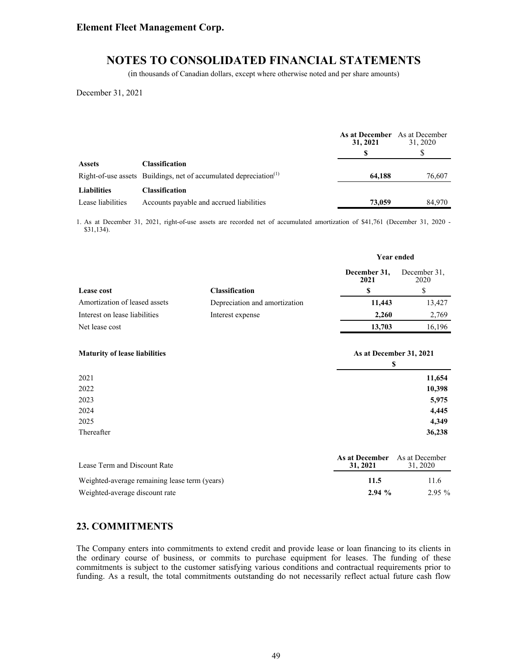(in thousands of Canadian dollars, except where otherwise noted and per share amounts)

December 31, 2021

|                    |                                                                               | <b>As at December</b> As at December<br>31, 2021 | 31, 2020 |  |
|--------------------|-------------------------------------------------------------------------------|--------------------------------------------------|----------|--|
|                    |                                                                               |                                                  |          |  |
| <b>Assets</b>      | <b>Classification</b>                                                         |                                                  |          |  |
|                    | Right-of-use assets Buildings, net of accumulated depreciation <sup>(1)</sup> | 64.188                                           | 76,607   |  |
| <b>Liabilities</b> | <b>Classification</b>                                                         |                                                  |          |  |
| Lease liabilities  | Accounts payable and accrued liabilities                                      | 73,059                                           | 84.970   |  |

1. As at December 31, 2021, right-of-use assets are recorded net of accumulated amortization of \$41,761 (December 31, 2020 - \$31,134).

|                                               |                               | <b>Year ended</b>                 |                            |  |
|-----------------------------------------------|-------------------------------|-----------------------------------|----------------------------|--|
|                                               |                               | December 31,<br>2021              | December 31,<br>2020       |  |
| Lease cost                                    | <b>Classification</b>         | \$                                | \$                         |  |
| Amortization of leased assets                 | Depreciation and amortization | 11,443                            | 13,427                     |  |
| Interest on lease liabilities                 | Interest expense              | 2,260                             | 2,769                      |  |
| Net lease cost                                |                               |                                   | 16,196                     |  |
| <b>Maturity of lease liabilities</b>          |                               | As at December 31, 2021<br>\$     |                            |  |
| 2021                                          |                               |                                   | 11,654                     |  |
| 2022                                          |                               |                                   | 10,398                     |  |
| 2023                                          |                               |                                   | 5,975                      |  |
| 2024                                          |                               |                                   | 4,445                      |  |
| 2025                                          |                               |                                   | 4,349                      |  |
| Thereafter                                    |                               |                                   | 36,238                     |  |
| Lease Term and Discount Rate                  |                               | <b>As at December</b><br>31, 2021 | As at December<br>31, 2020 |  |
| Weighted-average remaining lease term (years) | 11.5                          | 11.6                              |                            |  |
| Weighted-average discount rate                | 2.94%                         | $2.95\%$                          |                            |  |

### **23. COMMITMENTS**

The Company enters into commitments to extend credit and provide lease or loan financing to its clients in the ordinary course of business, or commits to purchase equipment for leases. The funding of these commitments is subject to the customer satisfying various conditions and contractual requirements prior to funding. As a result, the total commitments outstanding do not necessarily reflect actual future cash flow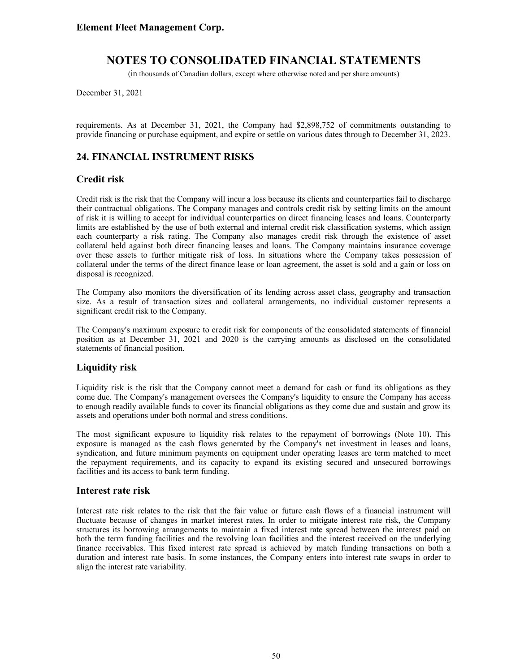(in thousands of Canadian dollars, except where otherwise noted and per share amounts)

December 31, 2021

requirements. As at December 31, 2021, the Company had \$2,898,752 of commitments outstanding to provide financing or purchase equipment, and expire or settle on various dates through to December 31, 2023.

### **24. FINANCIAL INSTRUMENT RISKS**

### **Credit risk**

Credit risk is the risk that the Company will incur a loss because its clients and counterparties fail to discharge their contractual obligations. The Company manages and controls credit risk by setting limits on the amount of risk it is willing to accept for individual counterparties on direct financing leases and loans. Counterparty limits are established by the use of both external and internal credit risk classification systems, which assign each counterparty a risk rating. The Company also manages credit risk through the existence of asset collateral held against both direct financing leases and loans. The Company maintains insurance coverage over these assets to further mitigate risk of loss. In situations where the Company takes possession of collateral under the terms of the direct finance lease or loan agreement, the asset is sold and a gain or loss on disposal is recognized.

The Company also monitors the diversification of its lending across asset class, geography and transaction size. As a result of transaction sizes and collateral arrangements, no individual customer represents a significant credit risk to the Company.

The Company's maximum exposure to credit risk for components of the consolidated statements of financial position as at December 31, 2021 and 2020 is the carrying amounts as disclosed on the consolidated statements of financial position.

### **Liquidity risk**

Liquidity risk is the risk that the Company cannot meet a demand for cash or fund its obligations as they come due. The Company's management oversees the Company's liquidity to ensure the Company has access to enough readily available funds to cover its financial obligations as they come due and sustain and grow its assets and operations under both normal and stress conditions.

The most significant exposure to liquidity risk relates to the repayment of borrowings (Note 10). This exposure is managed as the cash flows generated by the Company's net investment in leases and loans, syndication, and future minimum payments on equipment under operating leases are term matched to meet the repayment requirements, and its capacity to expand its existing secured and unsecured borrowings facilities and its access to bank term funding.

#### **Interest rate risk**

Interest rate risk relates to the risk that the fair value or future cash flows of a financial instrument will fluctuate because of changes in market interest rates. In order to mitigate interest rate risk, the Company structures its borrowing arrangements to maintain a fixed interest rate spread between the interest paid on both the term funding facilities and the revolving loan facilities and the interest received on the underlying finance receivables. This fixed interest rate spread is achieved by match funding transactions on both a duration and interest rate basis. In some instances, the Company enters into interest rate swaps in order to align the interest rate variability.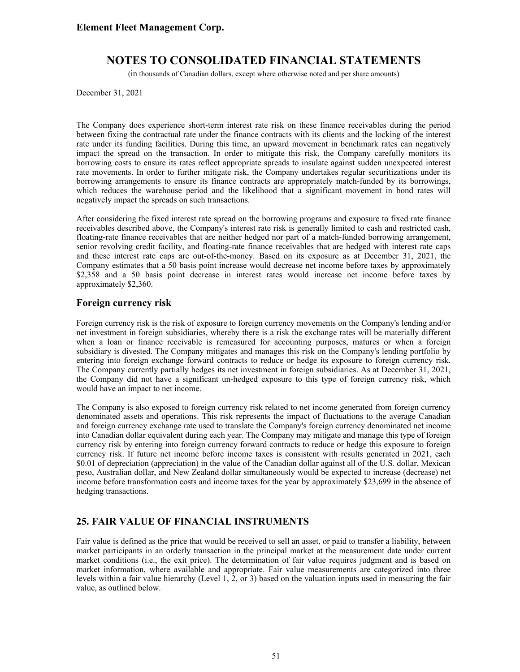(in thousands of Canadian dollars, except where otherwise noted and per share amounts)

December 31, 2021

The Company does experience short-term interest rate risk on these finance receivables during the period between fixing the contractual rate under the finance contracts with its clients and the locking of the interest rate under its funding facilities. During this time, an upward movement in benchmark rates can negatively impact the spread on the transaction. In order to mitigate this risk, the Company carefully monitors its borrowing costs to ensure its rates reflect appropriate spreads to insulate against sudden unexpected interest rate movements. In order to further mitigate risk, the Company undertakes regular securitizations under its borrowing arrangements to ensure its finance contracts are appropriately match-funded by its borrowings, which reduces the warehouse period and the likelihood that a significant movement in bond rates will negatively impact the spreads on such transactions.

After considering the fixed interest rate spread on the borrowing programs and exposure to fixed rate finance receivables described above, the Company's interest rate risk is generally limited to cash and restricted cash, floating-rate finance receivables that are neither hedged nor part of a match-funded borrowing arrangement, senior revolving credit facility, and floating-rate finance receivables that are hedged with interest rate caps and these interest rate caps are out-of-the-money. Based on its exposure as at December 31, 2021, the Company estimates that a 50 basis point increase would decrease net income before taxes by approximately \$2,358 and a 50 basis point decrease in interest rates would increase net income before taxes by approximately \$2,360.

### **Foreign currency risk**

Foreign currency risk is the risk of exposure to foreign currency movements on the Company's lending and/or net investment in foreign subsidiaries, whereby there is a risk the exchange rates will be materially different when a loan or finance receivable is remeasured for accounting purposes, matures or when a foreign subsidiary is divested. The Company mitigates and manages this risk on the Company's lending portfolio by entering into foreign exchange forward contracts to reduce or hedge its exposure to foreign currency risk. The Company currently partially hedges its net investment in foreign subsidiaries. As at December 31, 2021, the Company did not have a significant un-hedged exposure to this type of foreign currency risk, which would have an impact to net income.

The Company is also exposed to foreign currency risk related to net income generated from foreign currency denominated assets and operations. This risk represents the impact of fluctuations to the average Canadian and foreign currency exchange rate used to translate the Company's foreign currency denominated net income into Canadian dollar equivalent during each year. The Company may mitigate and manage this type of foreign currency risk by entering into foreign currency forward contracts to reduce or hedge this exposure to foreign currency risk. If future net income before income taxes is consistent with results generated in 2021, each \$0.01 of depreciation (appreciation) in the value of the Canadian dollar against all of the U.S. dollar, Mexican peso, Australian dollar, and New Zealand dollar simultaneously would be expected to increase (decrease) net income before transformation costs and income taxes for the year by approximately \$23,699 in the absence of hedging transactions.

### **25. FAIR VALUE OF FINANCIAL INSTRUMENTS**

Fair value is defined as the price that would be received to sell an asset, or paid to transfer a liability, between market participants in an orderly transaction in the principal market at the measurement date under current market conditions (i.e., the exit price). The determination of fair value requires judgment and is based on market information, where available and appropriate. Fair value measurements are categorized into three levels within a fair value hierarchy (Level 1, 2, or 3) based on the valuation inputs used in measuring the fair value, as outlined below.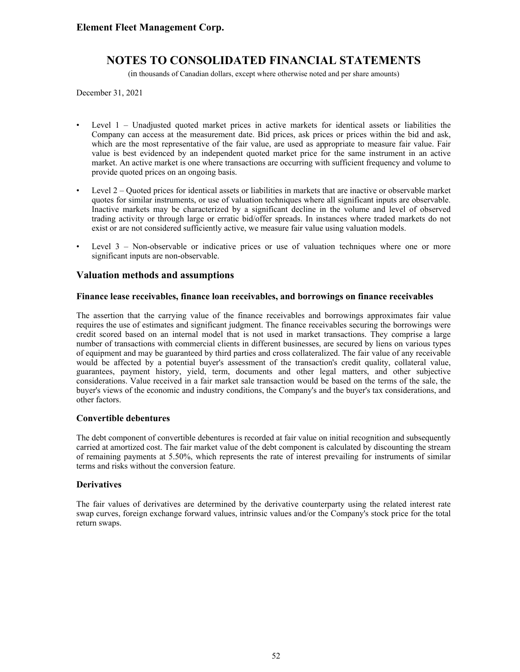(in thousands of Canadian dollars, except where otherwise noted and per share amounts)

December 31, 2021

- Level 1 Unadjusted quoted market prices in active markets for identical assets or liabilities the Company can access at the measurement date. Bid prices, ask prices or prices within the bid and ask, which are the most representative of the fair value, are used as appropriate to measure fair value. Fair value is best evidenced by an independent quoted market price for the same instrument in an active market. An active market is one where transactions are occurring with sufficient frequency and volume to provide quoted prices on an ongoing basis.
- Level 2 Quoted prices for identical assets or liabilities in markets that are inactive or observable market quotes for similar instruments, or use of valuation techniques where all significant inputs are observable. Inactive markets may be characterized by a significant decline in the volume and level of observed trading activity or through large or erratic bid/offer spreads. In instances where traded markets do not exist or are not considered sufficiently active, we measure fair value using valuation models.
- Level  $3 -$  Non-observable or indicative prices or use of valuation techniques where one or more significant inputs are non-observable.

### **Valuation methods and assumptions**

### **Finance lease receivables, finance loan receivables, and borrowings on finance receivables**

The assertion that the carrying value of the finance receivables and borrowings approximates fair value requires the use of estimates and significant judgment. The finance receivables securing the borrowings were credit scored based on an internal model that is not used in market transactions. They comprise a large number of transactions with commercial clients in different businesses, are secured by liens on various types of equipment and may be guaranteed by third parties and cross collateralized. The fair value of any receivable would be affected by a potential buyer's assessment of the transaction's credit quality, collateral value, guarantees, payment history, yield, term, documents and other legal matters, and other subjective considerations. Value received in a fair market sale transaction would be based on the terms of the sale, the buyer's views of the economic and industry conditions, the Company's and the buyer's tax considerations, and other factors.

### **Convertible debentures**

The debt component of convertible debentures is recorded at fair value on initial recognition and subsequently carried at amortized cost. The fair market value of the debt component is calculated by discounting the stream of remaining payments at 5.50%, which represents the rate of interest prevailing for instruments of similar terms and risks without the conversion feature.

#### **Derivatives**

The fair values of derivatives are determined by the derivative counterparty using the related interest rate swap curves, foreign exchange forward values, intrinsic values and/or the Company's stock price for the total return swaps.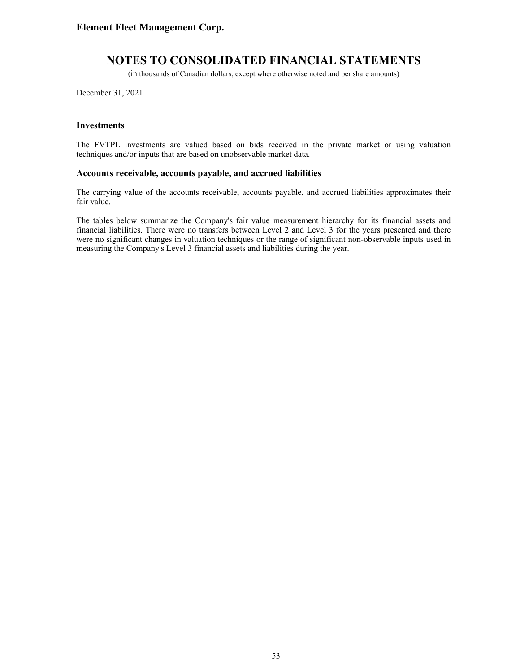(in thousands of Canadian dollars, except where otherwise noted and per share amounts)

December 31, 2021

#### **Investments**

The FVTPL investments are valued based on bids received in the private market or using valuation techniques and/or inputs that are based on unobservable market data.

#### **Accounts receivable, accounts payable, and accrued liabilities**

The carrying value of the accounts receivable, accounts payable, and accrued liabilities approximates their fair value.

The tables below summarize the Company's fair value measurement hierarchy for its financial assets and financial liabilities. There were no transfers between Level 2 and Level 3 for the years presented and there were no significant changes in valuation techniques or the range of significant non-observable inputs used in measuring the Company's Level 3 financial assets and liabilities during the year.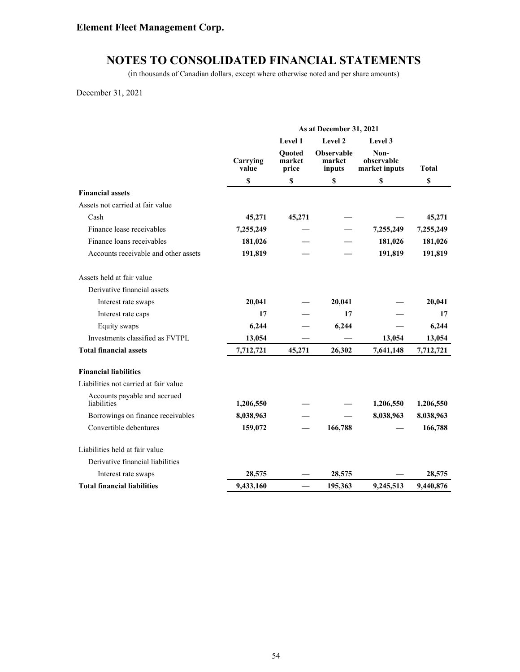(in thousands of Canadian dollars, except where otherwise noted and per share amounts)

December 31, 2021

|                                             |                               |                                  | As at December 31, 2021        |                                     |                    |  |
|---------------------------------------------|-------------------------------|----------------------------------|--------------------------------|-------------------------------------|--------------------|--|
|                                             | Level 2<br>Level 1<br>Level 3 |                                  |                                |                                     |                    |  |
|                                             | Carrying<br>value             | <b>Ouoted</b><br>market<br>price | Observable<br>market<br>inputs | Non-<br>observable<br>market inputs | <b>Total</b>       |  |
|                                             | \$                            | \$                               | \$                             | \$                                  | $\pmb{\mathbb{S}}$ |  |
| <b>Financial assets</b>                     |                               |                                  |                                |                                     |                    |  |
| Assets not carried at fair value            |                               |                                  |                                |                                     |                    |  |
| Cash                                        | 45,271                        | 45,271                           |                                |                                     | 45,271             |  |
| Finance lease receivables                   | 7,255,249                     |                                  |                                | 7,255,249                           | 7,255,249          |  |
| Finance loans receivables                   | 181,026                       |                                  |                                | 181,026                             | 181,026            |  |
| Accounts receivable and other assets        | 191,819                       |                                  |                                | 191,819                             | 191,819            |  |
| Assets held at fair value                   |                               |                                  |                                |                                     |                    |  |
| Derivative financial assets                 |                               |                                  |                                |                                     |                    |  |
| Interest rate swaps                         | 20,041                        |                                  | 20,041                         |                                     | 20,041             |  |
| Interest rate caps                          | 17                            |                                  | 17                             |                                     | 17                 |  |
| Equity swaps                                | 6,244                         |                                  | 6,244                          |                                     | 6,244              |  |
| Investments classified as FVTPL             | 13,054                        |                                  |                                | 13,054                              | 13,054             |  |
| <b>Total financial assets</b>               | 7,712,721                     | 45,271                           | 26,302                         | 7,641,148                           | 7,712,721          |  |
| <b>Financial liabilities</b>                |                               |                                  |                                |                                     |                    |  |
| Liabilities not carried at fair value       |                               |                                  |                                |                                     |                    |  |
| Accounts payable and accrued<br>liabilities | 1,206,550                     |                                  |                                | 1,206,550                           | 1,206,550          |  |
| Borrowings on finance receivables           | 8,038,963                     |                                  |                                | 8,038,963                           | 8,038,963          |  |
| Convertible debentures                      | 159,072                       |                                  | 166,788                        |                                     | 166,788            |  |
| Liabilities held at fair value              |                               |                                  |                                |                                     |                    |  |
| Derivative financial liabilities            |                               |                                  |                                |                                     |                    |  |
| Interest rate swaps                         | 28,575                        |                                  | 28,575                         |                                     | 28,575             |  |
| <b>Total financial liabilities</b>          | 9,433,160                     |                                  | 195,363                        | 9,245,513                           | 9,440,876          |  |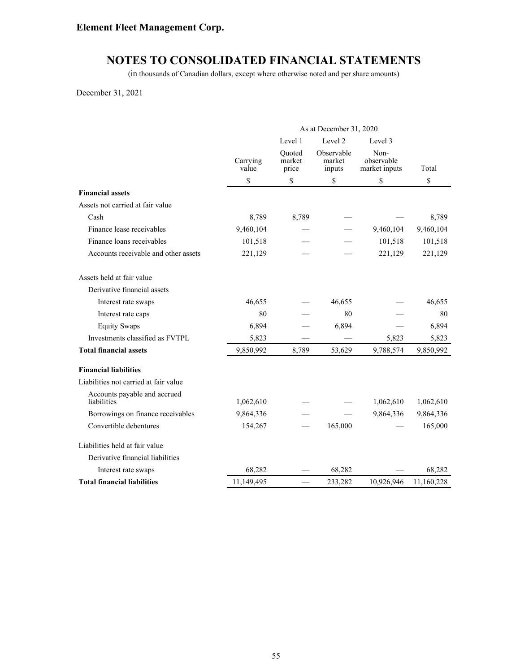(in thousands of Canadian dollars, except where otherwise noted and per share amounts)

December 31, 2021

|                                             |                   |                           | As at December 31, 2020        |                                     |            |
|---------------------------------------------|-------------------|---------------------------|--------------------------------|-------------------------------------|------------|
|                                             |                   | Level 1                   | Level 2                        | Level 3                             |            |
|                                             | Carrying<br>value | Quoted<br>market<br>price | Observable<br>market<br>inputs | Non-<br>observable<br>market inputs | Total      |
|                                             | \$                | \$                        | \$                             | \$                                  | \$         |
| <b>Financial assets</b>                     |                   |                           |                                |                                     |            |
| Assets not carried at fair value            |                   |                           |                                |                                     |            |
| Cash                                        | 8,789             | 8,789                     |                                |                                     | 8,789      |
| Finance lease receivables                   | 9,460,104         |                           |                                | 9,460,104                           | 9,460,104  |
| Finance loans receivables                   | 101,518           |                           |                                | 101,518                             | 101,518    |
| Accounts receivable and other assets        | 221,129           |                           |                                | 221,129                             | 221,129    |
| Assets held at fair value                   |                   |                           |                                |                                     |            |
| Derivative financial assets                 |                   |                           |                                |                                     |            |
| Interest rate swaps                         | 46,655            |                           | 46,655                         |                                     | 46,655     |
| Interest rate caps                          | 80                |                           | 80                             |                                     | 80         |
| <b>Equity Swaps</b>                         | 6,894             |                           | 6,894                          |                                     | 6,894      |
| Investments classified as FVTPL             | 5,823             |                           |                                | 5,823                               | 5,823      |
| <b>Total financial assets</b>               | 9,850,992         | 8,789                     | 53,629                         | 9,788,574                           | 9,850,992  |
| <b>Financial liabilities</b>                |                   |                           |                                |                                     |            |
| Liabilities not carried at fair value       |                   |                           |                                |                                     |            |
| Accounts payable and accrued<br>liabilities | 1,062,610         |                           |                                | 1,062,610                           | 1,062,610  |
| Borrowings on finance receivables           | 9,864,336         |                           |                                | 9,864,336                           | 9,864,336  |
| Convertible debentures                      | 154,267           |                           | 165,000                        |                                     | 165,000    |
| Liabilities held at fair value              |                   |                           |                                |                                     |            |
| Derivative financial liabilities            |                   |                           |                                |                                     |            |
| Interest rate swaps                         | 68,282            |                           | 68,282                         |                                     | 68,282     |
| <b>Total financial liabilities</b>          | 11,149,495        |                           | 233,282                        | 10,926,946                          | 11,160,228 |